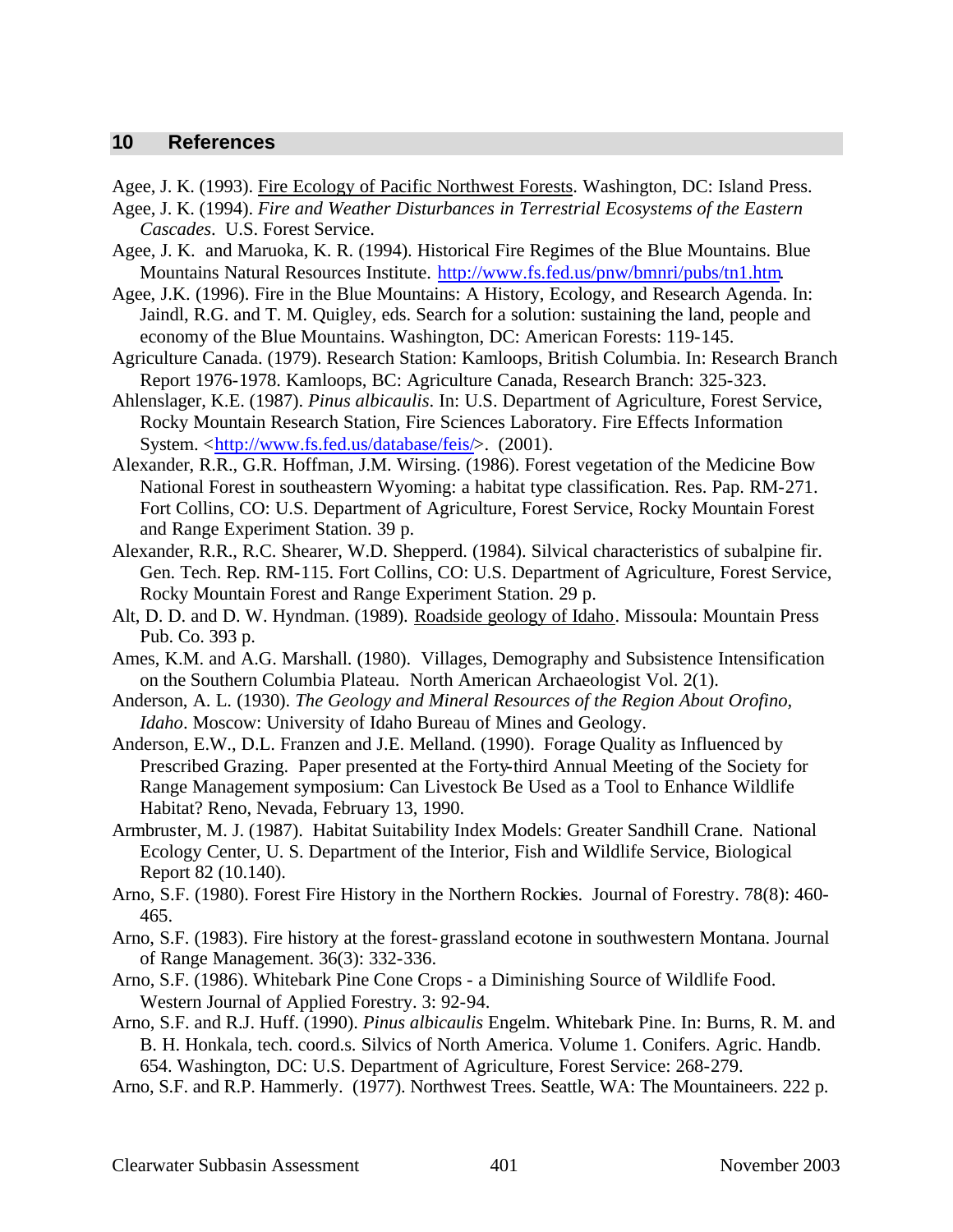## **10 References**

Agee, J. K. (1993). Fire Ecology of Pacific Northwest Forests. Washington, DC: Island Press.

- Agee, J. K. (1994). *Fire and Weather Disturbances in Terrestrial Ecosystems of the Eastern Cascades*. U.S. Forest Service.
- Agee, J. K. and Maruoka, K. R. (1994). Historical Fire Regimes of the Blue Mountains. Blue Mountains Natural Resources Institute. http://www.fs.fed.us/pnw/bmnri/pubs/tn1.htm.
- Agee, J.K. (1996). Fire in the Blue Mountains: A History, Ecology, and Research Agenda. In: Jaindl, R.G. and T. M. Quigley, eds. Search for a solution: sustaining the land, people and economy of the Blue Mountains. Washington, DC: American Forests: 119-145.
- Agriculture Canada. (1979). Research Station: Kamloops, British Columbia. In: Research Branch Report 1976-1978. Kamloops, BC: Agriculture Canada, Research Branch: 325-323.
- Ahlenslager, K.E. (1987). *Pinus albicaulis*. In: U.S. Department of Agriculture, Forest Service, Rocky Mountain Research Station, Fire Sciences Laboratory. Fire Effects Information System. <http://www.fs.fed.us/database/feis/>. (2001).
- Alexander, R.R., G.R. Hoffman, J.M. Wirsing. (1986). Forest vegetation of the Medicine Bow National Forest in southeastern Wyoming: a habitat type classification. Res. Pap. RM-271. Fort Collins, CO: U.S. Department of Agriculture, Forest Service, Rocky Mountain Forest and Range Experiment Station. 39 p.
- Alexander, R.R., R.C. Shearer, W.D. Shepperd. (1984). Silvical characteristics of subalpine fir. Gen. Tech. Rep. RM-115. Fort Collins, CO: U.S. Department of Agriculture, Forest Service, Rocky Mountain Forest and Range Experiment Station. 29 p.
- Alt, D. D. and D. W. Hyndman. (1989). Roadside geology of Idaho. Missoula: Mountain Press Pub. Co. 393 p.
- Ames, K.M. and A.G. Marshall. (1980). Villages, Demography and Subsistence Intensification on the Southern Columbia Plateau. North American Archaeologist Vol. 2(1).
- Anderson, A. L. (1930). *The Geology and Mineral Resources of the Region About Orofino, Idaho*. Moscow: University of Idaho Bureau of Mines and Geology.
- Anderson, E.W., D.L. Franzen and J.E. Melland. (1990). Forage Quality as Influenced by Prescribed Grazing. Paper presented at the Forty-third Annual Meeting of the Society for Range Management symposium: Can Livestock Be Used as a Tool to Enhance Wildlife Habitat? Reno, Nevada, February 13, 1990.
- Armbruster, M. J. (1987). Habitat Suitability Index Models: Greater Sandhill Crane. National Ecology Center, U. S. Department of the Interior, Fish and Wildlife Service, Biological Report 82 (10.140).
- Arno, S.F. (1980). Forest Fire History in the Northern Rockies. Journal of Forestry. 78(8): 460- 465.
- Arno, S.F. (1983). Fire history at the forest-grassland ecotone in southwestern Montana. Journal of Range Management. 36(3): 332-336.
- Arno, S.F. (1986). Whitebark Pine Cone Crops a Diminishing Source of Wildlife Food. Western Journal of Applied Forestry. 3: 92-94.
- Arno, S.F. and R.J. Huff. (1990). *Pinus albicaulis* Engelm. Whitebark Pine. In: Burns, R. M. and B. H. Honkala, tech. coord.s. Silvics of North America. Volume 1. Conifers. Agric. Handb. 654. Washington, DC: U.S. Department of Agriculture, Forest Service: 268-279.
- Arno, S.F. and R.P. Hammerly. (1977). Northwest Trees. Seattle, WA: The Mountaineers. 222 p.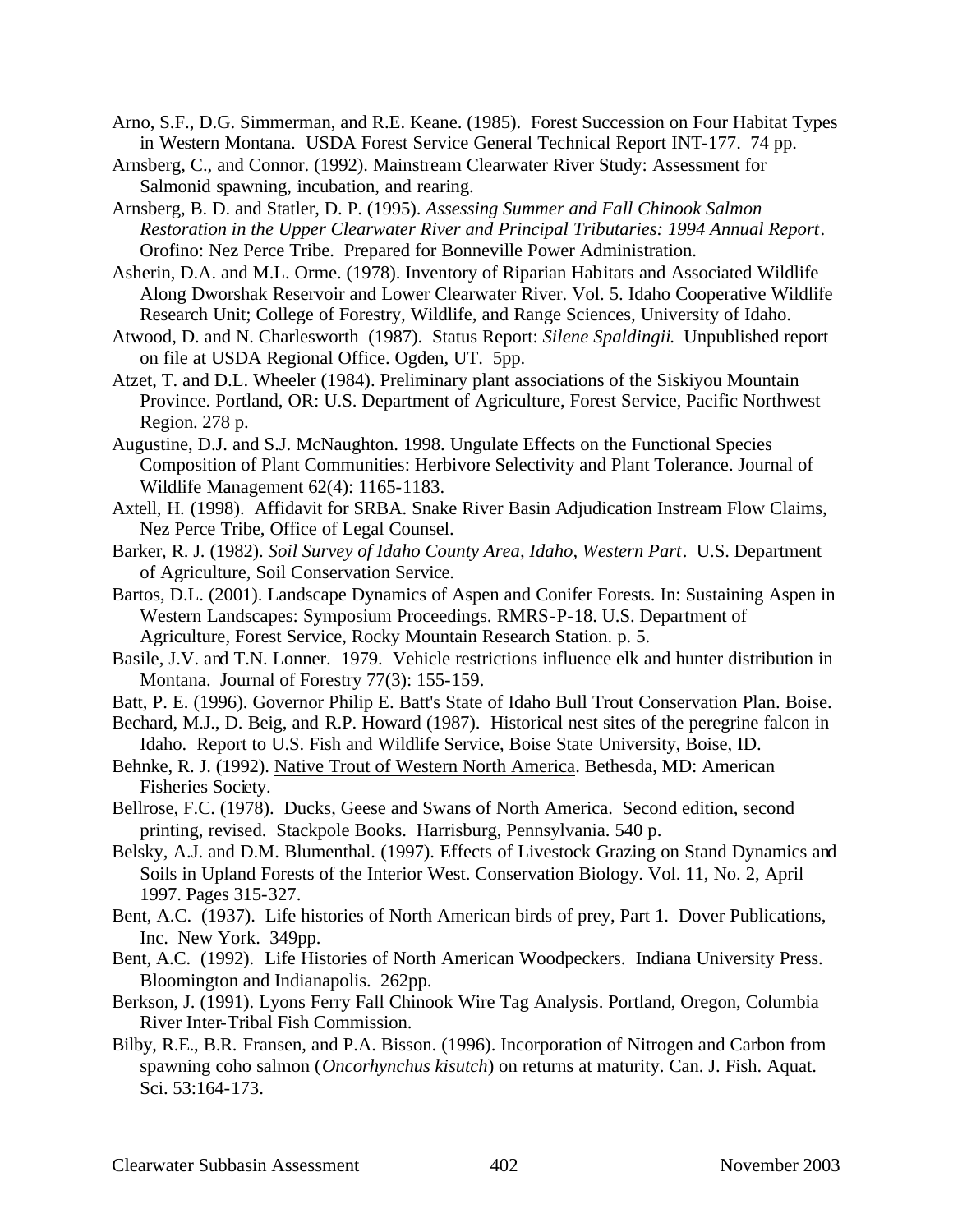- Arno, S.F., D.G. Simmerman, and R.E. Keane. (1985). Forest Succession on Four Habitat Types in Western Montana. USDA Forest Service General Technical Report INT-177. 74 pp.
- Arnsberg, C., and Connor. (1992). Mainstream Clearwater River Study: Assessment for Salmonid spawning, incubation, and rearing.
- Arnsberg, B. D. and Statler, D. P. (1995). *Assessing Summer and Fall Chinook Salmon Restoration in the Upper Clearwater River and Principal Tributaries: 1994 Annual Report*. Orofino: Nez Perce Tribe. Prepared for Bonneville Power Administration.
- Asherin, D.A. and M.L. Orme. (1978). Inventory of Riparian Habitats and Associated Wildlife Along Dworshak Reservoir and Lower Clearwater River. Vol. 5. Idaho Cooperative Wildlife Research Unit; College of Forestry, Wildlife, and Range Sciences, University of Idaho.
- Atwood, D. and N. Charlesworth (1987). Status Report: *Silene Spaldingii*. Unpublished report on file at USDA Regional Office. Ogden, UT. 5pp.
- Atzet, T. and D.L. Wheeler (1984). Preliminary plant associations of the Siskiyou Mountain Province. Portland, OR: U.S. Department of Agriculture, Forest Service, Pacific Northwest Region. 278 p.
- Augustine, D.J. and S.J. McNaughton. 1998. Ungulate Effects on the Functional Species Composition of Plant Communities: Herbivore Selectivity and Plant Tolerance. Journal of Wildlife Management 62(4): 1165-1183.
- Axtell, H. (1998). Affidavit for SRBA. Snake River Basin Adjudication Instream Flow Claims, Nez Perce Tribe, Office of Legal Counsel.
- Barker, R. J. (1982). *Soil Survey of Idaho County Area, Idaho, Western Part*. U.S. Department of Agriculture, Soil Conservation Service.
- Bartos, D.L. (2001). Landscape Dynamics of Aspen and Conifer Forests. In: Sustaining Aspen in Western Landscapes: Symposium Proceedings. RMRS-P-18. U.S. Department of Agriculture, Forest Service, Rocky Mountain Research Station. p. 5.
- Basile, J.V. and T.N. Lonner. 1979. Vehicle restrictions influence elk and hunter distribution in Montana. Journal of Forestry 77(3): 155-159.
- Batt, P. E. (1996). Governor Philip E. Batt's State of Idaho Bull Trout Conservation Plan. Boise.
- Bechard, M.J., D. Beig, and R.P. Howard (1987). Historical nest sites of the peregrine falcon in Idaho. Report to U.S. Fish and Wildlife Service, Boise State University, Boise, ID.
- Behnke, R. J. (1992). Native Trout of Western North America. Bethesda, MD: American Fisheries Society.
- Bellrose, F.C. (1978). Ducks, Geese and Swans of North America. Second edition, second printing, revised. Stackpole Books. Harrisburg, Pennsylvania. 540 p.
- Belsky, A.J. and D.M. Blumenthal. (1997). Effects of Livestock Grazing on Stand Dynamics and Soils in Upland Forests of the Interior West. Conservation Biology. Vol. 11, No. 2, April 1997. Pages 315-327.
- Bent, A.C. (1937). Life histories of North American birds of prey, Part 1. Dover Publications, Inc. New York. 349pp.
- Bent, A.C. (1992). Life Histories of North American Woodpeckers. Indiana University Press. Bloomington and Indianapolis. 262pp.
- Berkson, J. (1991). Lyons Ferry Fall Chinook Wire Tag Analysis. Portland, Oregon, Columbia River Inter-Tribal Fish Commission.
- Bilby, R.E., B.R. Fransen, and P.A. Bisson. (1996). Incorporation of Nitrogen and Carbon from spawning coho salmon (*Oncorhynchus kisutch*) on returns at maturity. Can. J. Fish. Aquat. Sci. 53:164-173.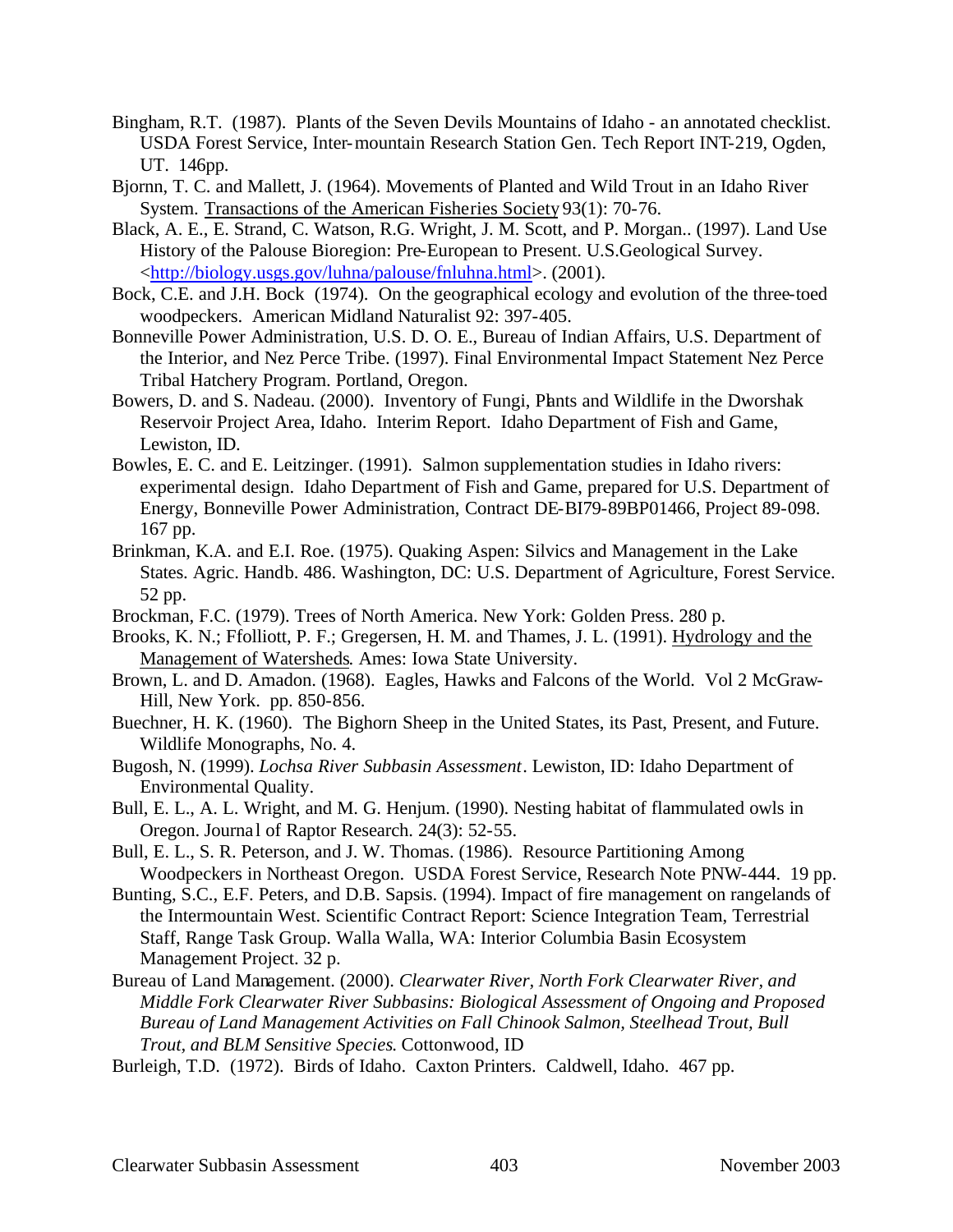- Bingham, R.T. (1987). Plants of the Seven Devils Mountains of Idaho an annotated checklist. USDA Forest Service, Inter-mountain Research Station Gen. Tech Report INT-219, Ogden, UT. 146pp.
- Bjornn, T. C. and Mallett, J. (1964). Movements of Planted and Wild Trout in an Idaho River System. Transactions of the American Fisheries Society 93(1): 70-76.
- Black, A. E., E. Strand, C. Watson, R.G. Wright, J. M. Scott, and P. Morgan.. (1997). Land Use History of the Palouse Bioregion: Pre-European to Present. U.S.Geological Survey. <http://biology.usgs.gov/luhna/palouse/fnluhna.html>. (2001).
- Bock, C.E. and J.H. Bock (1974). On the geographical ecology and evolution of the three-toed woodpeckers. American Midland Naturalist 92: 397-405.
- Bonneville Power Administration, U.S. D. O. E., Bureau of Indian Affairs, U.S. Department of the Interior, and Nez Perce Tribe. (1997). Final Environmental Impact Statement Nez Perce Tribal Hatchery Program. Portland, Oregon.
- Bowers, D. and S. Nadeau. (2000). Inventory of Fungi, Plants and Wildlife in the Dworshak Reservoir Project Area, Idaho. Interim Report. Idaho Department of Fish and Game, Lewiston, ID.
- Bowles, E. C. and E. Leitzinger. (1991). Salmon supplementation studies in Idaho rivers: experimental design. Idaho Department of Fish and Game, prepared for U.S. Department of Energy, Bonneville Power Administration, Contract DE-BI79-89BP01466, Project 89-098. 167 pp.
- Brinkman, K.A. and E.I. Roe. (1975). Quaking Aspen: Silvics and Management in the Lake States. Agric. Handb. 486. Washington, DC: U.S. Department of Agriculture, Forest Service. 52 pp.
- Brockman, F.C. (1979). Trees of North America. New York: Golden Press. 280 p.
- Brooks, K. N.; Ffolliott, P. F.; Gregersen, H. M. and Thames, J. L. (1991). Hydrology and the Management of Watersheds. Ames: Iowa State University.
- Brown, L. and D. Amadon. (1968). Eagles, Hawks and Falcons of the World. Vol 2 McGraw-Hill, New York. pp. 850-856.
- Buechner, H. K. (1960). The Bighorn Sheep in the United States, its Past, Present, and Future. Wildlife Monographs, No. 4.
- Bugosh, N. (1999). *Lochsa River Subbasin Assessment*. Lewiston, ID: Idaho Department of Environmental Quality.
- Bull, E. L., A. L. Wright, and M. G. Henjum. (1990). Nesting habitat of flammulated owls in Oregon. Journal of Raptor Research. 24(3): 52-55.
- Bull, E. L., S. R. Peterson, and J. W. Thomas. (1986). Resource Partitioning Among Woodpeckers in Northeast Oregon. USDA Forest Service, Research Note PNW-444. 19 pp.
- Bunting, S.C., E.F. Peters, and D.B. Sapsis. (1994). Impact of fire management on rangelands of the Intermountain West. Scientific Contract Report: Science Integration Team, Terrestrial Staff, Range Task Group. Walla Walla, WA: Interior Columbia Basin Ecosystem Management Project. 32 p.
- Bureau of Land Management. (2000). *Clearwater River, North Fork Clearwater River, and Middle Fork Clearwater River Subbasins: Biological Assessment of Ongoing and Proposed Bureau of Land Management Activities on Fall Chinook Salmon, Steelhead Trout, Bull Trout, and BLM Sensitive Species*. Cottonwood, ID
- Burleigh, T.D. (1972). Birds of Idaho. Caxton Printers. Caldwell, Idaho. 467 pp.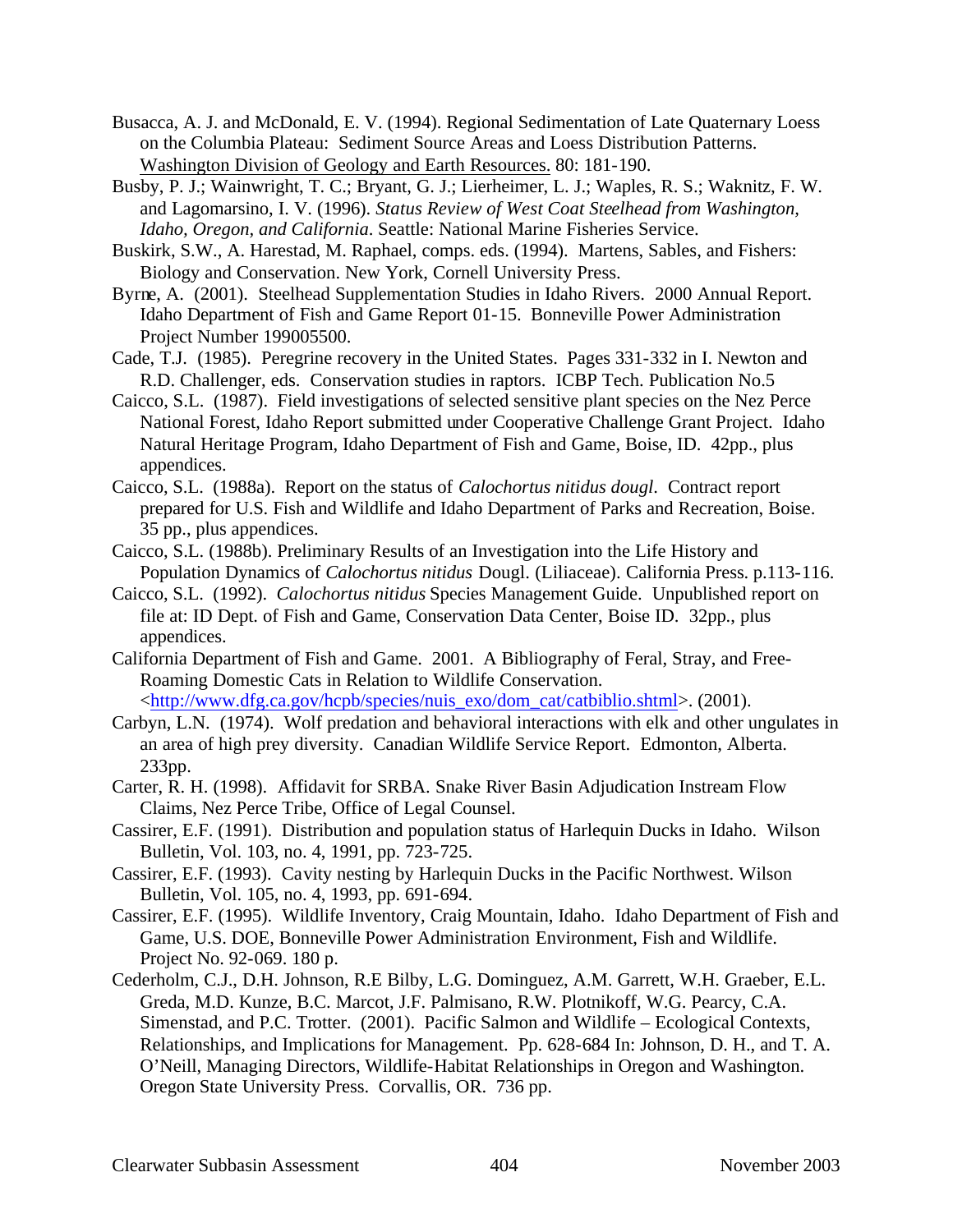- Busacca, A. J. and McDonald, E. V. (1994). Regional Sedimentation of Late Quaternary Loess on the Columbia Plateau: Sediment Source Areas and Loess Distribution Patterns. Washington Division of Geology and Earth Resources. 80: 181-190.
- Busby, P. J.; Wainwright, T. C.; Bryant, G. J.; Lierheimer, L. J.; Waples, R. S.; Waknitz, F. W. and Lagomarsino, I. V. (1996). *Status Review of West Coat Steelhead from Washington, Idaho, Oregon, and California*. Seattle: National Marine Fisheries Service.
- Buskirk, S.W., A. Harestad, M. Raphael, comps. eds. (1994). Martens, Sables, and Fishers: Biology and Conservation. New York, Cornell University Press.
- Byrne, A. (2001). Steelhead Supplementation Studies in Idaho Rivers. 2000 Annual Report. Idaho Department of Fish and Game Report 01-15. Bonneville Power Administration Project Number 199005500.
- Cade, T.J. (1985). Peregrine recovery in the United States. Pages 331-332 in I. Newton and R.D. Challenger, eds. Conservation studies in raptors. ICBP Tech. Publication No.5
- Caicco, S.L. (1987). Field investigations of selected sensitive plant species on the Nez Perce National Forest, Idaho Report submitted under Cooperative Challenge Grant Project. Idaho Natural Heritage Program, Idaho Department of Fish and Game, Boise, ID. 42pp., plus appendices.
- Caicco, S.L. (1988a). Report on the status of *Calochortus nitidus dougl*. Contract report prepared for U.S. Fish and Wildlife and Idaho Department of Parks and Recreation, Boise. 35 pp., plus appendices.
- Caicco, S.L. (1988b). Preliminary Results of an Investigation into the Life History and Population Dynamics of *Calochortus nitidus* Dougl. (Liliaceae). California Press. p.113-116.
- Caicco, S.L. (1992). *Calochortus nitidus* Species Management Guide. Unpublished report on file at: ID Dept. of Fish and Game, Conservation Data Center, Boise ID. 32pp., plus appendices.
- California Department of Fish and Game. 2001. A Bibliography of Feral, Stray, and Free-Roaming Domestic Cats in Relation to Wildlife Conservation. <http://www.dfg.ca.gov/hcpb/species/nuis\_exo/dom\_cat/catbiblio.shtml>. (2001).
- Carbyn, L.N. (1974). Wolf predation and behavioral interactions with elk and other ungulates in an area of high prey diversity. Canadian Wildlife Service Report. Edmonton, Alberta. 233pp.
- Carter, R. H. (1998). Affidavit for SRBA. Snake River Basin Adjudication Instream Flow Claims, Nez Perce Tribe, Office of Legal Counsel.
- Cassirer, E.F. (1991). Distribution and population status of Harlequin Ducks in Idaho. Wilson Bulletin, Vol. 103, no. 4, 1991, pp. 723-725.
- Cassirer, E.F. (1993). Cavity nesting by Harlequin Ducks in the Pacific Northwest. Wilson Bulletin, Vol. 105, no. 4, 1993, pp. 691-694.
- Cassirer, E.F. (1995). Wildlife Inventory, Craig Mountain, Idaho. Idaho Department of Fish and Game, U.S. DOE, Bonneville Power Administration Environment, Fish and Wildlife. Project No. 92-069. 180 p.
- Cederholm, C.J., D.H. Johnson, R.E Bilby, L.G. Dominguez, A.M. Garrett, W.H. Graeber, E.L. Greda, M.D. Kunze, B.C. Marcot, J.F. Palmisano, R.W. Plotnikoff, W.G. Pearcy, C.A. Simenstad, and P.C. Trotter. (2001). Pacific Salmon and Wildlife – Ecological Contexts, Relationships, and Implications for Management. Pp. 628-684 In: Johnson, D. H., and T. A. O'Neill, Managing Directors, Wildlife-Habitat Relationships in Oregon and Washington. Oregon State University Press. Corvallis, OR. 736 pp.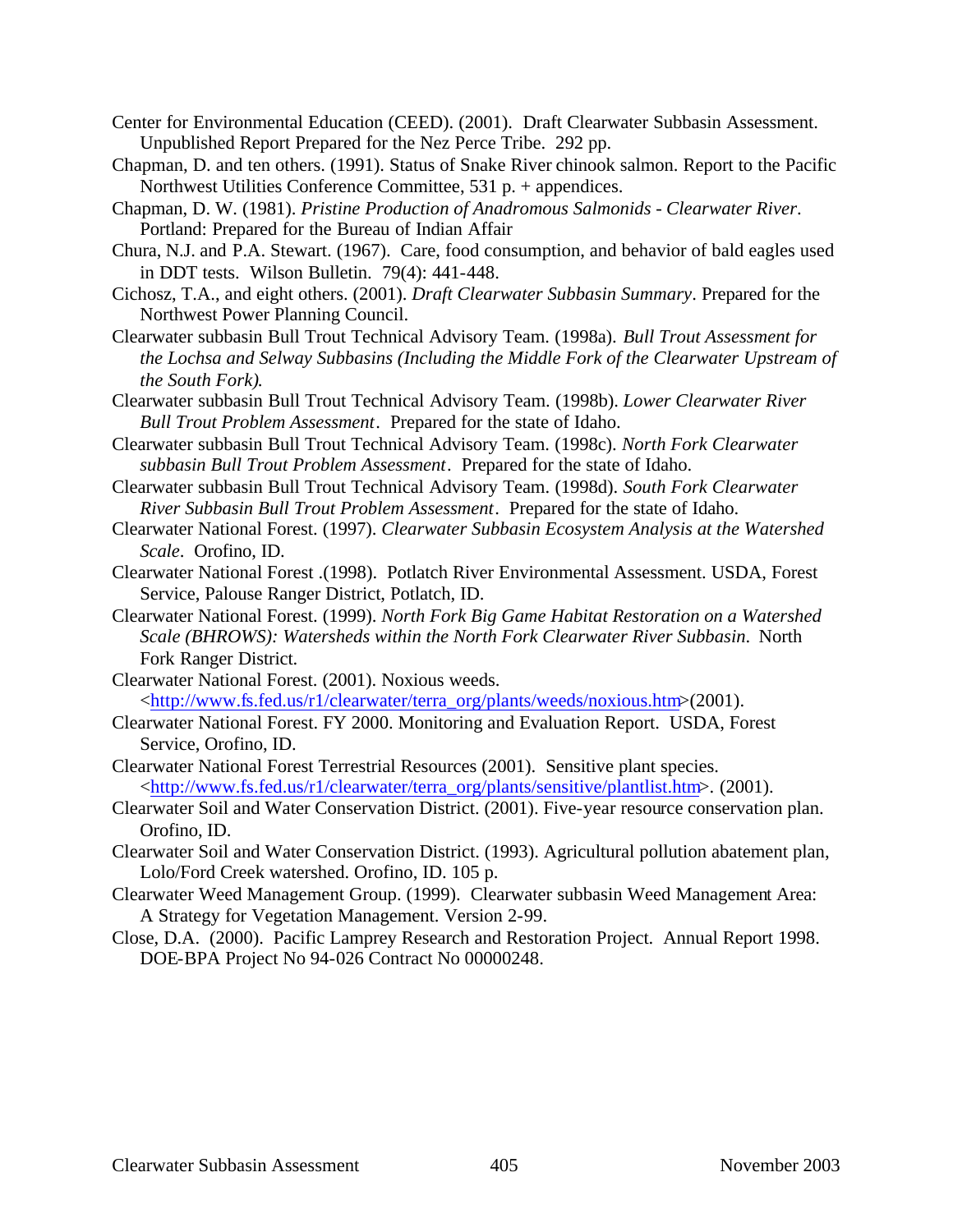- Center for Environmental Education (CEED). (2001). Draft Clearwater Subbasin Assessment. Unpublished Report Prepared for the Nez Perce Tribe. 292 pp.
- Chapman, D. and ten others. (1991). Status of Snake River chinook salmon. Report to the Pacific Northwest Utilities Conference Committee, 531 p. + appendices.
- Chapman, D. W. (1981). *Pristine Production of Anadromous Salmonids Clearwater River*. Portland: Prepared for the Bureau of Indian Affair
- Chura, N.J. and P.A. Stewart. (1967). Care, food consumption, and behavior of bald eagles used in DDT tests. Wilson Bulletin. 79(4): 441-448.
- Cichosz, T.A., and eight others. (2001). *Draft Clearwater Subbasin Summary*. Prepared for the Northwest Power Planning Council.
- Clearwater subbasin Bull Trout Technical Advisory Team. (1998a). *Bull Trout Assessment for the Lochsa and Selway Subbasins (Including the Middle Fork of the Clearwater Upstream of the South Fork)*.
- Clearwater subbasin Bull Trout Technical Advisory Team. (1998b). *Lower Clearwater River Bull Trout Problem Assessment*. Prepared for the state of Idaho.
- Clearwater subbasin Bull Trout Technical Advisory Team. (1998c). *North Fork Clearwater subbasin Bull Trout Problem Assessment*. Prepared for the state of Idaho.
- Clearwater subbasin Bull Trout Technical Advisory Team. (1998d). *South Fork Clearwater River Subbasin Bull Trout Problem Assessment*. Prepared for the state of Idaho.
- Clearwater National Forest. (1997). *Clearwater Subbasin Ecosystem Analysis at the Watershed Scale*. Orofino, ID.
- Clearwater National Forest .(1998). Potlatch River Environmental Assessment. USDA, Forest Service, Palouse Ranger District, Potlatch, ID.
- Clearwater National Forest. (1999). *North Fork Big Game Habitat Restoration on a Watershed Scale (BHROWS): Watersheds within the North Fork Clearwater River Subbasin*. North Fork Ranger District.
- Clearwater National Forest. (2001). Noxious weeds. <http://www.fs.fed.us/r1/clearwater/terra\_org/plants/weeds/noxious.htm>(2001).
- Clearwater National Forest. FY 2000. Monitoring and Evaluation Report. USDA, Forest Service, Orofino, ID.
- Clearwater National Forest Terrestrial Resources (2001). Sensitive plant species. <http://www.fs.fed.us/r1/clearwater/terra\_org/plants/sensitive/plantlist.htm>. (2001).
- Clearwater Soil and Water Conservation District. (2001). Five-year resource conservation plan. Orofino, ID.
- Clearwater Soil and Water Conservation District. (1993). Agricultural pollution abatement plan, Lolo/Ford Creek watershed. Orofino, ID. 105 p.
- Clearwater Weed Management Group. (1999). Clearwater subbasin Weed Management Area: A Strategy for Vegetation Management. Version 2-99.
- Close, D.A. (2000). Pacific Lamprey Research and Restoration Project. Annual Report 1998. DOE-BPA Project No 94-026 Contract No 00000248.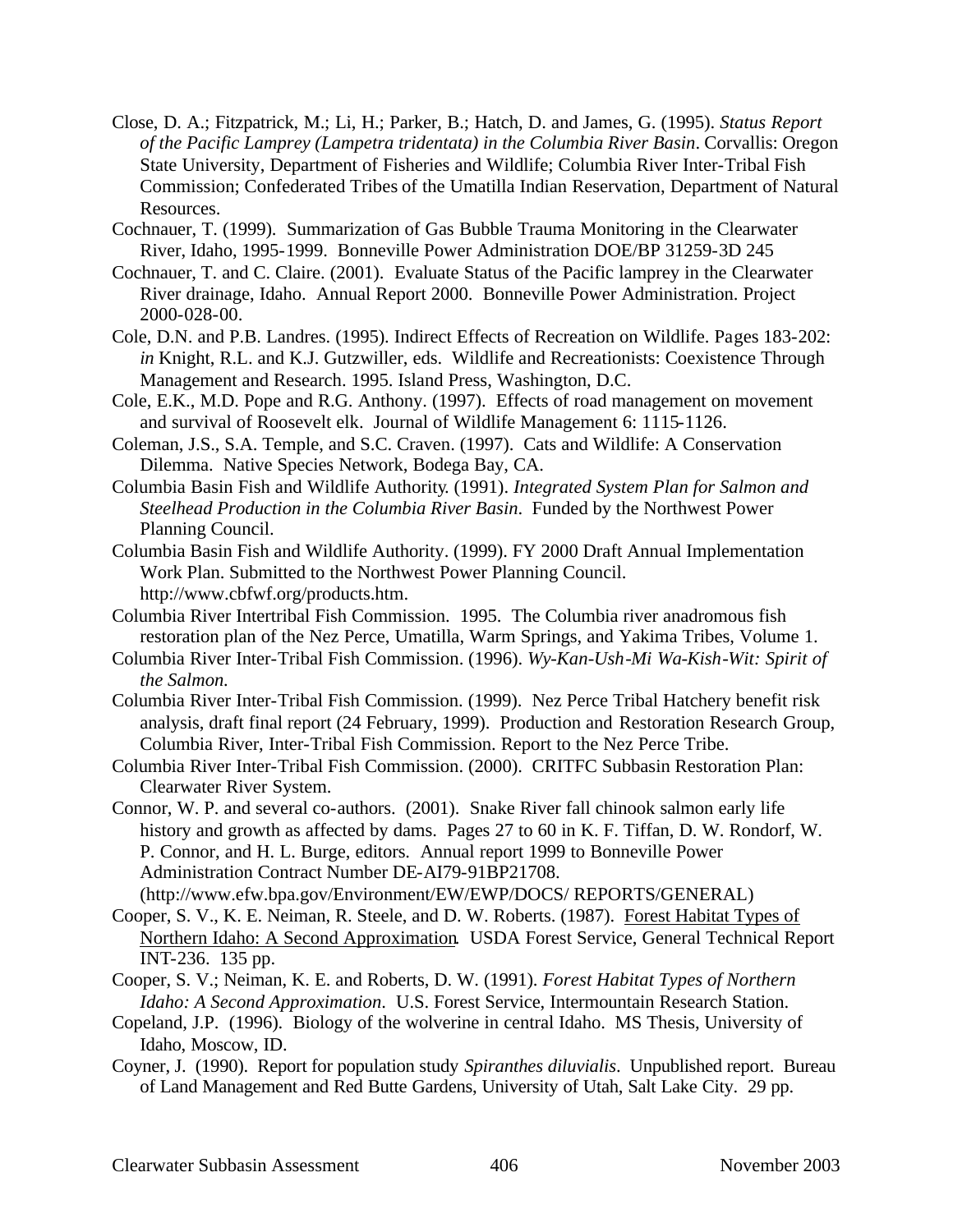- Close, D. A.; Fitzpatrick, M.; Li, H.; Parker, B.; Hatch, D. and James, G. (1995). *Status Report of the Pacific Lamprey (Lampetra tridentata) in the Columbia River Basin*. Corvallis: Oregon State University, Department of Fisheries and Wildlife; Columbia River Inter-Tribal Fish Commission; Confederated Tribes of the Umatilla Indian Reservation, Department of Natural Resources.
- Cochnauer, T. (1999). Summarization of Gas Bubble Trauma Monitoring in the Clearwater River, Idaho, 1995-1999. Bonneville Power Administration DOE/BP 31259-3D 245
- Cochnauer, T. and C. Claire. (2001). Evaluate Status of the Pacific lamprey in the Clearwater River drainage, Idaho. Annual Report 2000. Bonneville Power Administration. Project 2000-028-00.
- Cole, D.N. and P.B. Landres. (1995). Indirect Effects of Recreation on Wildlife. Pages 183-202: *in* Knight, R.L. and K.J. Gutzwiller, eds. Wildlife and Recreationists: Coexistence Through Management and Research. 1995. Island Press, Washington, D.C.
- Cole, E.K., M.D. Pope and R.G. Anthony. (1997). Effects of road management on movement and survival of Roosevelt elk. Journal of Wildlife Management 6: 1115-1126.
- Coleman, J.S., S.A. Temple, and S.C. Craven. (1997). Cats and Wildlife: A Conservation Dilemma. Native Species Network, Bodega Bay, CA.
- Columbia Basin Fish and Wildlife Authority. (1991). *Integrated System Plan for Salmon and Steelhead Production in the Columbia River Basin*. Funded by the Northwest Power Planning Council.
- Columbia Basin Fish and Wildlife Authority. (1999). FY 2000 Draft Annual Implementation Work Plan. Submitted to the Northwest Power Planning Council. http://www.cbfwf.org/products.htm.
- Columbia River Intertribal Fish Commission. 1995. The Columbia river anadromous fish restoration plan of the Nez Perce, Umatilla, Warm Springs, and Yakima Tribes, Volume 1.
- Columbia River Inter-Tribal Fish Commission. (1996). *Wy-Kan-Ush-Mi Wa-Kish-Wit: Spirit of the Salmon.*
- Columbia River Inter-Tribal Fish Commission. (1999). Nez Perce Tribal Hatchery benefit risk analysis, draft final report (24 February, 1999). Production and Restoration Research Group, Columbia River, Inter-Tribal Fish Commission. Report to the Nez Perce Tribe.
- Columbia River Inter-Tribal Fish Commission. (2000). CRITFC Subbasin Restoration Plan: Clearwater River System.
- Connor, W. P. and several co-authors. (2001). Snake River fall chinook salmon early life history and growth as affected by dams. Pages 27 to 60 in K. F. Tiffan, D. W. Rondorf, W. P. Connor, and H. L. Burge, editors. Annual report 1999 to Bonneville Power Administration Contract Number DE-AI79-91BP21708. (http://www.efw.bpa.gov/Environment/EW/EWP/DOCS/ REPORTS/GENERAL)
- Cooper, S. V., K. E. Neiman, R. Steele, and D. W. Roberts. (1987). Forest Habitat Types of Northern Idaho: A Second Approximation. USDA Forest Service, General Technical Report INT-236. 135 pp.
- Cooper, S. V.; Neiman, K. E. and Roberts, D. W. (1991). *Forest Habitat Types of Northern Idaho: A Second Approximation*. U.S. Forest Service, Intermountain Research Station.
- Copeland, J.P. (1996). Biology of the wolverine in central Idaho. MS Thesis, University of Idaho, Moscow, ID.
- Coyner, J. (1990). Report for population study *Spiranthes diluvialis*. Unpublished report. Bureau of Land Management and Red Butte Gardens, University of Utah, Salt Lake City. 29 pp.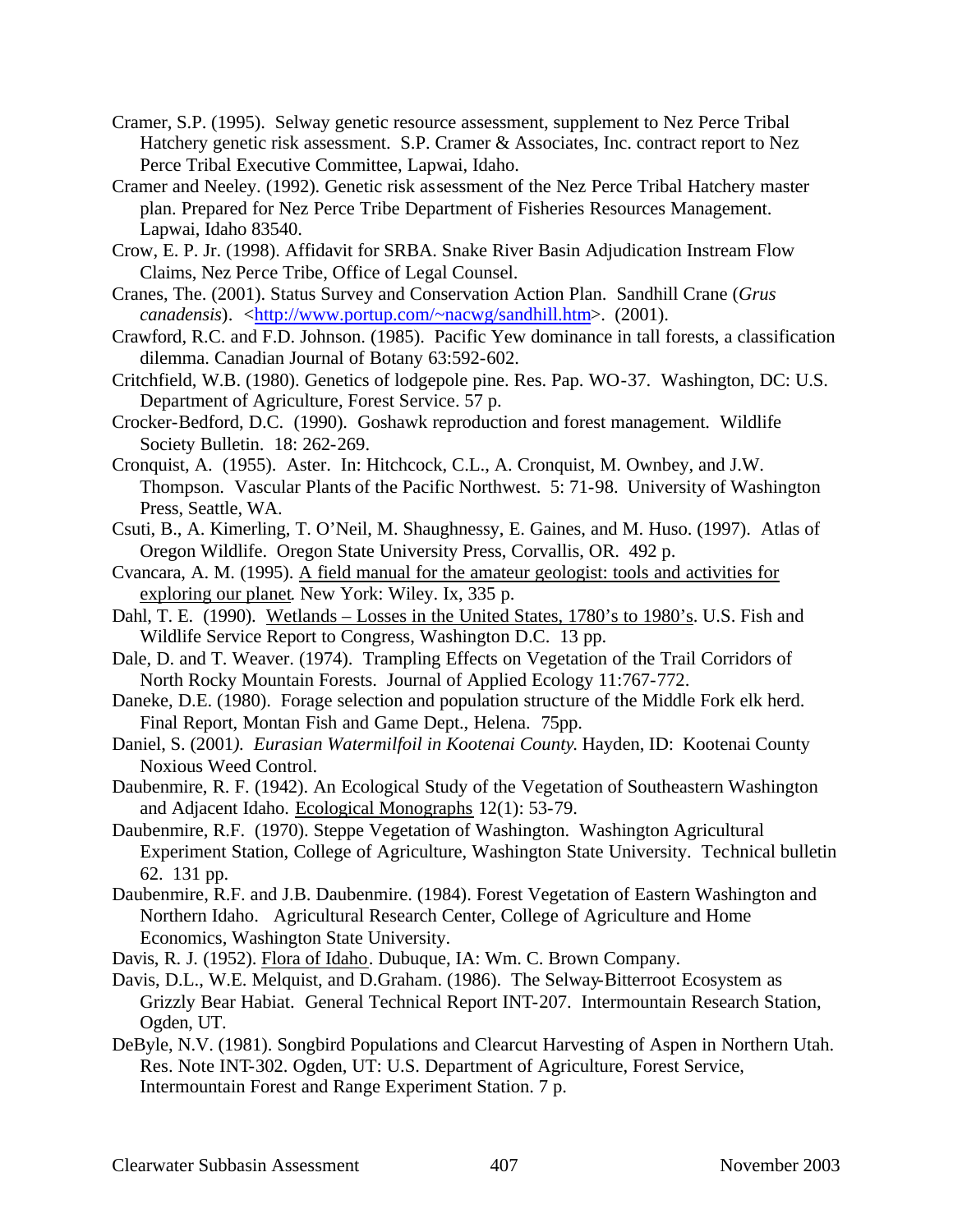- Cramer, S.P. (1995). Selway genetic resource assessment, supplement to Nez Perce Tribal Hatchery genetic risk assessment. S.P. Cramer & Associates, Inc. contract report to Nez Perce Tribal Executive Committee, Lapwai, Idaho.
- Cramer and Neeley. (1992). Genetic risk assessment of the Nez Perce Tribal Hatchery master plan. Prepared for Nez Perce Tribe Department of Fisheries Resources Management. Lapwai, Idaho 83540.
- Crow, E. P. Jr. (1998). Affidavit for SRBA. Snake River Basin Adjudication Instream Flow Claims, Nez Perce Tribe, Office of Legal Counsel.
- Cranes, The. (2001). Status Survey and Conservation Action Plan. Sandhill Crane (*Grus canadensis*). <http://www.portup.com/~nacwg/sandhill.htm>. (2001).
- Crawford, R.C. and F.D. Johnson. (1985). Pacific Yew dominance in tall forests, a classification dilemma. Canadian Journal of Botany 63:592-602.
- Critchfield, W.B. (1980). Genetics of lodgepole pine. Res. Pap. WO-37. Washington, DC: U.S. Department of Agriculture, Forest Service. 57 p.
- Crocker-Bedford, D.C. (1990). Goshawk reproduction and forest management. Wildlife Society Bulletin. 18: 262-269.
- Cronquist, A. (1955). Aster. In: Hitchcock, C.L., A. Cronquist, M. Ownbey, and J.W. Thompson. Vascular Plants of the Pacific Northwest. 5: 71-98. University of Washington Press, Seattle, WA.
- Csuti, B., A. Kimerling, T. O'Neil, M. Shaughnessy, E. Gaines, and M. Huso. (1997). Atlas of Oregon Wildlife. Oregon State University Press, Corvallis, OR. 492 p.
- Cvancara, A. M. (1995). A field manual for the amateur geologist: tools and activities for exploring our planet. New York: Wiley. Ix, 335 p.
- Dahl, T. E. (1990). Wetlands Losses in the United States, 1780's to 1980's. U.S. Fish and Wildlife Service Report to Congress, Washington D.C. 13 pp.
- Dale, D. and T. Weaver. (1974). Trampling Effects on Vegetation of the Trail Corridors of North Rocky Mountain Forests. Journal of Applied Ecology 11:767-772.
- Daneke, D.E. (1980). Forage selection and population structure of the Middle Fork elk herd. Final Report, Montan Fish and Game Dept., Helena. 75pp.
- Daniel, S. (2001*). Eurasian Watermilfoil in Kootenai County*. Hayden, ID: Kootenai County Noxious Weed Control.
- Daubenmire, R. F. (1942). An Ecological Study of the Vegetation of Southeastern Washington and Adjacent Idaho. Ecological Monographs 12(1): 53-79.
- Daubenmire, R.F. (1970). Steppe Vegetation of Washington. Washington Agricultural Experiment Station, College of Agriculture, Washington State University. Technical bulletin 62. 131 pp.
- Daubenmire, R.F. and J.B. Daubenmire. (1984). Forest Vegetation of Eastern Washington and Northern Idaho. Agricultural Research Center, College of Agriculture and Home Economics, Washington State University.
- Davis, R. J. (1952). Flora of Idaho. Dubuque, IA: Wm. C. Brown Company.
- Davis, D.L., W.E. Melquist, and D.Graham. (1986). The Selway-Bitterroot Ecosystem as Grizzly Bear Habiat. General Technical Report INT-207. Intermountain Research Station, Ogden, UT.
- DeByle, N.V. (1981). Songbird Populations and Clearcut Harvesting of Aspen in Northern Utah. Res. Note INT-302. Ogden, UT: U.S. Department of Agriculture, Forest Service, Intermountain Forest and Range Experiment Station. 7 p.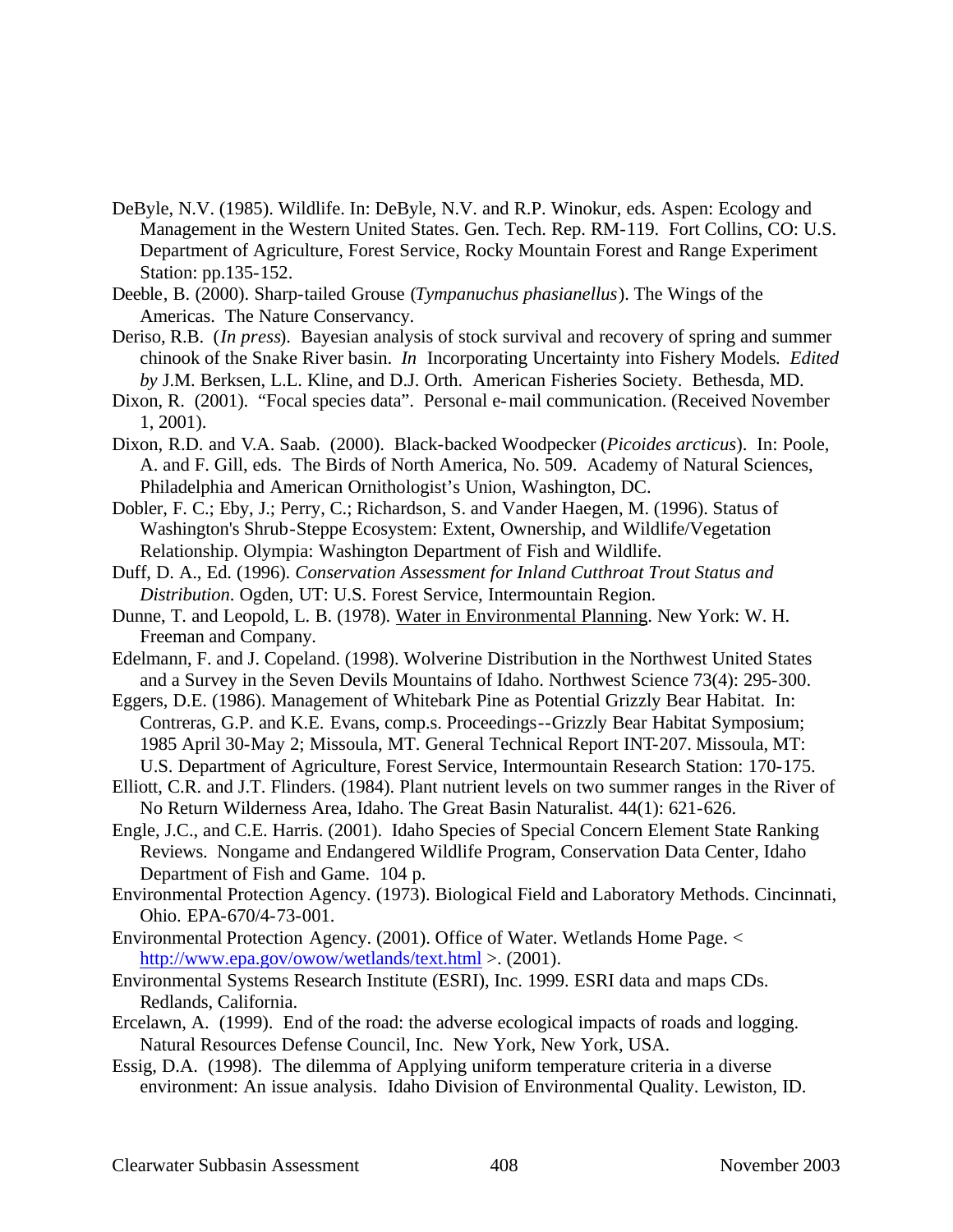- DeByle, N.V. (1985). Wildlife. In: DeByle, N.V. and R.P. Winokur, eds. Aspen: Ecology and Management in the Western United States. Gen. Tech. Rep. RM-119. Fort Collins, CO: U.S. Department of Agriculture, Forest Service, Rocky Mountain Forest and Range Experiment Station: pp.135-152.
- Deeble, B. (2000). Sharp-tailed Grouse (*Tympanuchus phasianellus*). The Wings of the Americas. The Nature Conservancy.
- Deriso, R.B. (*In press*). Bayesian analysis of stock survival and recovery of spring and summer chinook of the Snake River basin. *In* Incorporating Uncertainty into Fishery Models*. Edited by* J.M. Berksen, L.L. Kline, and D.J. Orth. American Fisheries Society. Bethesda, MD.
- Dixon, R. (2001). "Focal species data". Personal e-mail communication. (Received November 1, 2001).
- Dixon, R.D. and V.A. Saab. (2000). Black-backed Woodpecker (*Picoides arcticus*). In: Poole, A. and F. Gill, eds. The Birds of North America, No. 509. Academy of Natural Sciences, Philadelphia and American Ornithologist's Union, Washington, DC.
- Dobler, F. C.; Eby, J.; Perry, C.; Richardson, S. and Vander Haegen, M. (1996). Status of Washington's Shrub-Steppe Ecosystem: Extent, Ownership, and Wildlife/Vegetation Relationship. Olympia: Washington Department of Fish and Wildlife.
- Duff, D. A., Ed. (1996). *Conservation Assessment for Inland Cutthroat Trout Status and Distribution*. Ogden, UT: U.S. Forest Service, Intermountain Region.
- Dunne, T. and Leopold, L. B. (1978). Water in Environmental Planning. New York: W. H. Freeman and Company.
- Edelmann, F. and J. Copeland. (1998). Wolverine Distribution in the Northwest United States and a Survey in the Seven Devils Mountains of Idaho. Northwest Science 73(4): 295-300.
- Eggers, D.E. (1986). Management of Whitebark Pine as Potential Grizzly Bear Habitat. In: Contreras, G.P. and K.E. Evans, comp.s. Proceedings--Grizzly Bear Habitat Symposium; 1985 April 30-May 2; Missoula, MT. General Technical Report INT-207. Missoula, MT: U.S. Department of Agriculture, Forest Service, Intermountain Research Station: 170-175.
- Elliott, C.R. and J.T. Flinders. (1984). Plant nutrient levels on two summer ranges in the River of No Return Wilderness Area, Idaho. The Great Basin Naturalist. 44(1): 621-626.
- Engle, J.C., and C.E. Harris. (2001). Idaho Species of Special Concern Element State Ranking Reviews. Nongame and Endangered Wildlife Program, Conservation Data Center, Idaho Department of Fish and Game. 104 p.
- Environmental Protection Agency. (1973). Biological Field and Laboratory Methods. Cincinnati, Ohio. EPA-670/4-73-001.
- Environmental Protection Agency. (2001). Office of Water. Wetlands Home Page. < http://www.epa.gov/owow/wetlands/text.html > . (2001).
- Environmental Systems Research Institute (ESRI), Inc. 1999. ESRI data and maps CDs. Redlands, California.
- Ercelawn, A. (1999). End of the road: the adverse ecological impacts of roads and logging. Natural Resources Defense Council, Inc. New York, New York, USA.
- Essig, D.A. (1998). The dilemma of Applying uniform temperature criteria in a diverse environment: An issue analysis. Idaho Division of Environmental Quality. Lewiston, ID.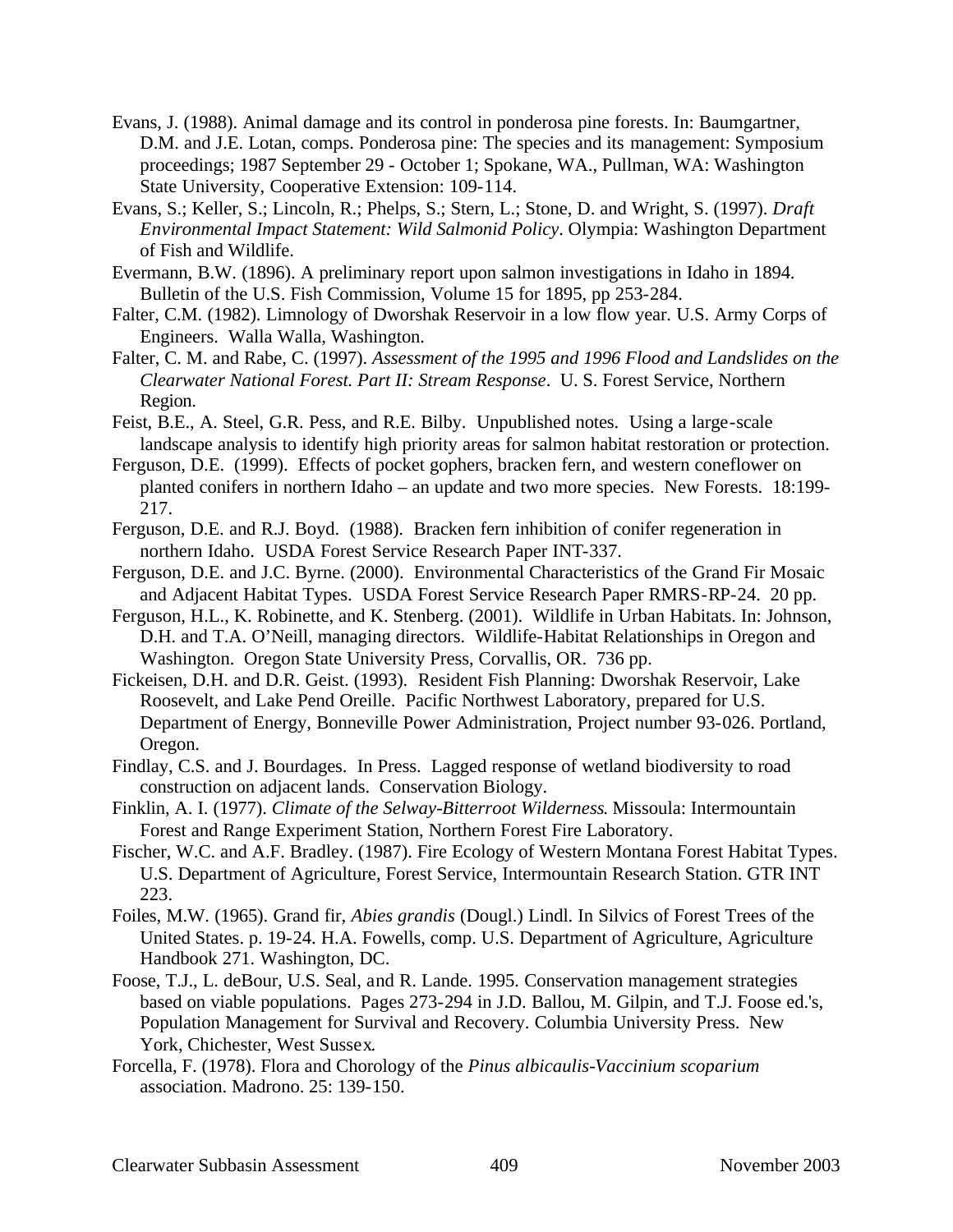- Evans, J. (1988). Animal damage and its control in ponderosa pine forests. In: Baumgartner, D.M. and J.E. Lotan, comps. Ponderosa pine: The species and its management: Symposium proceedings; 1987 September 29 - October 1; Spokane, WA., Pullman, WA: Washington State University, Cooperative Extension: 109-114.
- Evans, S.; Keller, S.; Lincoln, R.; Phelps, S.; Stern, L.; Stone, D. and Wright, S. (1997). *Draft Environmental Impact Statement: Wild Salmonid Policy*. Olympia: Washington Department of Fish and Wildlife.
- Evermann, B.W. (1896). A preliminary report upon salmon investigations in Idaho in 1894. Bulletin of the U.S. Fish Commission, Volume 15 for 1895, pp 253-284.
- Falter, C.M. (1982). Limnology of Dworshak Reservoir in a low flow year. U.S. Army Corps of Engineers. Walla Walla, Washington.
- Falter, C. M. and Rabe, C. (1997). *Assessment of the 1995 and 1996 Flood and Landslides on the Clearwater National Forest. Part II: Stream Response*. U. S. Forest Service, Northern Region.
- Feist, B.E., A. Steel, G.R. Pess, and R.E. Bilby. Unpublished notes. Using a large-scale landscape analysis to identify high priority areas for salmon habitat restoration or protection.
- Ferguson, D.E. (1999). Effects of pocket gophers, bracken fern, and western coneflower on planted conifers in northern Idaho – an update and two more species. New Forests. 18:199- 217.
- Ferguson, D.E. and R.J. Boyd. (1988). Bracken fern inhibition of conifer regeneration in northern Idaho. USDA Forest Service Research Paper INT-337.
- Ferguson, D.E. and J.C. Byrne. (2000). Environmental Characteristics of the Grand Fir Mosaic and Adjacent Habitat Types. USDA Forest Service Research Paper RMRS-RP-24. 20 pp.
- Ferguson, H.L., K. Robinette, and K. Stenberg. (2001). Wildlife in Urban Habitats. In: Johnson, D.H. and T.A. O'Neill, managing directors. Wildlife-Habitat Relationships in Oregon and Washington. Oregon State University Press, Corvallis, OR. 736 pp.
- Fickeisen, D.H. and D.R. Geist. (1993). Resident Fish Planning: Dworshak Reservoir, Lake Roosevelt, and Lake Pend Oreille. Pacific Northwest Laboratory, prepared for U.S. Department of Energy, Bonneville Power Administration, Project number 93-026. Portland, Oregon.
- Findlay, C.S. and J. Bourdages. In Press. Lagged response of wetland biodiversity to road construction on adjacent lands. Conservation Biology.
- Finklin, A. I. (1977). *Climate of the Selway-Bitterroot Wilderness*. Missoula: Intermountain Forest and Range Experiment Station, Northern Forest Fire Laboratory.
- Fischer, W.C. and A.F. Bradley. (1987). Fire Ecology of Western Montana Forest Habitat Types. U.S. Department of Agriculture, Forest Service, Intermountain Research Station. GTR INT 223.
- Foiles, M.W. (1965). Grand fir, *Abies grandis* (Dougl.) Lindl. In Silvics of Forest Trees of the United States. p. 19-24. H.A. Fowells, comp. U.S. Department of Agriculture, Agriculture Handbook 271. Washington, DC.
- Foose, T.J., L. deBour, U.S. Seal, and R. Lande. 1995. Conservation management strategies based on viable populations. Pages 273-294 in J.D. Ballou, M. Gilpin, and T.J. Foose ed.'s, Population Management for Survival and Recovery. Columbia University Press. New York, Chichester, West Sussex.
- Forcella, F. (1978). Flora and Chorology of the *Pinus albicaulis-Vaccinium scoparium* association. Madrono. 25: 139-150.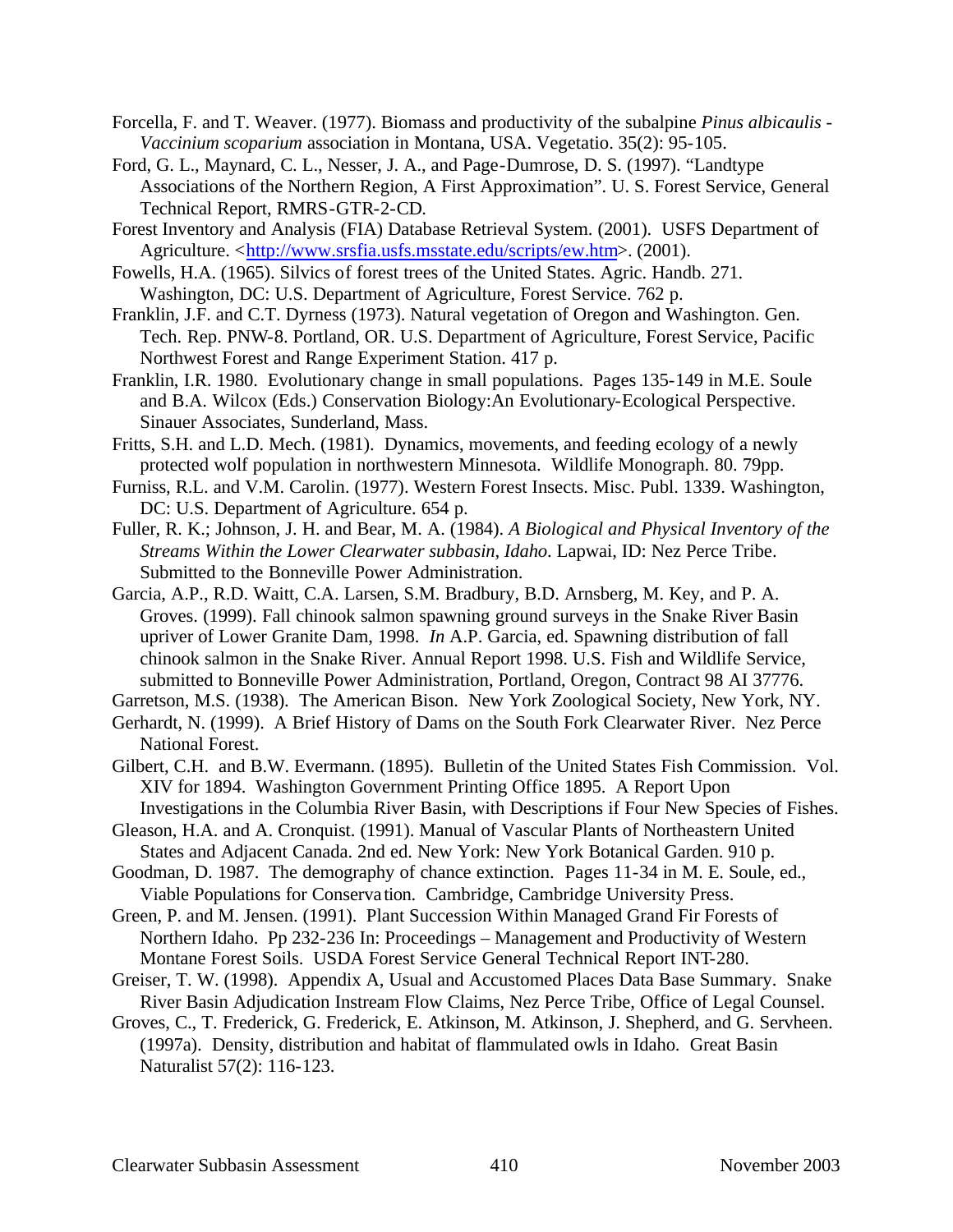- Forcella, F. and T. Weaver. (1977). Biomass and productivity of the subalpine *Pinus albicaulis Vaccinium scoparium* association in Montana, USA. Vegetatio. 35(2): 95-105.
- Ford, G. L., Maynard, C. L., Nesser, J. A., and Page-Dumrose, D. S. (1997). "Landtype Associations of the Northern Region, A First Approximation". U. S. Forest Service, General Technical Report, RMRS-GTR-2-CD.
- Forest Inventory and Analysis (FIA) Database Retrieval System. (2001). USFS Department of Agriculture. <http://www.srsfia.usfs.msstate.edu/scripts/ew.htm>. (2001).
- Fowells, H.A. (1965). Silvics of forest trees of the United States. Agric. Handb. 271. Washington, DC: U.S. Department of Agriculture, Forest Service. 762 p.
- Franklin, J.F. and C.T. Dyrness (1973). Natural vegetation of Oregon and Washington. Gen. Tech. Rep. PNW-8. Portland, OR. U.S. Department of Agriculture, Forest Service, Pacific Northwest Forest and Range Experiment Station. 417 p.
- Franklin, I.R. 1980. Evolutionary change in small populations. Pages 135-149 in M.E. Soule and B.A. Wilcox (Eds.) Conservation Biology:An Evolutionary-Ecological Perspective. Sinauer Associates, Sunderland, Mass.
- Fritts, S.H. and L.D. Mech. (1981). Dynamics, movements, and feeding ecology of a newly protected wolf population in northwestern Minnesota. Wildlife Monograph. 80. 79pp.
- Furniss, R.L. and V.M. Carolin. (1977). Western Forest Insects. Misc. Publ. 1339. Washington, DC: U.S. Department of Agriculture. 654 p.
- Fuller, R. K.; Johnson, J. H. and Bear, M. A. (1984). *A Biological and Physical Inventory of the Streams Within the Lower Clearwater subbasin, Idaho*. Lapwai, ID: Nez Perce Tribe. Submitted to the Bonneville Power Administration.
- Garcia, A.P., R.D. Waitt, C.A. Larsen, S.M. Bradbury, B.D. Arnsberg, M. Key, and P. A. Groves. (1999). Fall chinook salmon spawning ground surveys in the Snake River Basin upriver of Lower Granite Dam, 1998. *In* A.P. Garcia, ed. Spawning distribution of fall chinook salmon in the Snake River. Annual Report 1998. U.S. Fish and Wildlife Service, submitted to Bonneville Power Administration, Portland, Oregon, Contract 98 AI 37776.

Garretson, M.S. (1938). The American Bison. New York Zoological Society, New York, NY.

- Gerhardt, N. (1999). A Brief History of Dams on the South Fork Clearwater River. Nez Perce National Forest.
- Gilbert, C.H. and B.W. Evermann. (1895). Bulletin of the United States Fish Commission. Vol. XIV for 1894. Washington Government Printing Office 1895. A Report Upon Investigations in the Columbia River Basin, with Descriptions if Four New Species of Fishes.
- Gleason, H.A. and A. Cronquist. (1991). Manual of Vascular Plants of Northeastern United States and Adjacent Canada. 2nd ed. New York: New York Botanical Garden. 910 p.
- Goodman, D. 1987. The demography of chance extinction. Pages 11-34 in M. E. Soule, ed., Viable Populations for Conserva tion. Cambridge, Cambridge University Press.
- Green, P. and M. Jensen. (1991). Plant Succession Within Managed Grand Fir Forests of Northern Idaho. Pp 232-236 In: Proceedings – Management and Productivity of Western Montane Forest Soils. USDA Forest Service General Technical Report INT-280.
- Greiser, T. W. (1998). Appendix A, Usual and Accustomed Places Data Base Summary. Snake River Basin Adjudication Instream Flow Claims, Nez Perce Tribe, Office of Legal Counsel.
- Groves, C., T. Frederick, G. Frederick, E. Atkinson, M. Atkinson, J. Shepherd, and G. Servheen. (1997a). Density, distribution and habitat of flammulated owls in Idaho. Great Basin Naturalist 57(2): 116-123.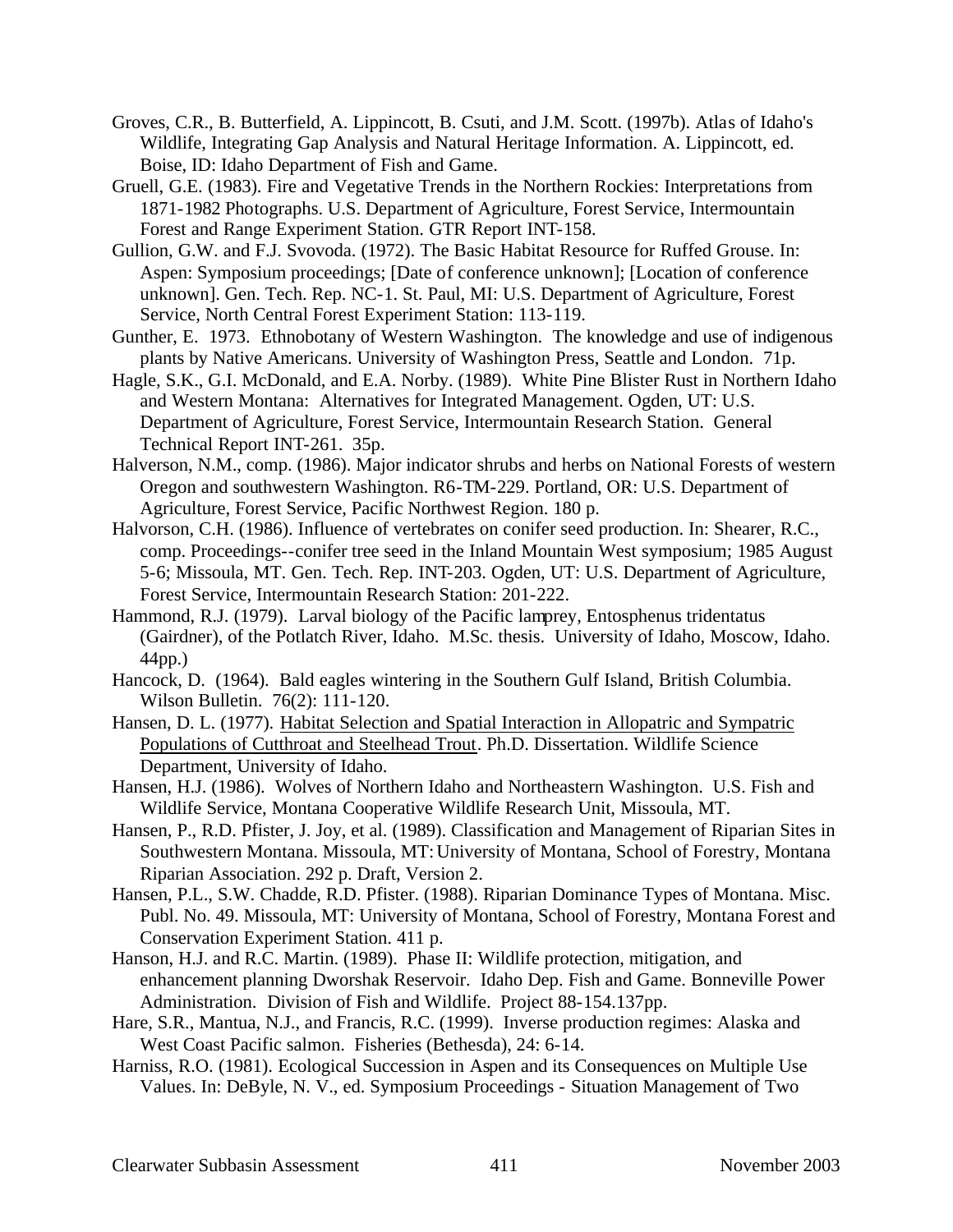- Groves, C.R., B. Butterfield, A. Lippincott, B. Csuti, and J.M. Scott. (1997b). Atlas of Idaho's Wildlife, Integrating Gap Analysis and Natural Heritage Information. A. Lippincott, ed. Boise, ID: Idaho Department of Fish and Game.
- Gruell, G.E. (1983). Fire and Vegetative Trends in the Northern Rockies: Interpretations from 1871-1982 Photographs. U.S. Department of Agriculture, Forest Service, Intermountain Forest and Range Experiment Station. GTR Report INT-158.
- Gullion, G.W. and F.J. Svovoda. (1972). The Basic Habitat Resource for Ruffed Grouse. In: Aspen: Symposium proceedings; [Date of conference unknown]; [Location of conference unknown]. Gen. Tech. Rep. NC-1. St. Paul, MI: U.S. Department of Agriculture, Forest Service, North Central Forest Experiment Station: 113-119.
- Gunther, E. 1973. Ethnobotany of Western Washington. The knowledge and use of indigenous plants by Native Americans. University of Washington Press, Seattle and London. 71p.
- Hagle, S.K., G.I. McDonald, and E.A. Norby. (1989). White Pine Blister Rust in Northern Idaho and Western Montana: Alternatives for Integrated Management. Ogden, UT: U.S. Department of Agriculture, Forest Service, Intermountain Research Station. General Technical Report INT-261. 35p.
- Halverson, N.M., comp. (1986). Major indicator shrubs and herbs on National Forests of western Oregon and southwestern Washington. R6-TM-229. Portland, OR: U.S. Department of Agriculture, Forest Service, Pacific Northwest Region. 180 p.
- Halvorson, C.H. (1986). Influence of vertebrates on conifer seed production. In: Shearer, R.C., comp. Proceedings--conifer tree seed in the Inland Mountain West symposium; 1985 August 5-6; Missoula, MT. Gen. Tech. Rep. INT-203. Ogden, UT: U.S. Department of Agriculture, Forest Service, Intermountain Research Station: 201-222.
- Hammond, R.J. (1979). Larval biology of the Pacific lamprey, Entosphenus tridentatus (Gairdner), of the Potlatch River, Idaho. M.Sc. thesis. University of Idaho, Moscow, Idaho. 44pp.)
- Hancock, D. (1964). Bald eagles wintering in the Southern Gulf Island, British Columbia. Wilson Bulletin. 76(2): 111-120.
- Hansen, D. L. (1977). Habitat Selection and Spatial Interaction in Allopatric and Sympatric Populations of Cutthroat and Steelhead Trout. Ph.D. Dissertation. Wildlife Science Department, University of Idaho.
- Hansen, H.J. (1986). Wolves of Northern Idaho and Northeastern Washington. U.S. Fish and Wildlife Service, Montana Cooperative Wildlife Research Unit, Missoula, MT.
- Hansen, P., R.D. Pfister, J. Joy, et al. (1989). Classification and Management of Riparian Sites in Southwestern Montana. Missoula, MT: University of Montana, School of Forestry, Montana Riparian Association. 292 p. Draft, Version 2.
- Hansen, P.L., S.W. Chadde, R.D. Pfister. (1988). Riparian Dominance Types of Montana. Misc. Publ. No. 49. Missoula, MT: University of Montana, School of Forestry, Montana Forest and Conservation Experiment Station. 411 p.
- Hanson, H.J. and R.C. Martin. (1989). Phase II: Wildlife protection, mitigation, and enhancement planning Dworshak Reservoir. Idaho Dep. Fish and Game. Bonneville Power Administration. Division of Fish and Wildlife. Project 88-154.137pp.
- Hare, S.R., Mantua, N.J., and Francis, R.C. (1999). Inverse production regimes: Alaska and West Coast Pacific salmon. Fisheries (Bethesda), 24: 6-14.
- Harniss, R.O. (1981). Ecological Succession in Aspen and its Consequences on Multiple Use Values. In: DeByle, N. V., ed. Symposium Proceedings - Situation Management of Two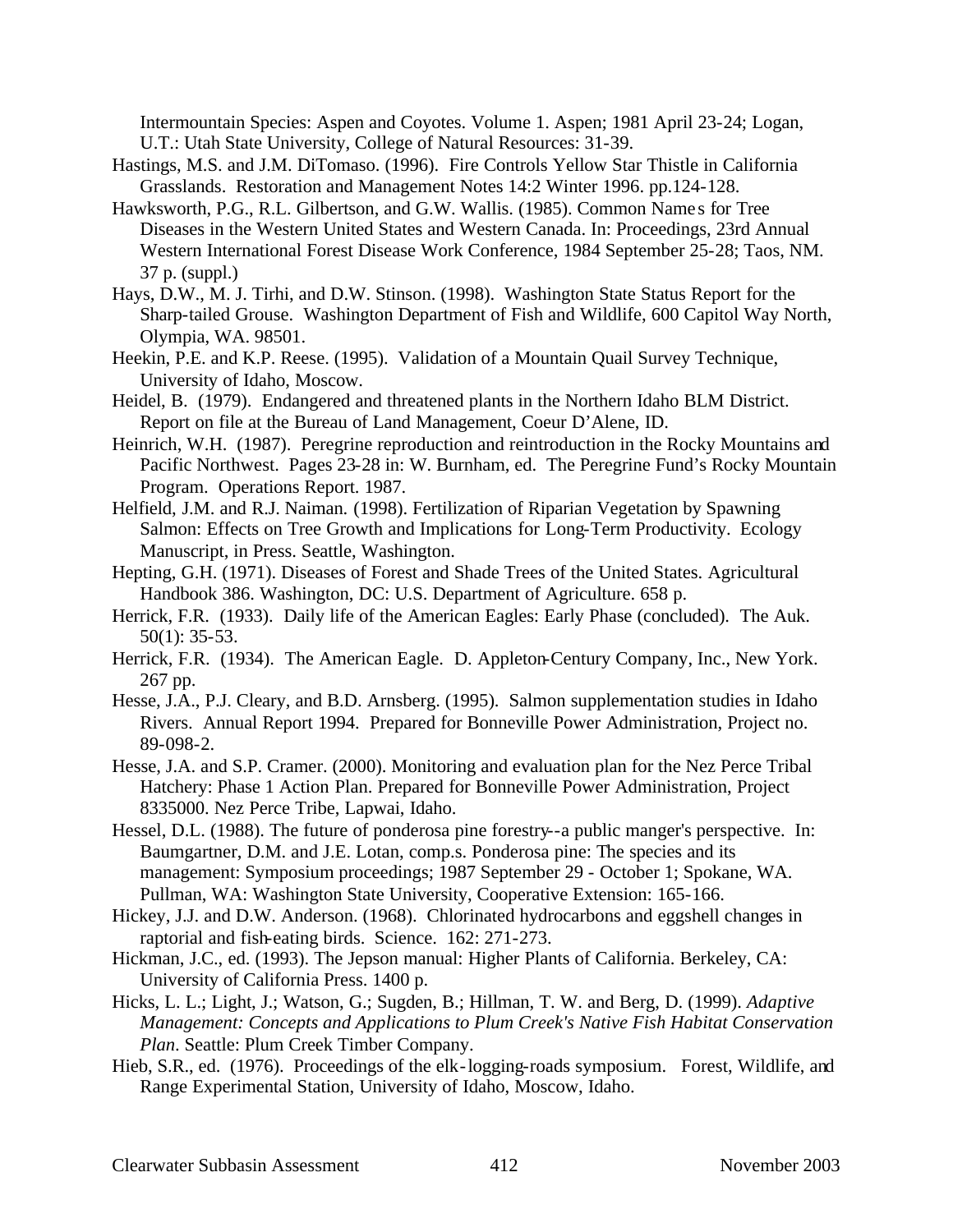Intermountain Species: Aspen and Coyotes. Volume 1. Aspen; 1981 April 23-24; Logan, U.T.: Utah State University, College of Natural Resources: 31-39.

- Hastings, M.S. and J.M. DiTomaso. (1996). Fire Controls Yellow Star Thistle in California Grasslands. Restoration and Management Notes 14:2 Winter 1996. pp.124-128.
- Hawksworth, P.G., R.L. Gilbertson, and G.W. Wallis. (1985). Common Name s for Tree Diseases in the Western United States and Western Canada. In: Proceedings, 23rd Annual Western International Forest Disease Work Conference, 1984 September 25-28; Taos, NM. 37 p. (suppl.)
- Hays, D.W., M. J. Tirhi, and D.W. Stinson. (1998). Washington State Status Report for the Sharp-tailed Grouse. Washington Department of Fish and Wildlife, 600 Capitol Way North, Olympia, WA. 98501.
- Heekin, P.E. and K.P. Reese. (1995). Validation of a Mountain Quail Survey Technique, University of Idaho, Moscow.
- Heidel, B. (1979). Endangered and threatened plants in the Northern Idaho BLM District. Report on file at the Bureau of Land Management, Coeur D'Alene, ID.
- Heinrich, W.H. (1987). Peregrine reproduction and reintroduction in the Rocky Mountains and Pacific Northwest. Pages 23-28 in: W. Burnham, ed. The Peregrine Fund's Rocky Mountain Program. Operations Report. 1987.
- Helfield, J.M. and R.J. Naiman. (1998). Fertilization of Riparian Vegetation by Spawning Salmon: Effects on Tree Growth and Implications for Long-Term Productivity. Ecology Manuscript, in Press. Seattle, Washington.
- Hepting, G.H. (1971). Diseases of Forest and Shade Trees of the United States. Agricultural Handbook 386. Washington, DC: U.S. Department of Agriculture. 658 p.
- Herrick, F.R. (1933). Daily life of the American Eagles: Early Phase (concluded). The Auk. 50(1): 35-53.
- Herrick, F.R. (1934). The American Eagle. D. Appleton-Century Company, Inc., New York. 267 pp.
- Hesse, J.A., P.J. Cleary, and B.D. Arnsberg. (1995). Salmon supplementation studies in Idaho Rivers. Annual Report 1994. Prepared for Bonneville Power Administration, Project no. 89-098-2.
- Hesse, J.A. and S.P. Cramer. (2000). Monitoring and evaluation plan for the Nez Perce Tribal Hatchery: Phase 1 Action Plan. Prepared for Bonneville Power Administration, Project 8335000. Nez Perce Tribe, Lapwai, Idaho.
- Hessel, D.L. (1988). The future of ponderosa pine forestry--a public manger's perspective. In: Baumgartner, D.M. and J.E. Lotan, comp.s. Ponderosa pine: The species and its management: Symposium proceedings; 1987 September 29 - October 1; Spokane, WA. Pullman, WA: Washington State University, Cooperative Extension: 165-166.
- Hickey, J.J. and D.W. Anderson. (1968). Chlorinated hydrocarbons and eggshell changes in raptorial and fish-eating birds. Science. 162: 271-273.
- Hickman, J.C., ed. (1993). The Jepson manual: Higher Plants of California. Berkeley, CA: University of California Press. 1400 p.
- Hicks, L. L.; Light, J.; Watson, G.; Sugden, B.; Hillman, T. W. and Berg, D. (1999). *Adaptive Management: Concepts and Applications to Plum Creek's Native Fish Habitat Conservation Plan*. Seattle: Plum Creek Timber Company.
- Hieb, S.R., ed. (1976). Proceedings of the elk-logging-roads symposium. Forest, Wildlife, and Range Experimental Station, University of Idaho, Moscow, Idaho.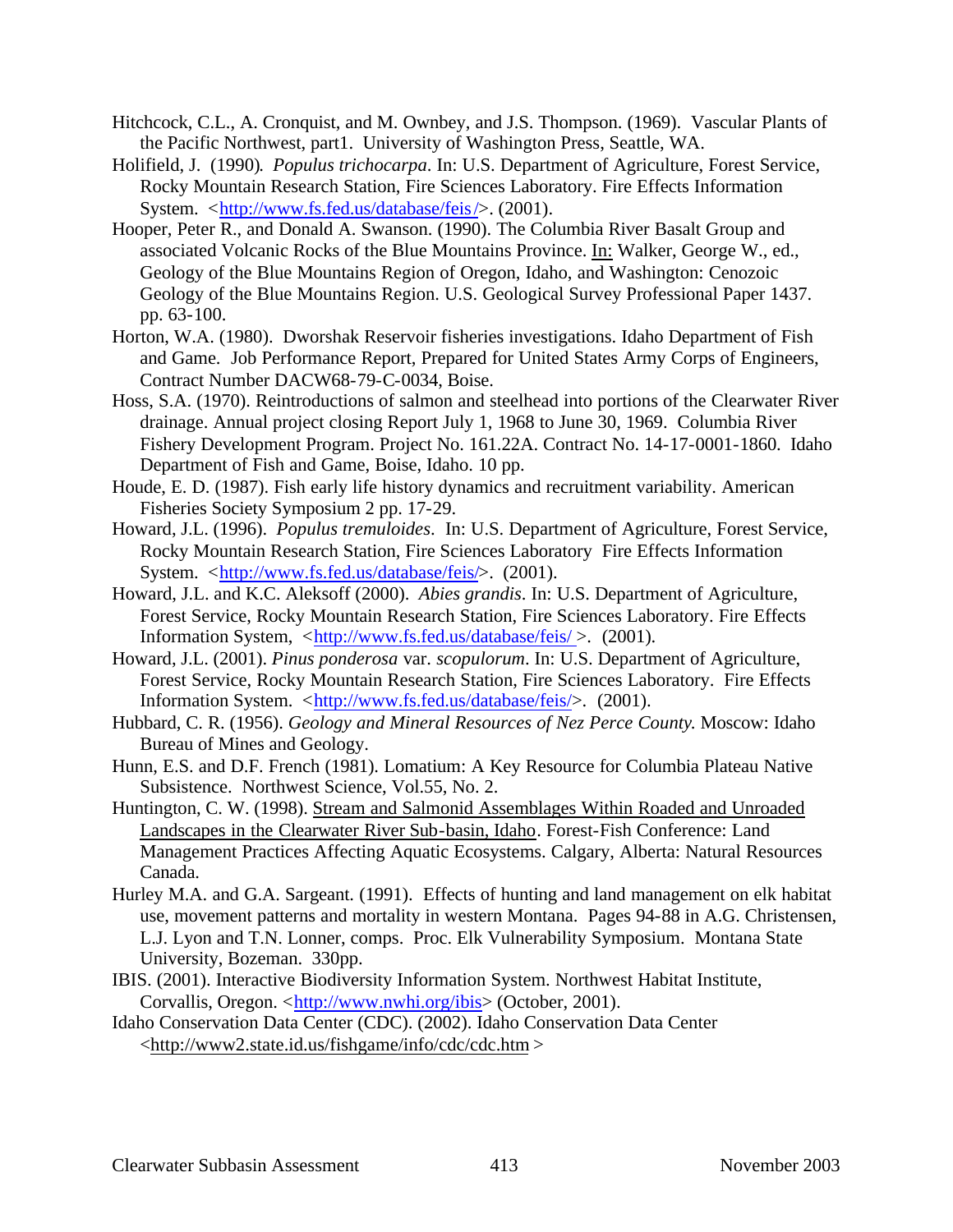- Hitchcock, C.L., A. Cronquist, and M. Ownbey, and J.S. Thompson. (1969). Vascular Plants of the Pacific Northwest, part1. University of Washington Press, Seattle, WA.
- Holifield, J. (1990). *Populus trichocarpa*. In: U.S. Department of Agriculture, Forest Service, Rocky Mountain Research Station, Fire Sciences Laboratory. Fire Effects Information System. <http://www.fs.fed.us/database/feis/>. (2001).
- Hooper, Peter R., and Donald A. Swanson. (1990). The Columbia River Basalt Group and associated Volcanic Rocks of the Blue Mountains Province. In: Walker, George W., ed., Geology of the Blue Mountains Region of Oregon, Idaho, and Washington: Cenozoic Geology of the Blue Mountains Region. U.S. Geological Survey Professional Paper 1437. pp. 63-100.
- Horton, W.A. (1980). Dworshak Reservoir fisheries investigations. Idaho Department of Fish and Game. Job Performance Report, Prepared for United States Army Corps of Engineers, Contract Number DACW68-79-C-0034, Boise.
- Hoss, S.A. (1970). Reintroductions of salmon and steelhead into portions of the Clearwater River drainage. Annual project closing Report July 1, 1968 to June 30, 1969. Columbia River Fishery Development Program. Project No. 161.22A. Contract No. 14-17-0001-1860. Idaho Department of Fish and Game, Boise, Idaho. 10 pp.
- Houde, E. D. (1987). Fish early life history dynamics and recruitment variability. American Fisheries Society Symposium 2 pp. 17-29.
- Howard, J.L. (1996). *Populus tremuloides*. In: U.S. Department of Agriculture, Forest Service, Rocky Mountain Research Station, Fire Sciences Laboratory Fire Effects Information System. <http://www.fs.fed.us/database/feis/>. (2001).
- Howard, J.L. and K.C. Aleksoff (2000). *Abies grandis*. In: U.S. Department of Agriculture, Forest Service, Rocky Mountain Research Station, Fire Sciences Laboratory. Fire Effects Information System, <http://www.fs.fed.us/database/feis/ >. (2001).
- Howard, J.L. (2001). *Pinus ponderosa* var. *scopulorum*. In: U.S. Department of Agriculture, Forest Service, Rocky Mountain Research Station, Fire Sciences Laboratory. Fire Effects Information System. <http://www.fs.fed.us/database/feis/>. (2001).
- Hubbard, C. R. (1956). *Geology and Mineral Resources of Nez Perce County*. Moscow: Idaho Bureau of Mines and Geology.
- Hunn, E.S. and D.F. French (1981). Lomatium: A Key Resource for Columbia Plateau Native Subsistence. Northwest Science, Vol.55, No. 2.
- Huntington, C. W. (1998). Stream and Salmonid Assemblages Within Roaded and Unroaded Landscapes in the Clearwater River Sub-basin, Idaho. Forest-Fish Conference: Land Management Practices Affecting Aquatic Ecosystems. Calgary, Alberta: Natural Resources Canada.
- Hurley M.A. and G.A. Sargeant. (1991). Effects of hunting and land management on elk habitat use, movement patterns and mortality in western Montana. Pages 94-88 in A.G. Christensen, L.J. Lyon and T.N. Lonner, comps. Proc. Elk Vulnerability Symposium. Montana State University, Bozeman. 330pp.
- IBIS. (2001). Interactive Biodiversity Information System. Northwest Habitat Institute, Corvallis, Oregon. <http://www.nwhi.org/ibis> (October, 2001).
- Idaho Conservation Data Center (CDC). (2002). Idaho Conservation Data Center <http://www2.state.id.us/fishgame/info/cdc/cdc.htm >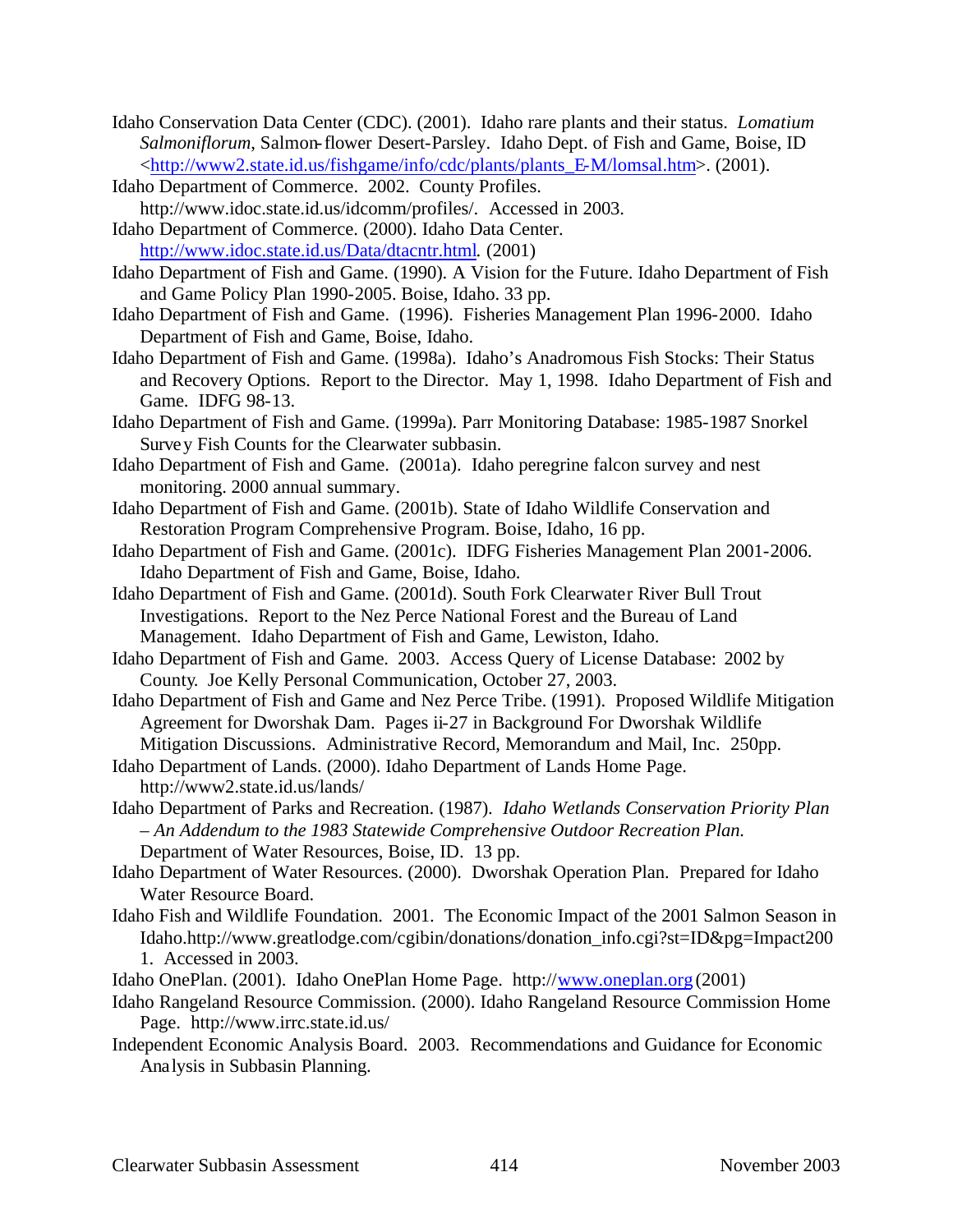- Idaho Conservation Data Center (CDC). (2001). Idaho rare plants and their status. *Lomatium Salmoniflorum*, Salmon-flower Desert-Parsley. Idaho Dept. of Fish and Game, Boise, ID <http://www2.state.id.us/fishgame/info/cdc/plants/plants\_E-M/lomsal.htm>. (2001).
- Idaho Department of Commerce. 2002. County Profiles.

http://www.idoc.state.id.us/idcomm/profiles/. Accessed in 2003.

- Idaho Department of Commerce. (2000). Idaho Data Center. http://www.idoc.state.id.us/Data/dtacntr.html. (2001)
- Idaho Department of Fish and Game. (1990). A Vision for the Future. Idaho Department of Fish and Game Policy Plan 1990-2005. Boise, Idaho. 33 pp.
- Idaho Department of Fish and Game. (1996). Fisheries Management Plan 1996-2000. Idaho Department of Fish and Game, Boise, Idaho.
- Idaho Department of Fish and Game. (1998a). Idaho's Anadromous Fish Stocks: Their Status and Recovery Options. Report to the Director. May 1, 1998. Idaho Department of Fish and Game. IDFG 98-13.
- Idaho Department of Fish and Game. (1999a). Parr Monitoring Database: 1985-1987 Snorkel Survey Fish Counts for the Clearwater subbasin.
- Idaho Department of Fish and Game. (2001a). Idaho peregrine falcon survey and nest monitoring. 2000 annual summary.
- Idaho Department of Fish and Game. (2001b). State of Idaho Wildlife Conservation and Restoration Program Comprehensive Program. Boise, Idaho, 16 pp.
- Idaho Department of Fish and Game. (2001c). IDFG Fisheries Management Plan 2001-2006. Idaho Department of Fish and Game, Boise, Idaho.
- Idaho Department of Fish and Game. (2001d). South Fork Clearwater River Bull Trout Investigations. Report to the Nez Perce National Forest and the Bureau of Land Management. Idaho Department of Fish and Game, Lewiston, Idaho.
- Idaho Department of Fish and Game. 2003. Access Query of License Database: 2002 by County. Joe Kelly Personal Communication, October 27, 2003.
- Idaho Department of Fish and Game and Nez Perce Tribe. (1991). Proposed Wildlife Mitigation Agreement for Dworshak Dam. Pages ii-27 in Background For Dworshak Wildlife Mitigation Discussions. Administrative Record, Memorandum and Mail, Inc. 250pp.
- Idaho Department of Lands. (2000). Idaho Department of Lands Home Page.
	- http://www2.state.id.us/lands/
- Idaho Department of Parks and Recreation. (1987). *Idaho Wetlands Conservation Priority Plan – An Addendum to the 1983 Statewide Comprehensive Outdoor Recreation Plan.*  Department of Water Resources, Boise, ID. 13 pp.
- Idaho Department of Water Resources. (2000). Dworshak Operation Plan. Prepared for Idaho Water Resource Board.
- Idaho Fish and Wildlife Foundation. 2001. The Economic Impact of the 2001 Salmon Season in Idaho.http://www.greatlodge.com/cgibin/donations/donation\_info.cgi?st=ID&pg=Impact200 1. Accessed in 2003.
- Idaho OnePlan. (2001). Idaho OnePlan Home Page. http://www.oneplan.org (2001)
- Idaho Rangeland Resource Commission. (2000). Idaho Rangeland Resource Commission Home Page. http://www.irrc.state.id.us/
- Independent Economic Analysis Board. 2003. Recommendations and Guidance for Economic Analysis in Subbasin Planning.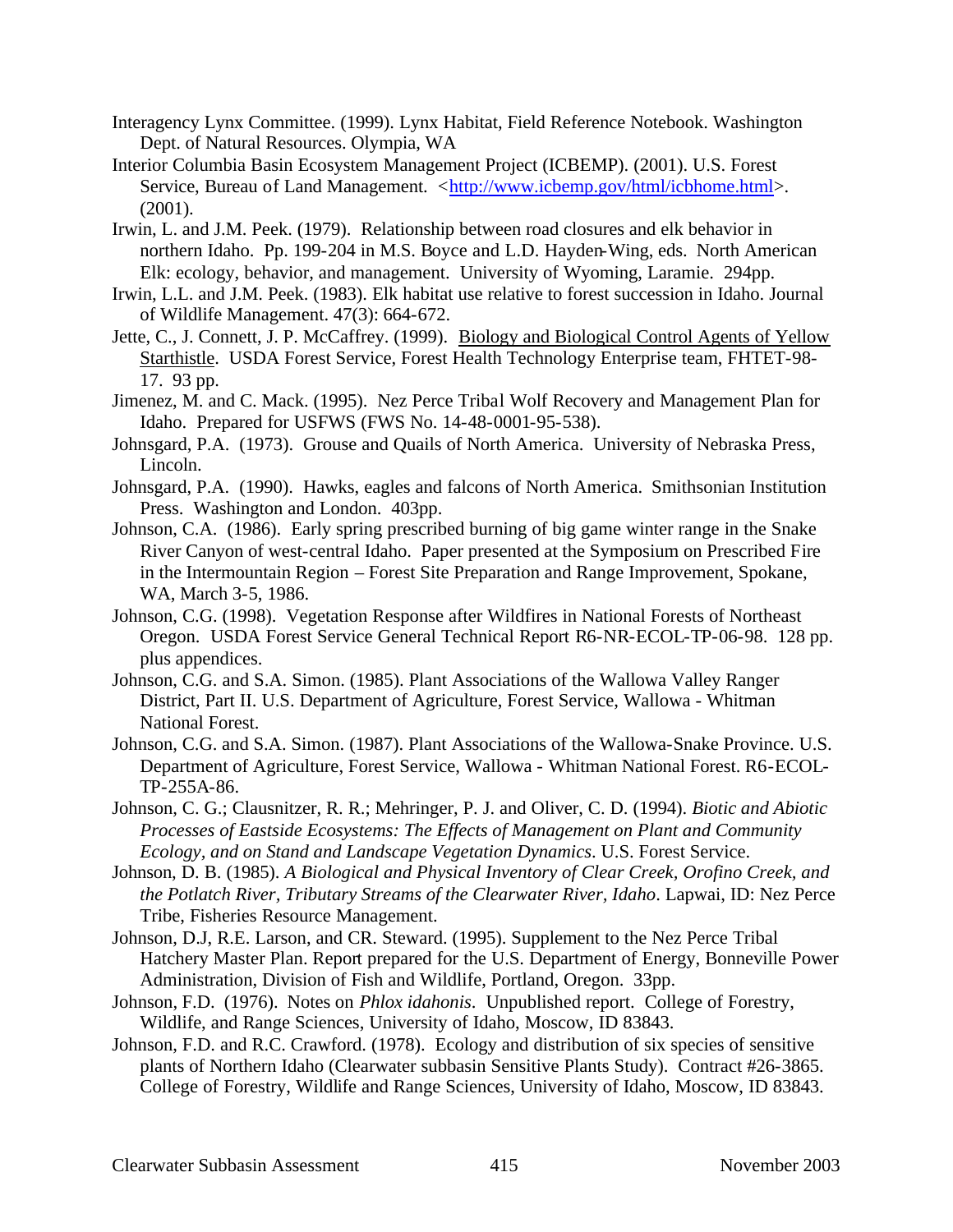- Interagency Lynx Committee. (1999). Lynx Habitat, Field Reference Notebook. Washington Dept. of Natural Resources. Olympia, WA
- Interior Columbia Basin Ecosystem Management Project (ICBEMP). (2001). U.S. Forest Service, Bureau of Land Management. <http://www.icbemp.gov/html/icbhome.html>. (2001).
- Irwin, L. and J.M. Peek. (1979). Relationship between road closures and elk behavior in northern Idaho. Pp. 199-204 in M.S. Boyce and L.D. Hayden-Wing, eds. North American Elk: ecology, behavior, and management. University of Wyoming, Laramie. 294pp.
- Irwin, L.L. and J.M. Peek. (1983). Elk habitat use relative to forest succession in Idaho. Journal of Wildlife Management. 47(3): 664-672.
- Jette, C., J. Connett, J. P. McCaffrey. (1999). Biology and Biological Control Agents of Yellow Starthistle. USDA Forest Service, Forest Health Technology Enterprise team, FHTET-98- 17. 93 pp.
- Jimenez, M. and C. Mack. (1995). Nez Perce Tribal Wolf Recovery and Management Plan for Idaho. Prepared for USFWS (FWS No. 14-48-0001-95-538).
- Johnsgard, P.A. (1973). Grouse and Quails of North America. University of Nebraska Press, Lincoln.
- Johnsgard, P.A. (1990). Hawks, eagles and falcons of North America. Smithsonian Institution Press. Washington and London. 403pp.
- Johnson, C.A. (1986). Early spring prescribed burning of big game winter range in the Snake River Canyon of west-central Idaho. Paper presented at the Symposium on Prescribed Fire in the Intermountain Region – Forest Site Preparation and Range Improvement, Spokane, WA, March 3-5, 1986.
- Johnson, C.G. (1998). Vegetation Response after Wildfires in National Forests of Northeast Oregon. USDA Forest Service General Technical Report R6-NR-ECOL-TP-06-98. 128 pp. plus appendices.
- Johnson, C.G. and S.A. Simon. (1985). Plant Associations of the Wallowa Valley Ranger District, Part II. U.S. Department of Agriculture, Forest Service, Wallowa - Whitman National Forest.
- Johnson, C.G. and S.A. Simon. (1987). Plant Associations of the Wallowa-Snake Province. U.S. Department of Agriculture, Forest Service, Wallowa - Whitman National Forest. R6-ECOL-TP-255A-86.
- Johnson, C. G.; Clausnitzer, R. R.; Mehringer, P. J. and Oliver, C. D. (1994). *Biotic and Abiotic Processes of Eastside Ecosystems: The Effects of Management on Plant and Community Ecology, and on Stand and Landscape Vegetation Dynamics*. U.S. Forest Service.
- Johnson, D. B. (1985). *A Biological and Physical Inventory of Clear Creek, Orofino Creek, and the Potlatch River, Tributary Streams of the Clearwater River, Idaho*. Lapwai, ID: Nez Perce Tribe, Fisheries Resource Management.
- Johnson, D.J, R.E. Larson, and CR. Steward. (1995). Supplement to the Nez Perce Tribal Hatchery Master Plan. Report prepared for the U.S. Department of Energy, Bonneville Power Administration, Division of Fish and Wildlife, Portland, Oregon. 33pp.
- Johnson, F.D. (1976). Notes on *Phlox idahonis*. Unpublished report. College of Forestry, Wildlife, and Range Sciences, University of Idaho, Moscow, ID 83843.
- Johnson, F.D. and R.C. Crawford. (1978). Ecology and distribution of six species of sensitive plants of Northern Idaho (Clearwater subbasin Sensitive Plants Study). Contract #26-3865. College of Forestry, Wildlife and Range Sciences, University of Idaho, Moscow, ID 83843.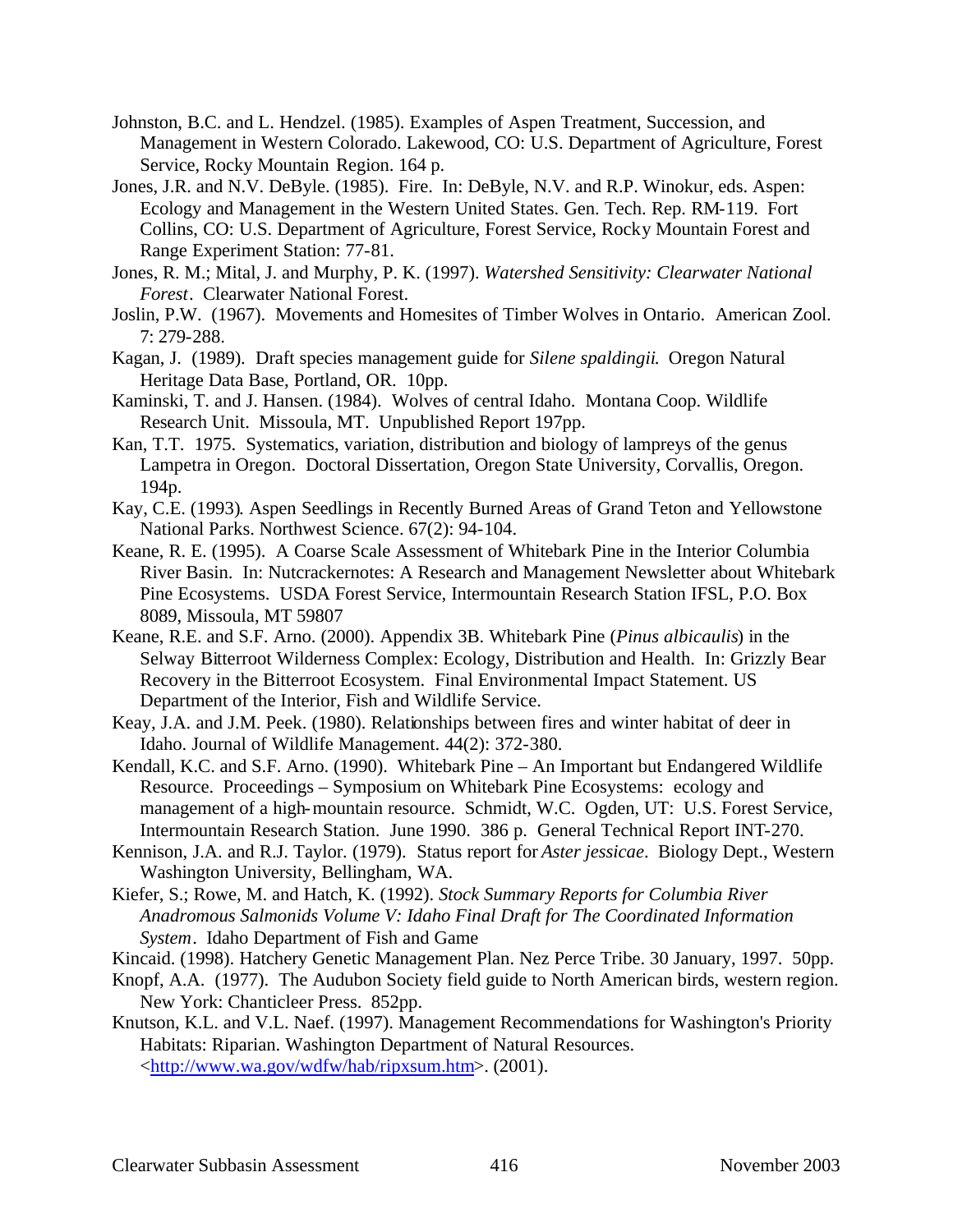- Johnston, B.C. and L. Hendzel. (1985). Examples of Aspen Treatment, Succession, and Management in Western Colorado. Lakewood, CO: U.S. Department of Agriculture, Forest Service, Rocky Mountain Region. 164 p.
- Jones, J.R. and N.V. DeByle. (1985). Fire. In: DeByle, N.V. and R.P. Winokur, eds. Aspen: Ecology and Management in the Western United States. Gen. Tech. Rep. RM-119. Fort Collins, CO: U.S. Department of Agriculture, Forest Service, Rocky Mountain Forest and Range Experiment Station: 77-81.
- Jones, R. M.; Mital, J. and Murphy, P. K. (1997). *Watershed Sensitivity: Clearwater National Forest*. Clearwater National Forest.
- Joslin, P.W. (1967). Movements and Homesites of Timber Wolves in Ontario. American Zool. 7: 279-288.
- Kagan, J. (1989). Draft species management guide for *Silene spaldingii*. Oregon Natural Heritage Data Base, Portland, OR. 10pp.
- Kaminski, T. and J. Hansen. (1984). Wolves of central Idaho. Montana Coop. Wildlife Research Unit. Missoula, MT. Unpublished Report 197pp.
- Kan, T.T. 1975. Systematics, variation, distribution and biology of lampreys of the genus Lampetra in Oregon. Doctoral Dissertation, Oregon State University, Corvallis, Oregon. 194p.
- Kay, C.E. (1993). Aspen Seedlings in Recently Burned Areas of Grand Teton and Yellowstone National Parks. Northwest Science. 67(2): 94-104.
- Keane, R. E. (1995). A Coarse Scale Assessment of Whitebark Pine in the Interior Columbia River Basin. In: Nutcrackernotes: A Research and Management Newsletter about Whitebark Pine Ecosystems. USDA Forest Service, Intermountain Research Station IFSL, P.O. Box 8089, Missoula, MT 59807
- Keane, R.E. and S.F. Arno. (2000). Appendix 3B. Whitebark Pine (*Pinus albicaulis*) in the Selway Bitterroot Wilderness Complex: Ecology, Distribution and Health. In: Grizzly Bear Recovery in the Bitterroot Ecosystem. Final Environmental Impact Statement. US Department of the Interior, Fish and Wildlife Service.
- Keay, J.A. and J.M. Peek. (1980). Relationships between fires and winter habitat of deer in Idaho. Journal of Wildlife Management. 44(2): 372-380.
- Kendall, K.C. and S.F. Arno. (1990). Whitebark Pine An Important but Endangered Wildlife Resource. Proceedings – Symposium on Whitebark Pine Ecosystems: ecology and management of a high-mountain resource. Schmidt, W.C. Ogden, UT: U.S. Forest Service, Intermountain Research Station. June 1990. 386 p. General Technical Report INT-270.
- Kennison, J.A. and R.J. Taylor. (1979). Status report for *Aster jessicae*. Biology Dept., Western Washington University, Bellingham, WA.
- Kiefer, S.; Rowe, M. and Hatch, K. (1992). *Stock Summary Reports for Columbia River Anadromous Salmonids Volume V: Idaho Final Draft for The Coordinated Information System*. Idaho Department of Fish and Game

Kincaid. (1998). Hatchery Genetic Management Plan. Nez Perce Tribe. 30 January, 1997. 50pp.

- Knopf, A.A. (1977). The Audubon Society field guide to North American birds, western region. New York: Chanticleer Press. 852pp.
- Knutson, K.L. and V.L. Naef. (1997). Management Recommendations for Washington's Priority Habitats: Riparian. Washington Department of Natural Resources. <http://www.wa.gov/wdfw/hab/ripxsum.htm>. (2001).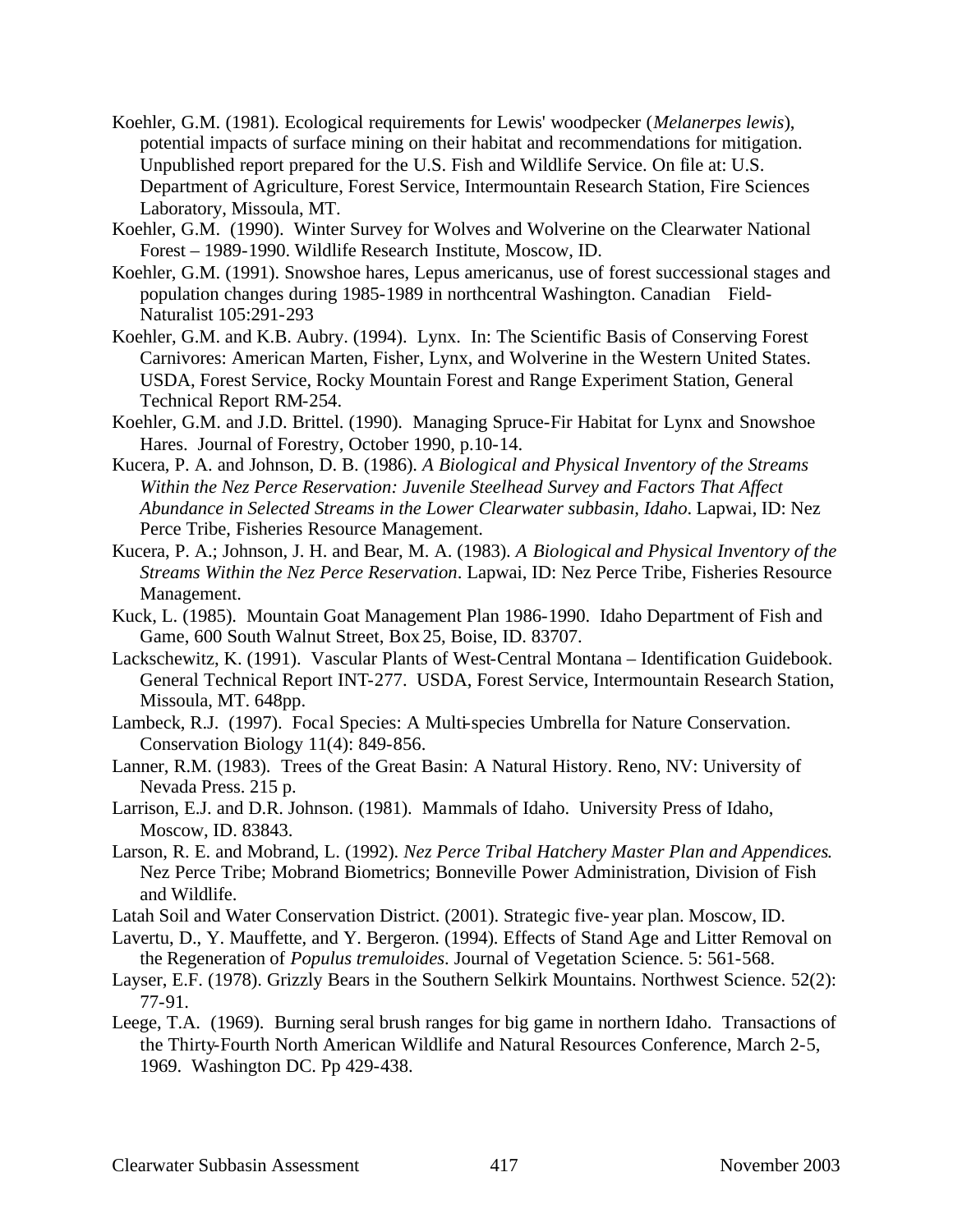- Koehler, G.M. (1981). Ecological requirements for Lewis' woodpecker (*Melanerpes lewis*), potential impacts of surface mining on their habitat and recommendations for mitigation. Unpublished report prepared for the U.S. Fish and Wildlife Service. On file at: U.S. Department of Agriculture, Forest Service, Intermountain Research Station, Fire Sciences Laboratory, Missoula, MT.
- Koehler, G.M. (1990). Winter Survey for Wolves and Wolverine on the Clearwater National Forest – 1989-1990. Wildlife Research Institute, Moscow, ID.
- Koehler, G.M. (1991). Snowshoe hares, Lepus americanus, use of forest successional stages and population changes during 1985-1989 in northcentral Washington. Canadian Field-Naturalist 105:291-293
- Koehler, G.M. and K.B. Aubry. (1994). Lynx. In: The Scientific Basis of Conserving Forest Carnivores: American Marten, Fisher, Lynx, and Wolverine in the Western United States. USDA, Forest Service, Rocky Mountain Forest and Range Experiment Station, General Technical Report RM-254.
- Koehler, G.M. and J.D. Brittel. (1990). Managing Spruce-Fir Habitat for Lynx and Snowshoe Hares. Journal of Forestry, October 1990, p.10-14.
- Kucera, P. A. and Johnson, D. B. (1986). *A Biological and Physical Inventory of the Streams Within the Nez Perce Reservation: Juvenile Steelhead Survey and Factors That Affect Abundance in Selected Streams in the Lower Clearwater subbasin, Idaho*. Lapwai, ID: Nez Perce Tribe, Fisheries Resource Management.
- Kucera, P. A.; Johnson, J. H. and Bear, M. A. (1983). *A Biological and Physical Inventory of the Streams Within the Nez Perce Reservation*. Lapwai, ID: Nez Perce Tribe, Fisheries Resource Management.
- Kuck, L. (1985). Mountain Goat Management Plan 1986-1990. Idaho Department of Fish and Game, 600 South Walnut Street, Box 25, Boise, ID. 83707.
- Lackschewitz, K. (1991). Vascular Plants of West-Central Montana Identification Guidebook. General Technical Report INT-277. USDA, Forest Service, Intermountain Research Station, Missoula, MT. 648pp.
- Lambeck, R.J. (1997). Focal Species: A Multi-species Umbrella for Nature Conservation. Conservation Biology 11(4): 849-856.
- Lanner, R.M. (1983). Trees of the Great Basin: A Natural History. Reno, NV: University of Nevada Press. 215 p.
- Larrison, E.J. and D.R. Johnson. (1981). Mammals of Idaho. University Press of Idaho, Moscow, ID. 83843.
- Larson, R. E. and Mobrand, L. (1992). *Nez Perce Tribal Hatchery Master Plan and Appendices*. Nez Perce Tribe; Mobrand Biometrics; Bonneville Power Administration, Division of Fish and Wildlife.
- Latah Soil and Water Conservation District. (2001). Strategic five-year plan. Moscow, ID.
- Lavertu, D., Y. Mauffette, and Y. Bergeron. (1994). Effects of Stand Age and Litter Removal on the Regeneration of *Populus tremuloides*. Journal of Vegetation Science. 5: 561-568.
- Layser, E.F. (1978). Grizzly Bears in the Southern Selkirk Mountains. Northwest Science. 52(2): 77-91.
- Leege, T.A. (1969). Burning seral brush ranges for big game in northern Idaho. Transactions of the Thirty-Fourth North American Wildlife and Natural Resources Conference, March 2-5, 1969. Washington DC. Pp 429-438.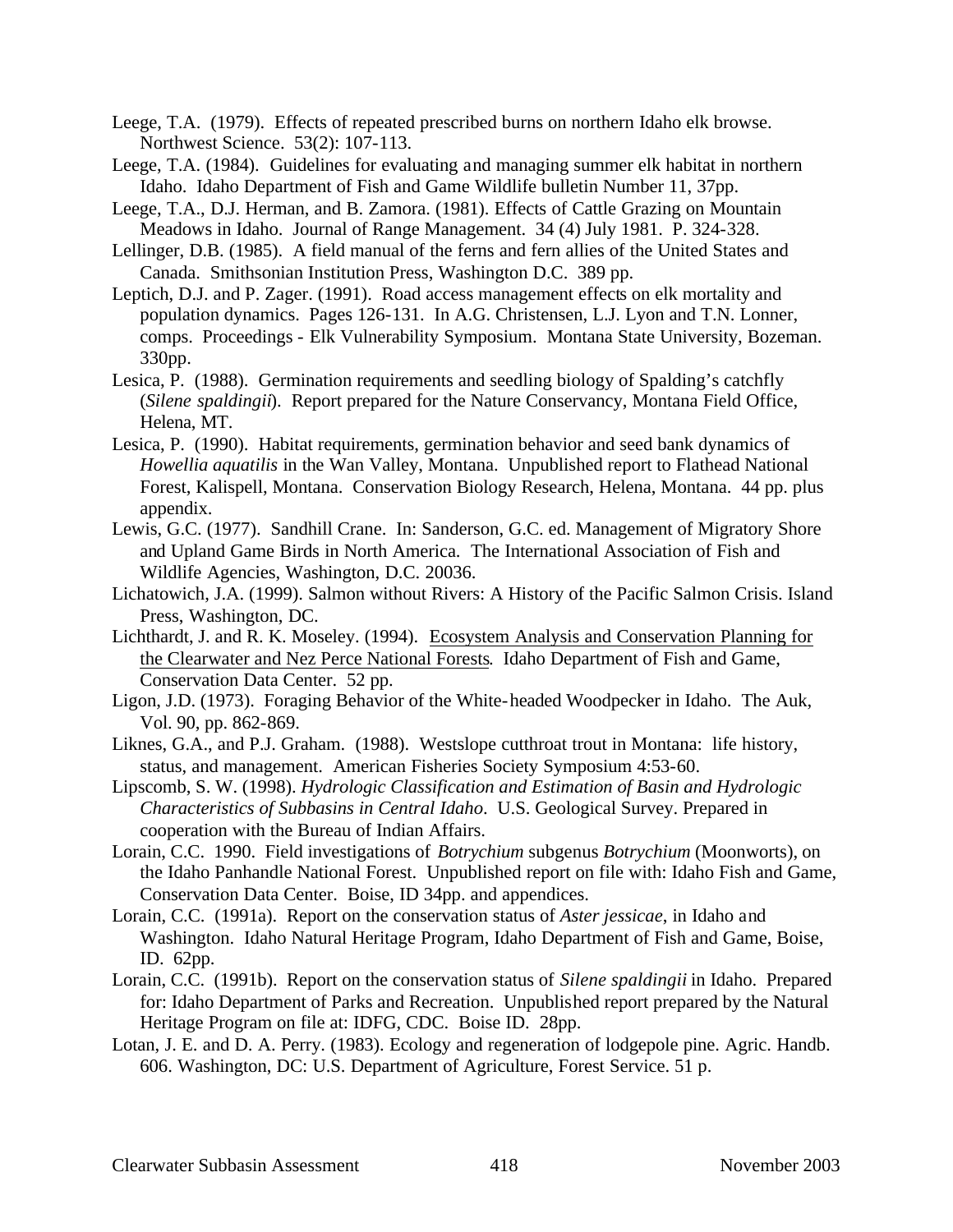- Leege, T.A. (1979). Effects of repeated prescribed burns on northern Idaho elk browse. Northwest Science. 53(2): 107-113.
- Leege, T.A. (1984). Guidelines for evaluating and managing summer elk habitat in northern Idaho. Idaho Department of Fish and Game Wildlife bulletin Number 11, 37pp.
- Leege, T.A., D.J. Herman, and B. Zamora. (1981). Effects of Cattle Grazing on Mountain Meadows in Idaho. Journal of Range Management. 34 (4) July 1981. P. 324-328.
- Lellinger, D.B. (1985). A field manual of the ferns and fern allies of the United States and Canada. Smithsonian Institution Press, Washington D.C. 389 pp.
- Leptich, D.J. and P. Zager. (1991). Road access management effects on elk mortality and population dynamics. Pages 126-131. In A.G. Christensen, L.J. Lyon and T.N. Lonner, comps. Proceedings - Elk Vulnerability Symposium. Montana State University, Bozeman. 330pp.
- Lesica, P. (1988). Germination requirements and seedling biology of Spalding's catchfly (*Silene spaldingii*). Report prepared for the Nature Conservancy, Montana Field Office, Helena, MT.
- Lesica, P. (1990). Habitat requirements, germination behavior and seed bank dynamics of *Howellia aquatilis* in the Wan Valley, Montana. Unpublished report to Flathead National Forest, Kalispell, Montana. Conservation Biology Research, Helena, Montana. 44 pp. plus appendix.
- Lewis, G.C. (1977). Sandhill Crane. In: Sanderson, G.C. ed. Management of Migratory Shore and Upland Game Birds in North America. The International Association of Fish and Wildlife Agencies, Washington, D.C. 20036.
- Lichatowich, J.A. (1999). Salmon without Rivers: A History of the Pacific Salmon Crisis. Island Press, Washington, DC.
- Lichthardt, J. and R. K. Moseley. (1994). Ecosystem Analysis and Conservation Planning for the Clearwater and Nez Perce National Forests. Idaho Department of Fish and Game, Conservation Data Center. 52 pp.
- Ligon, J.D. (1973). Foraging Behavior of the White-headed Woodpecker in Idaho. The Auk, Vol. 90, pp. 862-869.
- Liknes, G.A., and P.J. Graham. (1988). Westslope cutthroat trout in Montana: life history, status, and management. American Fisheries Society Symposium 4:53-60.
- Lipscomb, S. W. (1998). *Hydrologic Classification and Estimation of Basin and Hydrologic Characteristics of Subbasins in Central Idaho*. U.S. Geological Survey. Prepared in cooperation with the Bureau of Indian Affairs.
- Lorain, C.C. 1990. Field investigations of *Botrychium* subgenus *Botrychium* (Moonworts), on the Idaho Panhandle National Forest. Unpublished report on file with: Idaho Fish and Game, Conservation Data Center. Boise, ID 34pp. and appendices.
- Lorain, C.C. (1991a). Report on the conservation status of *Aster jessicae*, in Idaho and Washington. Idaho Natural Heritage Program, Idaho Department of Fish and Game, Boise, ID. 62pp.
- Lorain, C.C. (1991b). Report on the conservation status of *Silene spaldingii* in Idaho. Prepared for: Idaho Department of Parks and Recreation. Unpublished report prepared by the Natural Heritage Program on file at: IDFG, CDC. Boise ID. 28pp.
- Lotan, J. E. and D. A. Perry. (1983). Ecology and regeneration of lodgepole pine. Agric. Handb. 606. Washington, DC: U.S. Department of Agriculture, Forest Service. 51 p.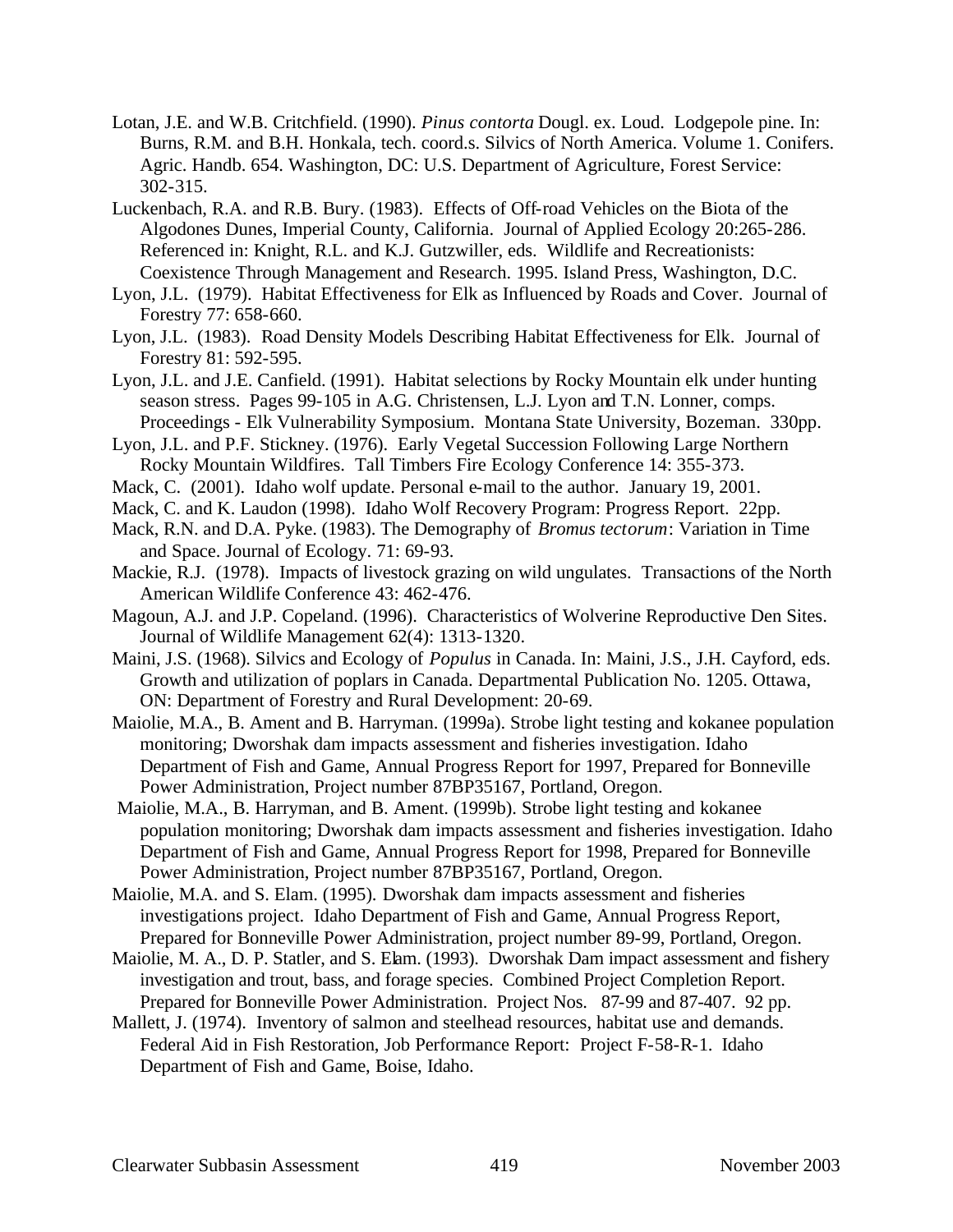- Lotan, J.E. and W.B. Critchfield. (1990). *Pinus contorta* Dougl. ex. Loud. Lodgepole pine. In: Burns, R.M. and B.H. Honkala, tech. coord.s. Silvics of North America. Volume 1. Conifers. Agric. Handb. 654. Washington, DC: U.S. Department of Agriculture, Forest Service: 302-315.
- Luckenbach, R.A. and R.B. Bury. (1983). Effects of Off-road Vehicles on the Biota of the Algodones Dunes, Imperial County, California. Journal of Applied Ecology 20:265-286. Referenced in: Knight, R.L. and K.J. Gutzwiller, eds. Wildlife and Recreationists: Coexistence Through Management and Research. 1995. Island Press, Washington, D.C.
- Lyon, J.L. (1979). Habitat Effectiveness for Elk as Influenced by Roads and Cover. Journal of Forestry 77: 658-660.
- Lyon, J.L. (1983). Road Density Models Describing Habitat Effectiveness for Elk. Journal of Forestry 81: 592-595.
- Lyon, J.L. and J.E. Canfield. (1991). Habitat selections by Rocky Mountain elk under hunting season stress. Pages 99-105 in A.G. Christensen, L.J. Lyon and T.N. Lonner, comps. Proceedings - Elk Vulnerability Symposium. Montana State University, Bozeman. 330pp.
- Lyon, J.L. and P.F. Stickney. (1976). Early Vegetal Succession Following Large Northern Rocky Mountain Wildfires. Tall Timbers Fire Ecology Conference 14: 355-373.
- Mack, C. (2001). Idaho wolf update. Personal e-mail to the author. January 19, 2001.
- Mack, C. and K. Laudon (1998). Idaho Wolf Recovery Program: Progress Report. 22pp.
- Mack, R.N. and D.A. Pyke. (1983). The Demography of *Bromus tectorum*: Variation in Time and Space. Journal of Ecology. 71: 69-93.
- Mackie, R.J. (1978). Impacts of livestock grazing on wild ungulates. Transactions of the North American Wildlife Conference 43: 462-476.
- Magoun, A.J. and J.P. Copeland. (1996). Characteristics of Wolverine Reproductive Den Sites. Journal of Wildlife Management 62(4): 1313-1320.
- Maini, J.S. (1968). Silvics and Ecology of *Populus* in Canada. In: Maini, J.S., J.H. Cayford, eds. Growth and utilization of poplars in Canada. Departmental Publication No. 1205. Ottawa, ON: Department of Forestry and Rural Development: 20-69.
- Maiolie, M.A., B. Ament and B. Harryman. (1999a). Strobe light testing and kokanee population monitoring; Dworshak dam impacts assessment and fisheries investigation. Idaho Department of Fish and Game, Annual Progress Report for 1997, Prepared for Bonneville Power Administration, Project number 87BP35167, Portland, Oregon.
- Maiolie, M.A., B. Harryman, and B. Ament. (1999b). Strobe light testing and kokanee population monitoring; Dworshak dam impacts assessment and fisheries investigation. Idaho Department of Fish and Game, Annual Progress Report for 1998, Prepared for Bonneville Power Administration, Project number 87BP35167, Portland, Oregon.
- Maiolie, M.A. and S. Elam. (1995). Dworshak dam impacts assessment and fisheries investigations project. Idaho Department of Fish and Game, Annual Progress Report, Prepared for Bonneville Power Administration, project number 89-99, Portland, Oregon.
- Maiolie, M. A., D. P. Statler, and S. Elam. (1993). Dworshak Dam impact assessment and fishery investigation and trout, bass, and forage species. Combined Project Completion Report. Prepared for Bonneville Power Administration. Project Nos. 87-99 and 87-407. 92 pp.
- Mallett, J. (1974). Inventory of salmon and steelhead resources, habitat use and demands. Federal Aid in Fish Restoration, Job Performance Report: Project F-58-R-1. Idaho Department of Fish and Game, Boise, Idaho.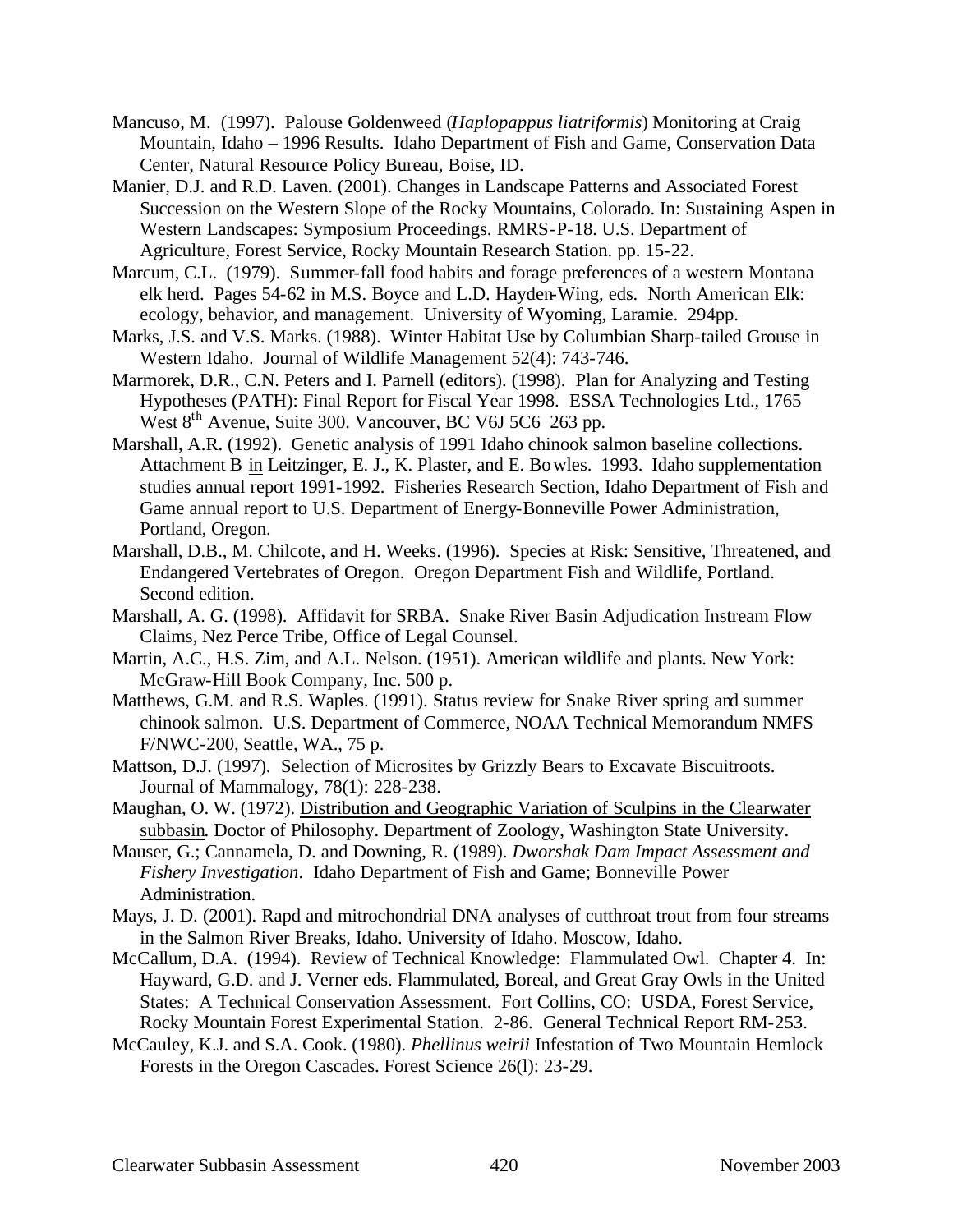- Mancuso, M. (1997). Palouse Goldenweed (*Haplopappus liatriformis*) Monitoring at Craig Mountain, Idaho – 1996 Results. Idaho Department of Fish and Game, Conservation Data Center, Natural Resource Policy Bureau, Boise, ID.
- Manier, D.J. and R.D. Laven. (2001). Changes in Landscape Patterns and Associated Forest Succession on the Western Slope of the Rocky Mountains, Colorado. In: Sustaining Aspen in Western Landscapes: Symposium Proceedings. RMRS-P-18. U.S. Department of Agriculture, Forest Service, Rocky Mountain Research Station. pp. 15-22.
- Marcum, C.L. (1979). Summer-fall food habits and forage preferences of a western Montana elk herd. Pages 54-62 in M.S. Boyce and L.D. Hayden-Wing, eds. North American Elk: ecology, behavior, and management. University of Wyoming, Laramie. 294pp.
- Marks, J.S. and V.S. Marks. (1988). Winter Habitat Use by Columbian Sharp-tailed Grouse in Western Idaho. Journal of Wildlife Management 52(4): 743-746.
- Marmorek, D.R., C.N. Peters and I. Parnell (editors). (1998). Plan for Analyzing and Testing Hypotheses (PATH): Final Report for Fiscal Year 1998. ESSA Technologies Ltd., 1765 West 8<sup>th</sup> Avenue, Suite 300. Vancouver, BC V6J 5C6 263 pp.
- Marshall, A.R. (1992). Genetic analysis of 1991 Idaho chinook salmon baseline collections. Attachment B in Leitzinger, E. J., K. Plaster, and E. Bowles. 1993. Idaho supplementation studies annual report 1991-1992. Fisheries Research Section, Idaho Department of Fish and Game annual report to U.S. Department of Energy-Bonneville Power Administration, Portland, Oregon.
- Marshall, D.B., M. Chilcote, and H. Weeks. (1996). Species at Risk: Sensitive, Threatened, and Endangered Vertebrates of Oregon. Oregon Department Fish and Wildlife, Portland. Second edition.
- Marshall, A. G. (1998). Affidavit for SRBA. Snake River Basin Adjudication Instream Flow Claims, Nez Perce Tribe, Office of Legal Counsel.
- Martin, A.C., H.S. Zim, and A.L. Nelson. (1951). American wildlife and plants. New York: McGraw-Hill Book Company, Inc. 500 p.
- Matthews, G.M. and R.S. Waples. (1991). Status review for Snake River spring and summer chinook salmon. U.S. Department of Commerce, NOAA Technical Memorandum NMFS F/NWC-200, Seattle, WA., 75 p.
- Mattson, D.J. (1997). Selection of Microsites by Grizzly Bears to Excavate Biscuitroots. Journal of Mammalogy, 78(1): 228-238.
- Maughan, O. W. (1972). Distribution and Geographic Variation of Sculpins in the Clearwater subbasin. Doctor of Philosophy. Department of Zoology, Washington State University.
- Mauser, G.; Cannamela, D. and Downing, R. (1989). *Dworshak Dam Impact Assessment and Fishery Investigation*. Idaho Department of Fish and Game; Bonneville Power Administration.
- Mays, J. D. (2001). Rapd and mitrochondrial DNA analyses of cutthroat trout from four streams in the Salmon River Breaks, Idaho. University of Idaho. Moscow, Idaho.
- McCallum, D.A. (1994). Review of Technical Knowledge: Flammulated Owl. Chapter 4. In: Hayward, G.D. and J. Verner eds. Flammulated, Boreal, and Great Gray Owls in the United States: A Technical Conservation Assessment. Fort Collins, CO: USDA, Forest Service, Rocky Mountain Forest Experimental Station. 2-86. General Technical Report RM-253.
- McCauley, K.J. and S.A. Cook. (1980). *Phellinus weirii* Infestation of Two Mountain Hemlock Forests in the Oregon Cascades. Forest Science 26(l): 23-29.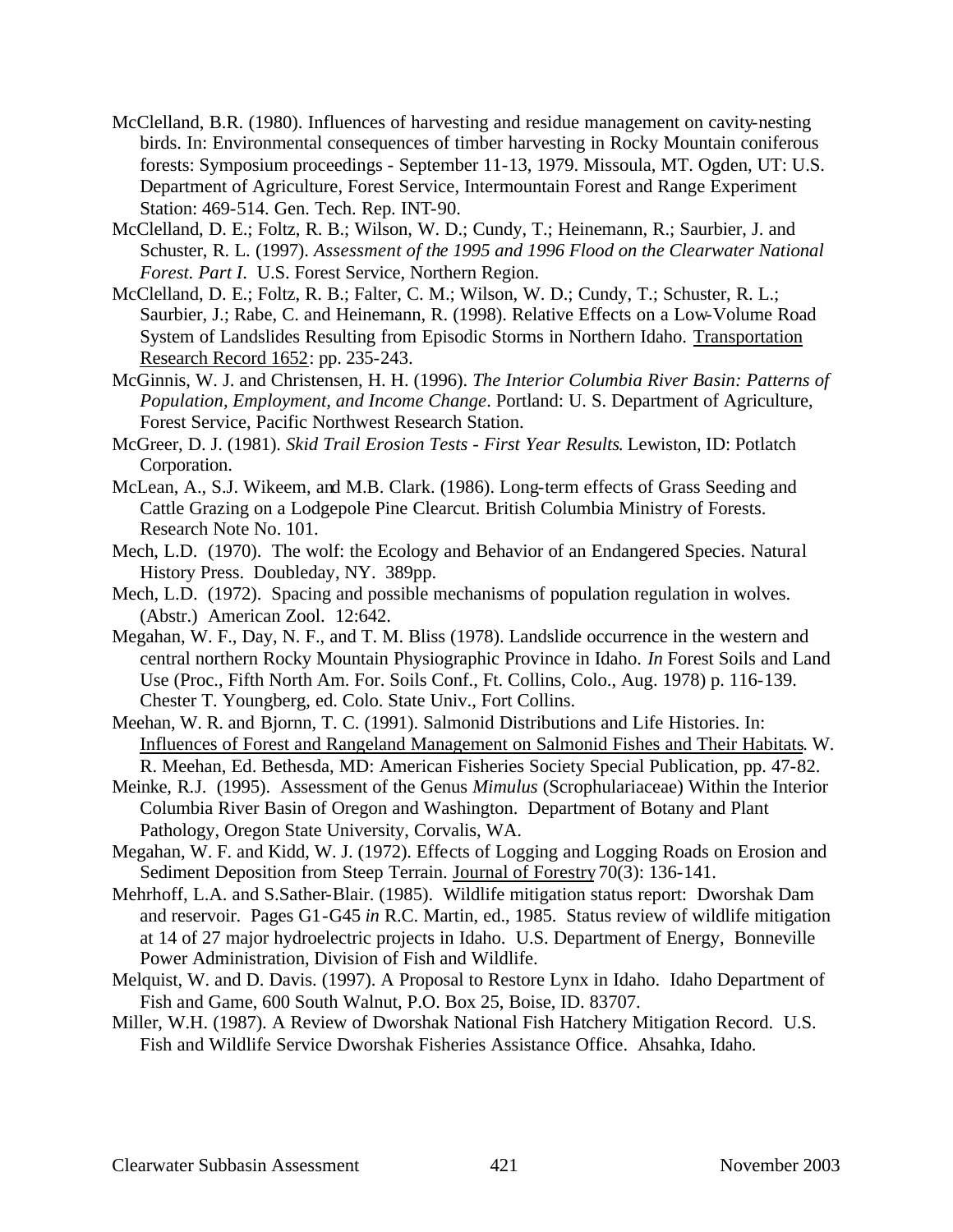- McClelland, B.R. (1980). Influences of harvesting and residue management on cavity-nesting birds. In: Environmental consequences of timber harvesting in Rocky Mountain coniferous forests: Symposium proceedings - September 11-13, 1979. Missoula, MT. Ogden, UT: U.S. Department of Agriculture, Forest Service, Intermountain Forest and Range Experiment Station: 469-514. Gen. Tech. Rep. INT-90.
- McClelland, D. E.; Foltz, R. B.; Wilson, W. D.; Cundy, T.; Heinemann, R.; Saurbier, J. and Schuster, R. L. (1997). *Assessment of the 1995 and 1996 Flood on the Clearwater National Forest. Part I*. U.S. Forest Service, Northern Region.
- McClelland, D. E.; Foltz, R. B.; Falter, C. M.; Wilson, W. D.; Cundy, T.; Schuster, R. L.; Saurbier, J.; Rabe, C. and Heinemann, R. (1998). Relative Effects on a Low-Volume Road System of Landslides Resulting from Episodic Storms in Northern Idaho. Transportation Research Record 1652: pp. 235-243.
- McGinnis, W. J. and Christensen, H. H. (1996). *The Interior Columbia River Basin: Patterns of Population, Employment, and Income Change*. Portland: U. S. Department of Agriculture, Forest Service, Pacific Northwest Research Station.
- McGreer, D. J. (1981). *Skid Trail Erosion Tests First Year Results*. Lewiston, ID: Potlatch Corporation.
- McLean, A., S.J. Wikeem, and M.B. Clark. (1986). Long-term effects of Grass Seeding and Cattle Grazing on a Lodgepole Pine Clearcut. British Columbia Ministry of Forests. Research Note No. 101.
- Mech, L.D. (1970). The wolf: the Ecology and Behavior of an Endangered Species. Natural History Press. Doubleday, NY. 389pp.
- Mech, L.D. (1972). Spacing and possible mechanisms of population regulation in wolves. (Abstr.) American Zool. 12:642.
- Megahan, W. F., Day, N. F., and T. M. Bliss (1978). Landslide occurrence in the western and central northern Rocky Mountain Physiographic Province in Idaho. *In* Forest Soils and Land Use (Proc., Fifth North Am. For. Soils Conf., Ft. Collins, Colo., Aug. 1978) p. 116-139. Chester T. Youngberg, ed. Colo. State Univ., Fort Collins.
- Meehan, W. R. and Bjornn, T. C. (1991). Salmonid Distributions and Life Histories. In: Influences of Forest and Rangeland Management on Salmonid Fishes and Their Habitats. W. R. Meehan, Ed. Bethesda, MD: American Fisheries Society Special Publication, pp. 47-82.
- Meinke, R.J. (1995). Assessment of the Genus *Mimulus* (Scrophulariaceae) Within the Interior Columbia River Basin of Oregon and Washington. Department of Botany and Plant Pathology, Oregon State University, Corvalis, WA.
- Megahan, W. F. and Kidd, W. J. (1972). Effects of Logging and Logging Roads on Erosion and Sediment Deposition from Steep Terrain. Journal of Forestry 70(3): 136-141.
- Mehrhoff, L.A. and S.Sather-Blair. (1985). Wildlife mitigation status report: Dworshak Dam and reservoir. Pages G1-G45 *in* R.C. Martin, ed., 1985. Status review of wildlife mitigation at 14 of 27 major hydroelectric projects in Idaho. U.S. Department of Energy, Bonneville Power Administration, Division of Fish and Wildlife.
- Melquist, W. and D. Davis. (1997). A Proposal to Restore Lynx in Idaho. Idaho Department of Fish and Game, 600 South Walnut, P.O. Box 25, Boise, ID. 83707.
- Miller, W.H. (1987). A Review of Dworshak National Fish Hatchery Mitigation Record. U.S. Fish and Wildlife Service Dworshak Fisheries Assistance Office. Ahsahka, Idaho.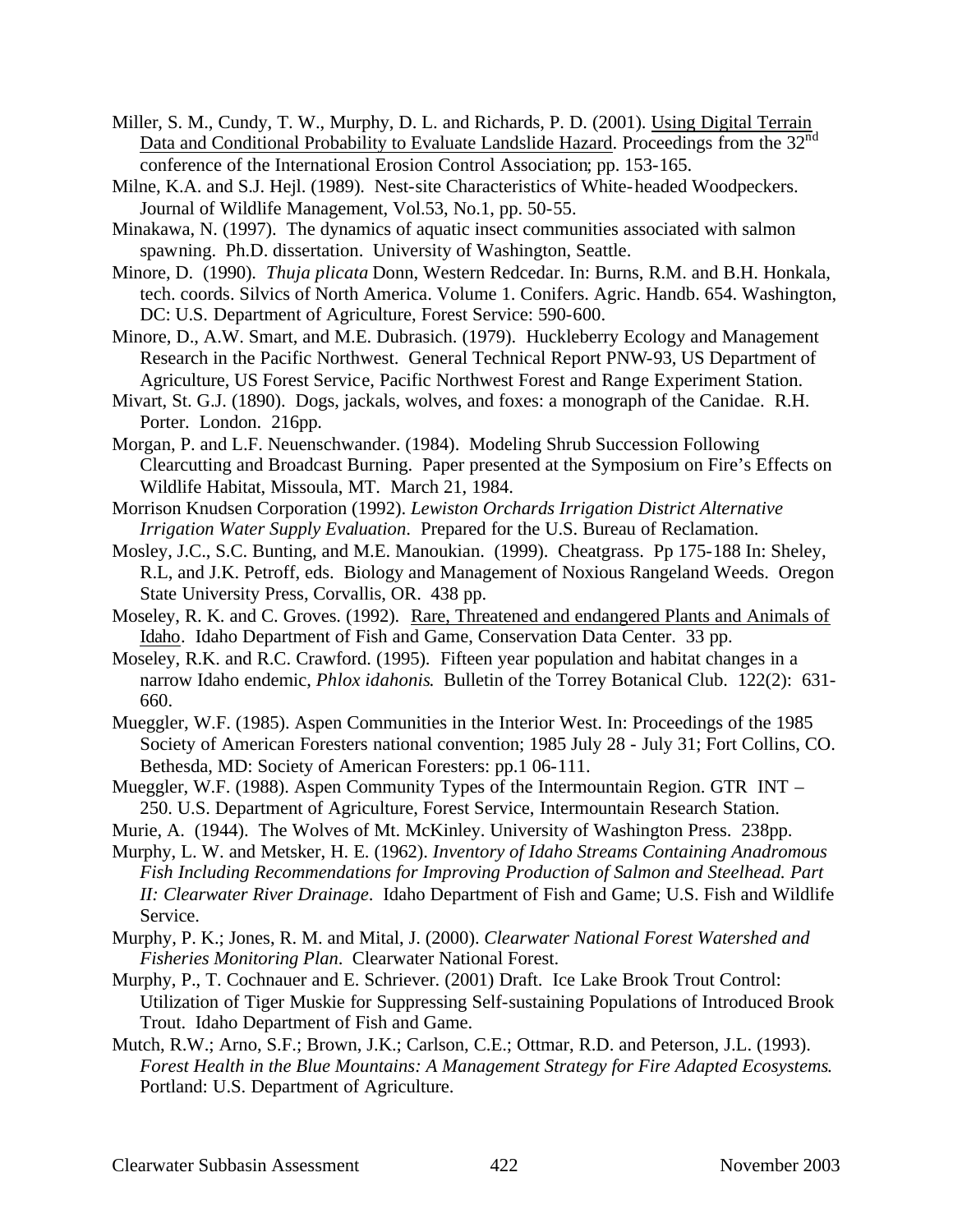- Miller, S. M., Cundy, T. W., Murphy, D. L. and Richards, P. D. (2001). Using Digital Terrain Data and Conditional Probability to Evaluate Landslide Hazard. Proceedings from the 32<sup>nd</sup> conference of the International Erosion Control Association; pp. 153-165.
- Milne, K.A. and S.J. Hejl. (1989). Nest-site Characteristics of White-headed Woodpeckers. Journal of Wildlife Management, Vol.53, No.1, pp. 50-55.
- Minakawa, N. (1997). The dynamics of aquatic insect communities associated with salmon spawning. Ph.D. dissertation. University of Washington, Seattle.
- Minore, D. (1990). *Thuja plicata* Donn, Western Redcedar. In: Burns, R.M. and B.H. Honkala, tech. coords. Silvics of North America. Volume 1. Conifers. Agric. Handb. 654. Washington, DC: U.S. Department of Agriculture, Forest Service: 590-600.
- Minore, D., A.W. Smart, and M.E. Dubrasich. (1979). Huckleberry Ecology and Management Research in the Pacific Northwest. General Technical Report PNW-93, US Department of Agriculture, US Forest Service, Pacific Northwest Forest and Range Experiment Station.
- Mivart, St. G.J. (1890). Dogs, jackals, wolves, and foxes: a monograph of the Canidae. R.H. Porter. London. 216pp.
- Morgan, P. and L.F. Neuenschwander. (1984). Modeling Shrub Succession Following Clearcutting and Broadcast Burning. Paper presented at the Symposium on Fire's Effects on Wildlife Habitat, Missoula, MT. March 21, 1984.
- Morrison Knudsen Corporation (1992). *Lewiston Orchards Irrigation District Alternative Irrigation Water Supply Evaluation*. Prepared for the U.S. Bureau of Reclamation.
- Mosley, J.C., S.C. Bunting, and M.E. Manoukian. (1999). Cheatgrass. Pp 175-188 In: Sheley, R.L, and J.K. Petroff, eds. Biology and Management of Noxious Rangeland Weeds. Oregon State University Press, Corvallis, OR. 438 pp.
- Moseley, R. K. and C. Groves. (1992). Rare, Threatened and endangered Plants and Animals of Idaho. Idaho Department of Fish and Game, Conservation Data Center. 33 pp.
- Moseley, R.K. and R.C. Crawford. (1995). Fifteen year population and habitat changes in a narrow Idaho endemic, *Phlox idahonis*. Bulletin of the Torrey Botanical Club. 122(2): 631- 660.
- Mueggler, W.F. (1985). Aspen Communities in the Interior West. In: Proceedings of the 1985 Society of American Foresters national convention; 1985 July 28 - July 31; Fort Collins, CO. Bethesda, MD: Society of American Foresters: pp.1 06-111.
- Mueggler, W.F. (1988). Aspen Community Types of the Intermountain Region. GTR INT 250. U.S. Department of Agriculture, Forest Service, Intermountain Research Station.
- Murie, A. (1944). The Wolves of Mt. McKinley. University of Washington Press. 238pp.
- Murphy, L. W. and Metsker, H. E. (1962). *Inventory of Idaho Streams Containing Anadromous Fish Including Recommendations for Improving Production of Salmon and Steelhead. Part II: Clearwater River Drainage*. Idaho Department of Fish and Game; U.S. Fish and Wildlife Service.
- Murphy, P. K.; Jones, R. M. and Mital, J. (2000). *Clearwater National Forest Watershed and Fisheries Monitoring Plan*. Clearwater National Forest.
- Murphy, P., T. Cochnauer and E. Schriever. (2001) Draft. Ice Lake Brook Trout Control: Utilization of Tiger Muskie for Suppressing Self-sustaining Populations of Introduced Brook Trout. Idaho Department of Fish and Game.
- Mutch, R.W.; Arno, S.F.; Brown, J.K.; Carlson, C.E.; Ottmar, R.D. and Peterson, J.L. (1993). *Forest Health in the Blue Mountains: A Management Strategy for Fire Adapted Ecosystems*. Portland: U.S. Department of Agriculture.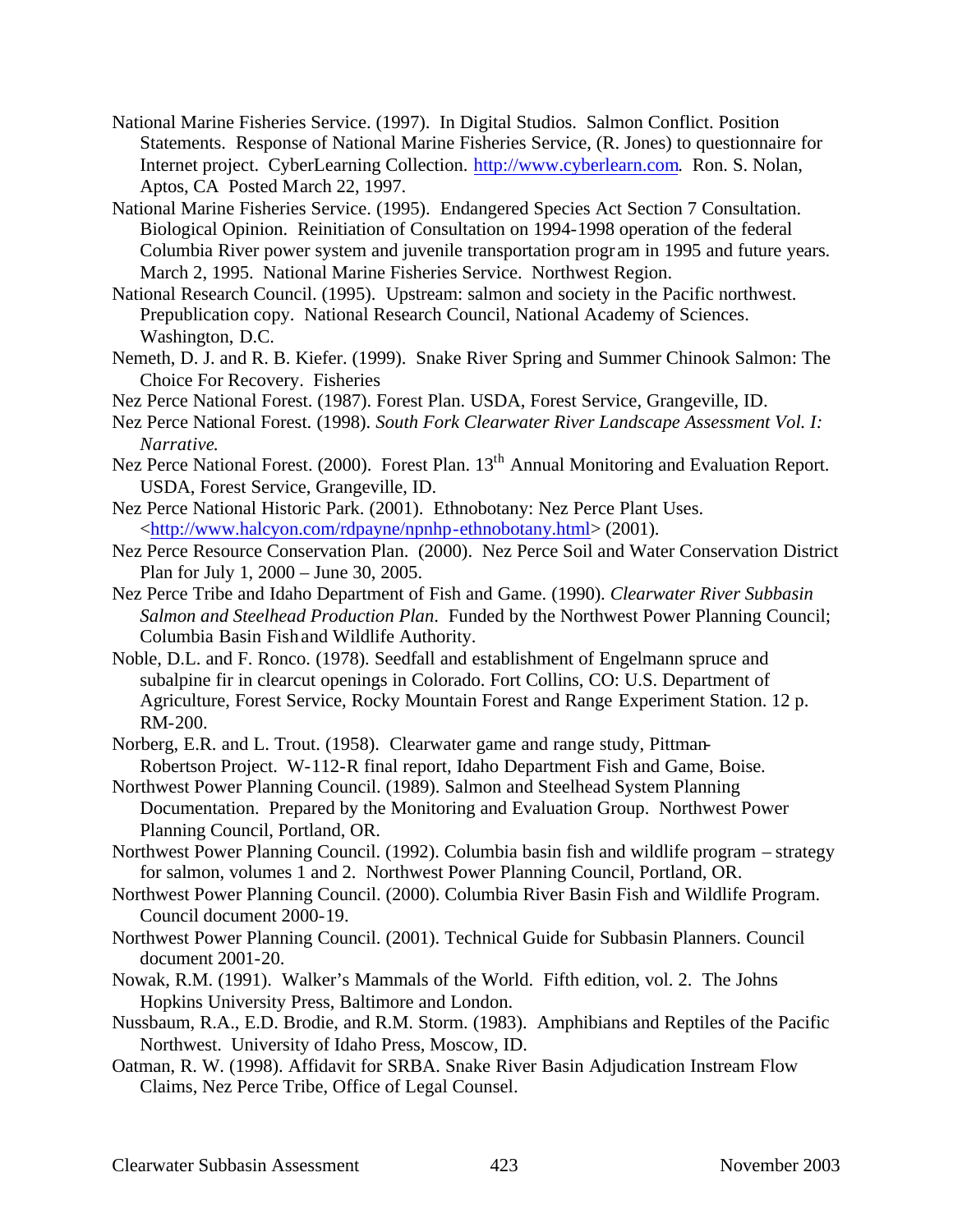- National Marine Fisheries Service. (1997). In Digital Studios. Salmon Conflict. Position Statements. Response of National Marine Fisheries Service, (R. Jones) to questionnaire for Internet project. CyberLearning Collection. http://www.cyberlearn.com. Ron. S. Nolan, Aptos, CA Posted March 22, 1997.
- National Marine Fisheries Service. (1995). Endangered Species Act Section 7 Consultation. Biological Opinion. Reinitiation of Consultation on 1994-1998 operation of the federal Columbia River power system and juvenile transportation progr am in 1995 and future years. March 2, 1995. National Marine Fisheries Service. Northwest Region.
- National Research Council. (1995). Upstream: salmon and society in the Pacific northwest. Prepublication copy. National Research Council, National Academy of Sciences. Washington, D.C.
- Nemeth, D. J. and R. B. Kiefer. (1999). Snake River Spring and Summer Chinook Salmon: The Choice For Recovery. Fisheries
- Nez Perce National Forest. (1987). Forest Plan. USDA, Forest Service, Grangeville, ID.
- Nez Perce National Forest. (1998). *South Fork Clearwater River Landscape Assessment Vol. I: Narrative*.
- Nez Perce National Forest. (2000). Forest Plan. 13<sup>th</sup> Annual Monitoring and Evaluation Report. USDA, Forest Service, Grangeville, ID.
- Nez Perce National Historic Park. (2001). Ethnobotany: Nez Perce Plant Uses. <http://www.halcyon.com/rdpayne/npnhp-ethnobotany.html> (2001).
- Nez Perce Resource Conservation Plan. (2000). Nez Perce Soil and Water Conservation District Plan for July 1, 2000 – June 30, 2005.
- Nez Perce Tribe and Idaho Department of Fish and Game. (1990). *Clearwater River Subbasin Salmon and Steelhead Production Plan*. Funded by the Northwest Power Planning Council; Columbia Basin Fish and Wildlife Authority.
- Noble, D.L. and F. Ronco. (1978). Seedfall and establishment of Engelmann spruce and subalpine fir in clearcut openings in Colorado. Fort Collins, CO: U.S. Department of Agriculture, Forest Service, Rocky Mountain Forest and Range Experiment Station. 12 p. RM-200.
- Norberg, E.R. and L. Trout. (1958). Clearwater game and range study, Pittman-Robertson Project. W-112-R final report, Idaho Department Fish and Game, Boise.
- Northwest Power Planning Council. (1989). Salmon and Steelhead System Planning Documentation. Prepared by the Monitoring and Evaluation Group. Northwest Power Planning Council, Portland, OR.
- Northwest Power Planning Council. (1992). Columbia basin fish and wildlife program strategy for salmon, volumes 1 and 2. Northwest Power Planning Council, Portland, OR.
- Northwest Power Planning Council. (2000). Columbia River Basin Fish and Wildlife Program. Council document 2000-19.
- Northwest Power Planning Council. (2001). Technical Guide for Subbasin Planners. Council document 2001-20.
- Nowak, R.M. (1991). Walker's Mammals of the World. Fifth edition, vol. 2. The Johns Hopkins University Press, Baltimore and London.
- Nussbaum, R.A., E.D. Brodie, and R.M. Storm. (1983). Amphibians and Reptiles of the Pacific Northwest. University of Idaho Press, Moscow, ID.
- Oatman, R. W. (1998). Affidavit for SRBA. Snake River Basin Adjudication Instream Flow Claims, Nez Perce Tribe, Office of Legal Counsel.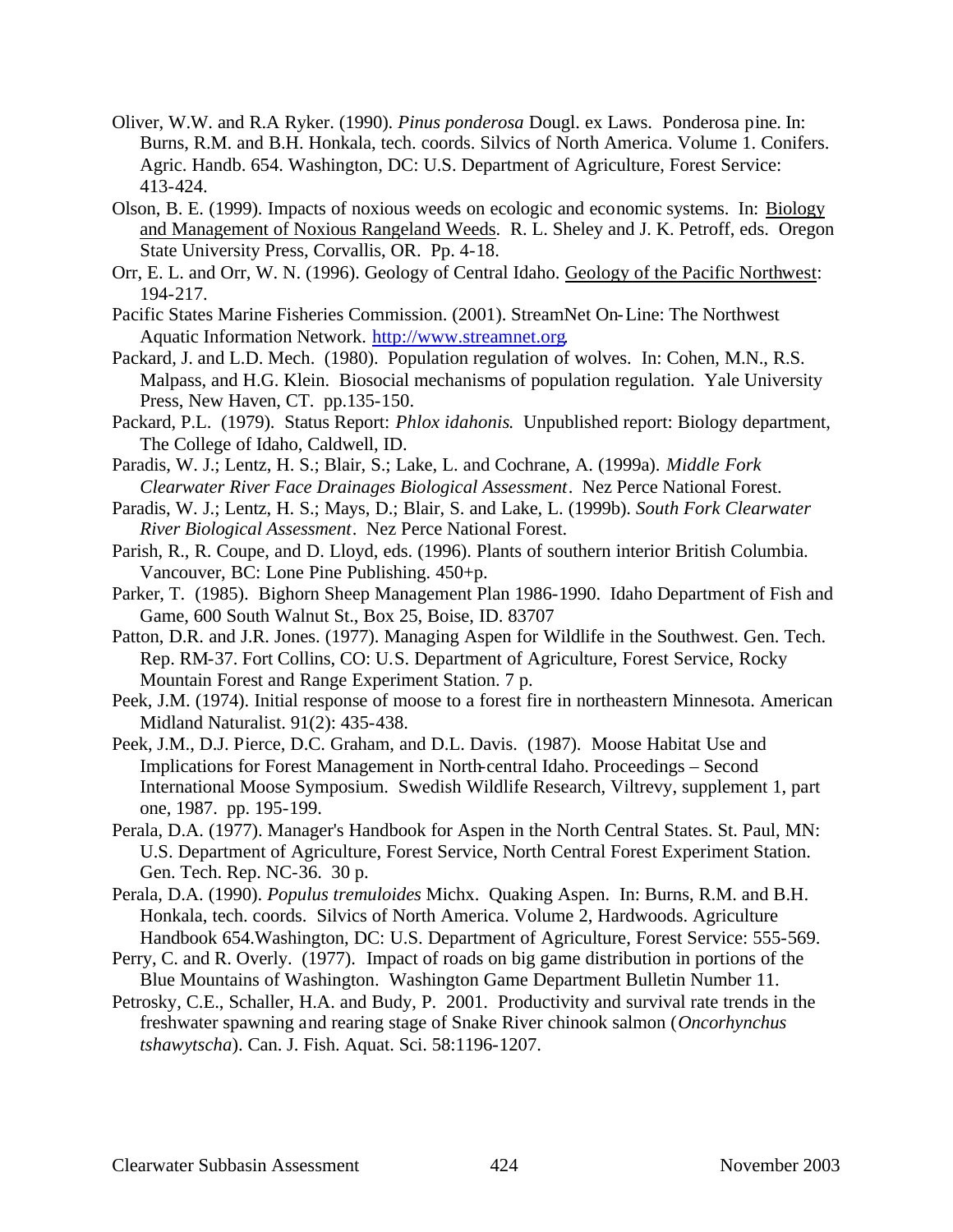- Oliver, W.W. and R.A Ryker. (1990). *Pinus ponderosa* Dougl. ex Laws. Ponderosa pine. In: Burns, R.M. and B.H. Honkala, tech. coords. Silvics of North America. Volume 1. Conifers. Agric. Handb. 654. Washington, DC: U.S. Department of Agriculture, Forest Service: 413-424.
- Olson, B. E. (1999). Impacts of noxious weeds on ecologic and economic systems. In: Biology and Management of Noxious Rangeland Weeds. R. L. Sheley and J. K. Petroff, eds. Oregon State University Press, Corvallis, OR. Pp. 4-18.
- Orr, E. L. and Orr, W. N. (1996). Geology of Central Idaho. Geology of the Pacific Northwest: 194-217.
- Pacific States Marine Fisheries Commission. (2001). StreamNet On-Line: The Northwest Aquatic Information Network. http://www.streamnet.org.
- Packard, J. and L.D. Mech. (1980). Population regulation of wolves. In: Cohen, M.N., R.S. Malpass, and H.G. Klein. Biosocial mechanisms of population regulation. Yale University Press, New Haven, CT. pp.135-150.
- Packard, P.L. (1979). Status Report: *Phlox idahonis*. Unpublished report: Biology department, The College of Idaho, Caldwell, ID.
- Paradis, W. J.; Lentz, H. S.; Blair, S.; Lake, L. and Cochrane, A. (1999a). *Middle Fork Clearwater River Face Drainages Biological Assessment*. Nez Perce National Forest.
- Paradis, W. J.; Lentz, H. S.; Mays, D.; Blair, S. and Lake, L. (1999b). *South Fork Clearwater River Biological Assessment*. Nez Perce National Forest.
- Parish, R., R. Coupe, and D. Lloyd, eds. (1996). Plants of southern interior British Columbia. Vancouver, BC: Lone Pine Publishing. 450+p.
- Parker, T. (1985). Bighorn Sheep Management Plan 1986-1990. Idaho Department of Fish and Game, 600 South Walnut St., Box 25, Boise, ID. 83707
- Patton, D.R. and J.R. Jones. (1977). Managing Aspen for Wildlife in the Southwest. Gen. Tech. Rep. RM-37. Fort Collins, CO: U.S. Department of Agriculture, Forest Service, Rocky Mountain Forest and Range Experiment Station. 7 p.
- Peek, J.M. (1974). Initial response of moose to a forest fire in northeastern Minnesota. American Midland Naturalist. 91(2): 435-438.
- Peek, J.M., D.J. Pierce, D.C. Graham, and D.L. Davis. (1987). Moose Habitat Use and Implications for Forest Management in North-central Idaho. Proceedings – Second International Moose Symposium. Swedish Wildlife Research, Viltrevy, supplement 1, part one, 1987. pp. 195-199.
- Perala, D.A. (1977). Manager's Handbook for Aspen in the North Central States. St. Paul, MN: U.S. Department of Agriculture, Forest Service, North Central Forest Experiment Station. Gen. Tech. Rep. NC-36. 30 p.
- Perala, D.A. (1990). *Populus tremuloides* Michx. Quaking Aspen. In: Burns, R.M. and B.H. Honkala, tech. coords. Silvics of North America. Volume 2, Hardwoods. Agriculture Handbook 654.Washington, DC: U.S. Department of Agriculture, Forest Service: 555-569.
- Perry, C. and R. Overly. (1977). Impact of roads on big game distribution in portions of the Blue Mountains of Washington. Washington Game Department Bulletin Number 11.
- Petrosky, C.E., Schaller, H.A. and Budy, P. 2001. Productivity and survival rate trends in the freshwater spawning and rearing stage of Snake River chinook salmon (*Oncorhynchus tshawytscha*). Can. J. Fish. Aquat. Sci. 58:1196-1207.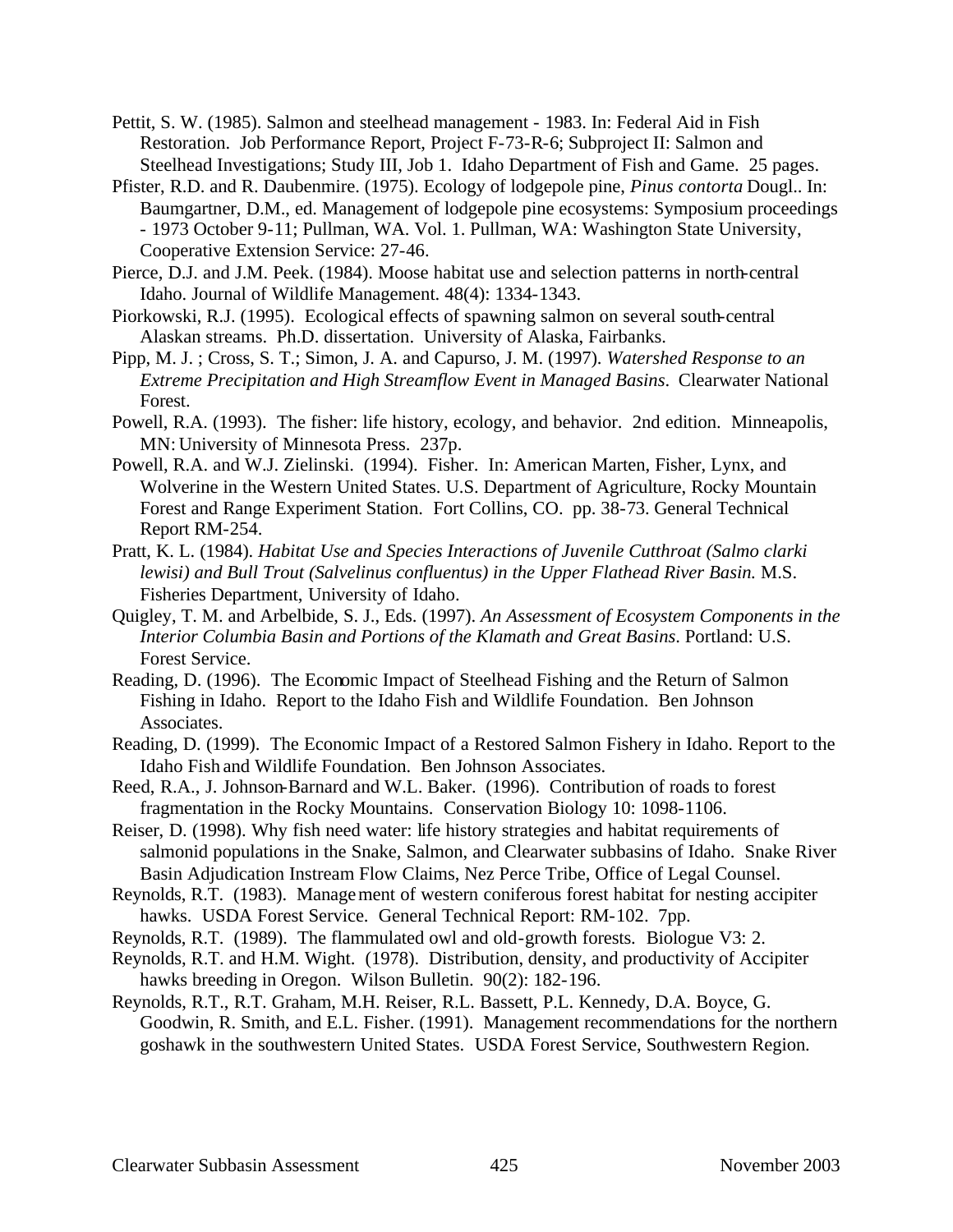- Pettit, S. W. (1985). Salmon and steelhead management 1983. In: Federal Aid in Fish Restoration. Job Performance Report, Project F-73-R-6; Subproject II: Salmon and Steelhead Investigations; Study III, Job 1. Idaho Department of Fish and Game. 25 pages.
- Pfister, R.D. and R. Daubenmire. (1975). Ecology of lodgepole pine, *Pinus contorta* Dougl.. In: Baumgartner, D.M., ed. Management of lodgepole pine ecosystems: Symposium proceedings - 1973 October 9-11; Pullman, WA. Vol. 1. Pullman, WA: Washington State University, Cooperative Extension Service: 27-46.
- Pierce, D.J. and J.M. Peek. (1984). Moose habitat use and selection patterns in north-central Idaho. Journal of Wildlife Management. 48(4): 1334-1343.
- Piorkowski, R.J. (1995). Ecological effects of spawning salmon on several south-central Alaskan streams. Ph.D. dissertation. University of Alaska, Fairbanks.
- Pipp, M. J. ; Cross, S. T.; Simon, J. A. and Capurso, J. M. (1997). *Watershed Response to an Extreme Precipitation and High Streamflow Event in Managed Basins*. Clearwater National Forest.
- Powell, R.A. (1993). The fisher: life history, ecology, and behavior. 2nd edition. Minneapolis, MN: University of Minnesota Press. 237p.
- Powell, R.A. and W.J. Zielinski. (1994). Fisher. In: American Marten, Fisher, Lynx, and Wolverine in the Western United States. U.S. Department of Agriculture, Rocky Mountain Forest and Range Experiment Station. Fort Collins, CO. pp. 38-73. General Technical Report RM-254.
- Pratt, K. L. (1984). *Habitat Use and Species Interactions of Juvenile Cutthroat (Salmo clarki lewisi) and Bull Trout (Salvelinus confluentus) in the Upper Flathead River Basin.* M.S. Fisheries Department, University of Idaho.
- Quigley, T. M. and Arbelbide, S. J., Eds. (1997). *An Assessment of Ecosystem Components in the Interior Columbia Basin and Portions of the Klamath and Great Basins*. Portland: U.S. Forest Service.
- Reading, D. (1996). The Economic Impact of Steelhead Fishing and the Return of Salmon Fishing in Idaho. Report to the Idaho Fish and Wildlife Foundation. Ben Johnson Associates.
- Reading, D. (1999). The Economic Impact of a Restored Salmon Fishery in Idaho. Report to the Idaho Fish and Wildlife Foundation. Ben Johnson Associates.
- Reed, R.A., J. Johnson-Barnard and W.L. Baker. (1996). Contribution of roads to forest fragmentation in the Rocky Mountains. Conservation Biology 10: 1098-1106.
- Reiser, D. (1998). Why fish need water: life history strategies and habitat requirements of salmonid populations in the Snake, Salmon, and Clearwater subbasins of Idaho. Snake River Basin Adjudication Instream Flow Claims, Nez Perce Tribe, Office of Legal Counsel.
- Reynolds, R.T. (1983). Management of western coniferous forest habitat for nesting accipiter hawks. USDA Forest Service. General Technical Report: RM-102. 7pp.
- Reynolds, R.T. (1989). The flammulated owl and old-growth forests. Biologue V3: 2.
- Reynolds, R.T. and H.M. Wight. (1978). Distribution, density, and productivity of Accipiter hawks breeding in Oregon. Wilson Bulletin. 90(2): 182-196.
- Reynolds, R.T., R.T. Graham, M.H. Reiser, R.L. Bassett, P.L. Kennedy, D.A. Boyce, G. Goodwin, R. Smith, and E.L. Fisher. (1991). Management recommendations for the northern goshawk in the southwestern United States. USDA Forest Service, Southwestern Region.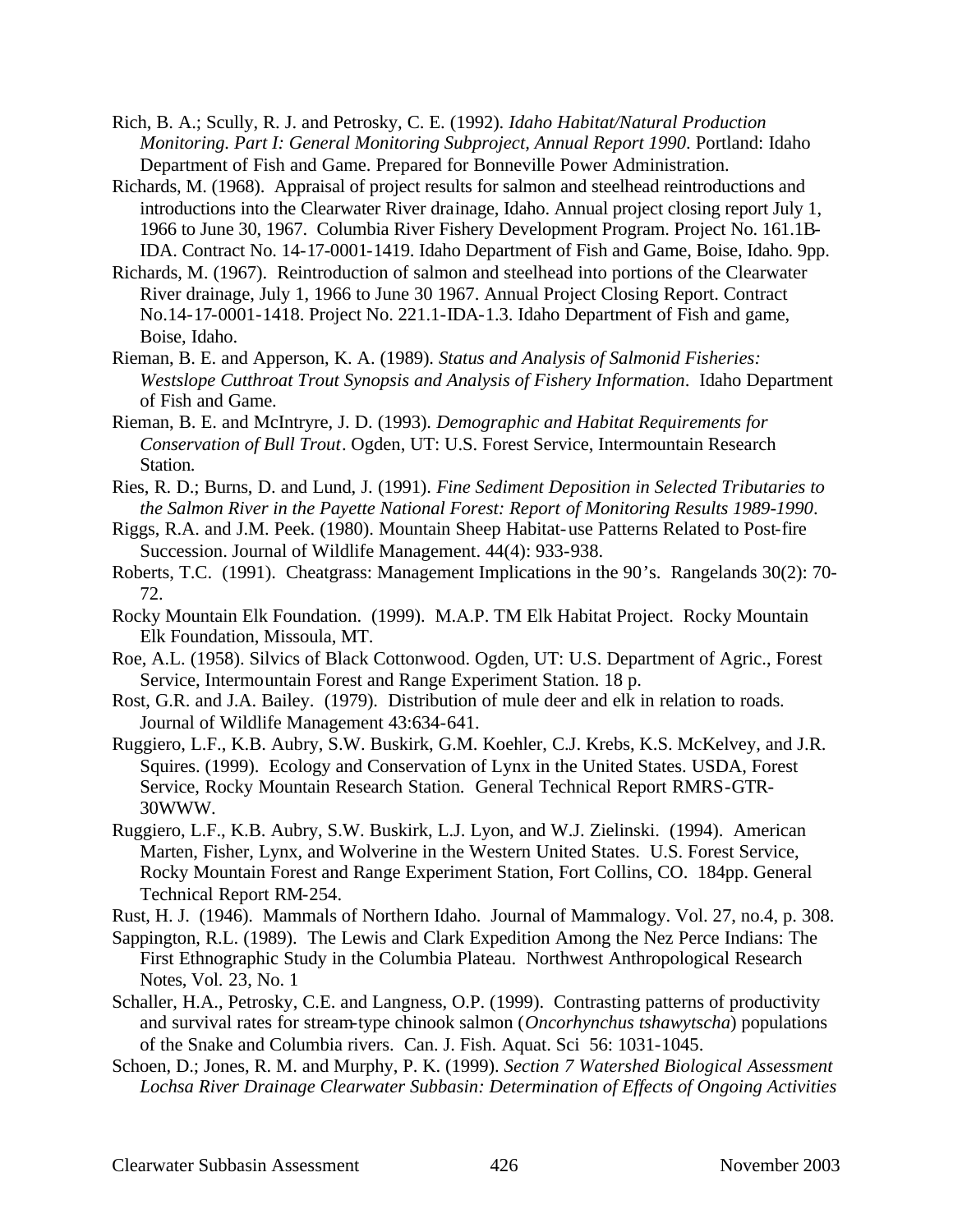- Rich, B. A.; Scully, R. J. and Petrosky, C. E. (1992). *Idaho Habitat/Natural Production Monitoring. Part I: General Monitoring Subproject, Annual Report 1990*. Portland: Idaho Department of Fish and Game. Prepared for Bonneville Power Administration.
- Richards, M. (1968). Appraisal of project results for salmon and steelhead reintroductions and introductions into the Clearwater River drainage, Idaho. Annual project closing report July 1, 1966 to June 30, 1967. Columbia River Fishery Development Program. Project No. 161.1B-IDA. Contract No. 14-17-0001-1419. Idaho Department of Fish and Game, Boise, Idaho. 9pp.
- Richards, M. (1967). Reintroduction of salmon and steelhead into portions of the Clearwater River drainage, July 1, 1966 to June 30 1967. Annual Project Closing Report. Contract No.14-17-0001-1418. Project No. 221.1-IDA-1.3. Idaho Department of Fish and game, Boise, Idaho.
- Rieman, B. E. and Apperson, K. A. (1989). *Status and Analysis of Salmonid Fisheries: Westslope Cutthroat Trout Synopsis and Analysis of Fishery Information*. Idaho Department of Fish and Game.
- Rieman, B. E. and McIntryre, J. D. (1993). *Demographic and Habitat Requirements for Conservation of Bull Trout*. Ogden, UT: U.S. Forest Service, Intermountain Research Station.
- Ries, R. D.; Burns, D. and Lund, J. (1991). *Fine Sediment Deposition in Selected Tributaries to the Salmon River in the Payette National Forest: Report of Monitoring Results 1989-1990*.
- Riggs, R.A. and J.M. Peek. (1980). Mountain Sheep Habitat-use Patterns Related to Post-fire Succession. Journal of Wildlife Management. 44(4): 933-938.
- Roberts, T.C. (1991). Cheatgrass: Management Implications in the 90's. Rangelands 30(2): 70- 72.
- Rocky Mountain Elk Foundation. (1999). M.A.P. TM Elk Habitat Project. Rocky Mountain Elk Foundation, Missoula, MT.
- Roe, A.L. (1958). Silvics of Black Cottonwood. Ogden, UT: U.S. Department of Agric., Forest Service, Intermountain Forest and Range Experiment Station. 18 p.
- Rost, G.R. and J.A. Bailey. (1979). Distribution of mule deer and elk in relation to roads. Journal of Wildlife Management 43:634-641.
- Ruggiero, L.F., K.B. Aubry, S.W. Buskirk, G.M. Koehler, C.J. Krebs, K.S. McKelvey, and J.R. Squires. (1999). Ecology and Conservation of Lynx in the United States. USDA, Forest Service, Rocky Mountain Research Station. General Technical Report RMRS-GTR-30WWW.
- Ruggiero, L.F., K.B. Aubry, S.W. Buskirk, L.J. Lyon, and W.J. Zielinski. (1994). American Marten, Fisher, Lynx, and Wolverine in the Western United States. U.S. Forest Service, Rocky Mountain Forest and Range Experiment Station, Fort Collins, CO. 184pp. General Technical Report RM-254.

Rust, H. J. (1946). Mammals of Northern Idaho. Journal of Mammalogy. Vol. 27, no.4, p. 308.

- Sappington, R.L. (1989). The Lewis and Clark Expedition Among the Nez Perce Indians: The First Ethnographic Study in the Columbia Plateau. Northwest Anthropological Research Notes, Vol. 23, No. 1
- Schaller, H.A., Petrosky, C.E. and Langness, O.P. (1999). Contrasting patterns of productivity and survival rates for stream-type chinook salmon (*Oncorhynchus tshawytscha*) populations of the Snake and Columbia rivers. Can. J. Fish. Aquat. Sci 56: 1031-1045.
- Schoen, D.; Jones, R. M. and Murphy, P. K. (1999). *Section 7 Watershed Biological Assessment Lochsa River Drainage Clearwater Subbasin: Determination of Effects of Ongoing Activities*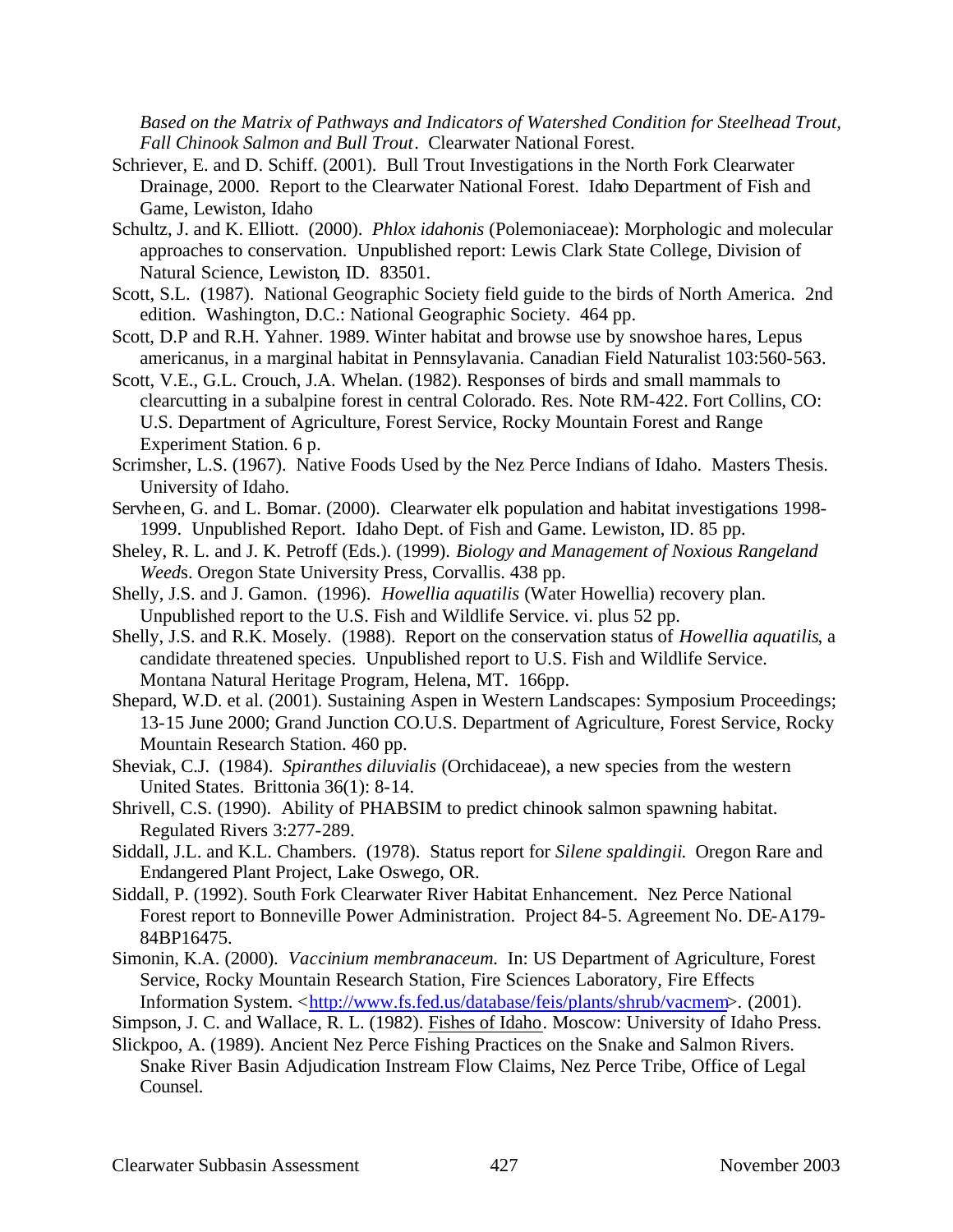*Based on the Matrix of Pathways and Indicators of Watershed Condition for Steelhead Trout, Fall Chinook Salmon and Bull Trout*. Clearwater National Forest.

- Schriever, E. and D. Schiff. (2001). Bull Trout Investigations in the North Fork Clearwater Drainage, 2000. Report to the Clearwater National Forest. Idaho Department of Fish and Game, Lewiston, Idaho
- Schultz, J. and K. Elliott. (2000). *Phlox idahonis* (Polemoniaceae): Morphologic and molecular approaches to conservation. Unpublished report: Lewis Clark State College, Division of Natural Science, Lewiston, ID. 83501.
- Scott, S.L. (1987). National Geographic Society field guide to the birds of North America. 2nd edition. Washington, D.C.: National Geographic Society. 464 pp.
- Scott, D.P and R.H. Yahner. 1989. Winter habitat and browse use by snowshoe hares, Lepus americanus, in a marginal habitat in Pennsylavania. Canadian Field Naturalist 103:560-563.
- Scott, V.E., G.L. Crouch, J.A. Whelan. (1982). Responses of birds and small mammals to clearcutting in a subalpine forest in central Colorado. Res. Note RM-422. Fort Collins, CO: U.S. Department of Agriculture, Forest Service, Rocky Mountain Forest and Range Experiment Station. 6 p.
- Scrimsher, L.S. (1967). Native Foods Used by the Nez Perce Indians of Idaho. Masters Thesis. University of Idaho.
- Servheen, G. and L. Bomar. (2000). Clearwater elk population and habitat investigations 1998- 1999. Unpublished Report. Idaho Dept. of Fish and Game. Lewiston, ID. 85 pp.
- Sheley, R. L. and J. K. Petroff (Eds.). (1999). *Biology and Management of Noxious Rangeland Weed*s. Oregon State University Press, Corvallis. 438 pp.
- Shelly, J.S. and J. Gamon. (1996). *Howellia aquatilis* (Water Howellia) recovery plan. Unpublished report to the U.S. Fish and Wildlife Service. vi. plus 52 pp.
- Shelly, J.S. and R.K. Mosely. (1988). Report on the conservation status of *Howellia aquatilis*, a candidate threatened species. Unpublished report to U.S. Fish and Wildlife Service. Montana Natural Heritage Program, Helena, MT. 166pp.
- Shepard, W.D. et al. (2001). Sustaining Aspen in Western Landscapes: Symposium Proceedings; 13-15 June 2000; Grand Junction CO.U.S. Department of Agriculture, Forest Service, Rocky Mountain Research Station. 460 pp.
- Sheviak, C.J. (1984). *Spiranthes diluvialis* (Orchidaceae), a new species from the western United States. Brittonia 36(1): 8-14.
- Shrivell, C.S. (1990). Ability of PHABSIM to predict chinook salmon spawning habitat. Regulated Rivers 3:277-289.
- Siddall, J.L. and K.L. Chambers. (1978). Status report for *Silene spaldingii*. Oregon Rare and Endangered Plant Project, Lake Oswego, OR.
- Siddall, P. (1992). South Fork Clearwater River Habitat Enhancement. Nez Perce National Forest report to Bonneville Power Administration. Project 84-5. Agreement No. DE-A179- 84BP16475.
- Simonin, K.A. (2000). *Vaccinium membranaceum.* In: US Department of Agriculture, Forest Service, Rocky Mountain Research Station, Fire Sciences Laboratory, Fire Effects Information System. <http://www.fs.fed.us/database/feis/plants/shrub/vacmem>. (2001).
- Simpson, J. C. and Wallace, R. L. (1982). Fishes of Idaho. Moscow: University of Idaho Press.
- Slickpoo, A. (1989). Ancient Nez Perce Fishing Practices on the Snake and Salmon Rivers. Snake River Basin Adjudication Instream Flow Claims, Nez Perce Tribe, Office of Legal Counsel.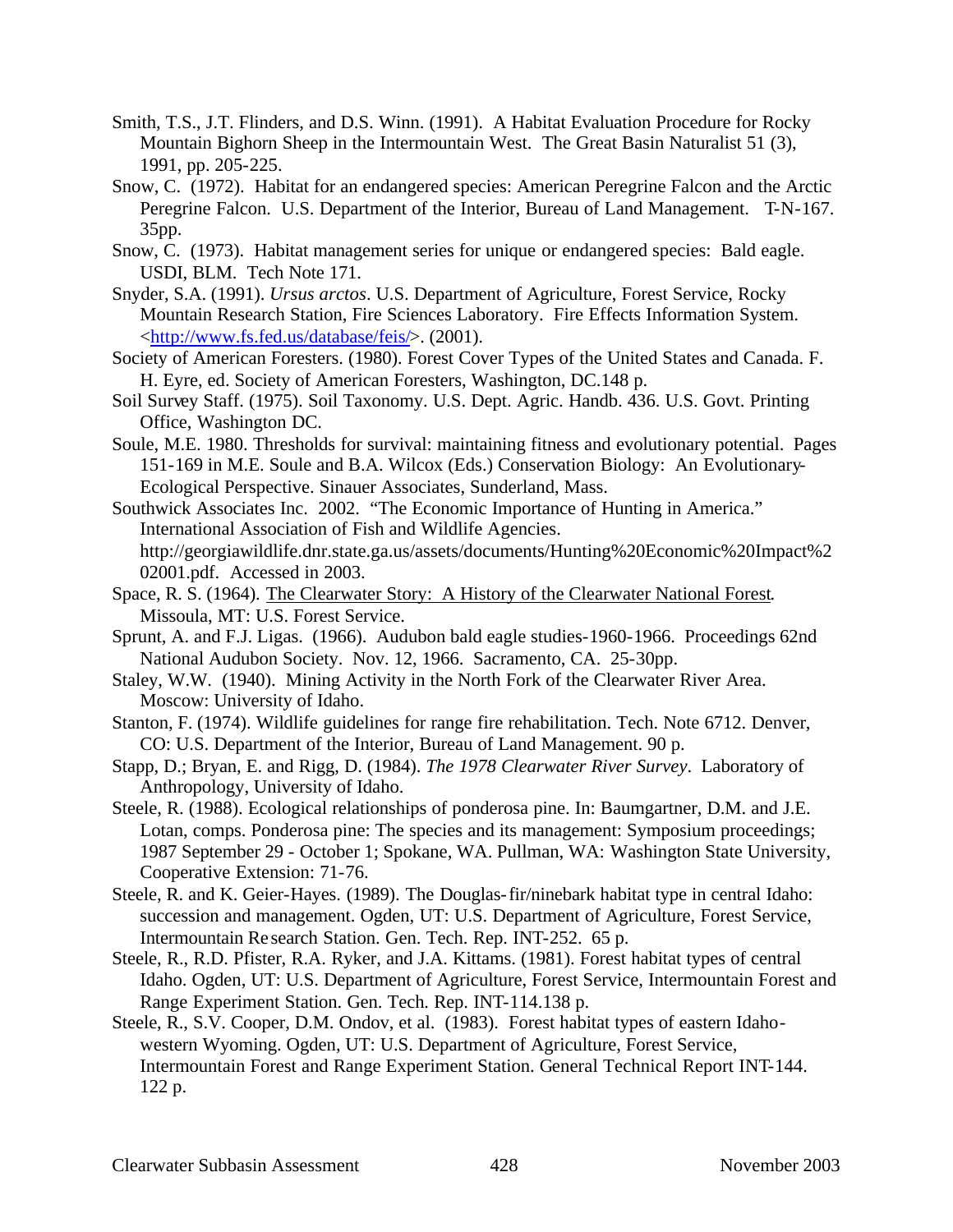- Smith, T.S., J.T. Flinders, and D.S. Winn. (1991). A Habitat Evaluation Procedure for Rocky Mountain Bighorn Sheep in the Intermountain West. The Great Basin Naturalist 51 (3), 1991, pp. 205-225.
- Snow, C. (1972). Habitat for an endangered species: American Peregrine Falcon and the Arctic Peregrine Falcon. U.S. Department of the Interior, Bureau of Land Management. T-N-167. 35pp.
- Snow, C. (1973). Habitat management series for unique or endangered species: Bald eagle. USDI, BLM. Tech Note 171.
- Snyder, S.A. (1991). *Ursus arctos*. U.S. Department of Agriculture, Forest Service, Rocky Mountain Research Station, Fire Sciences Laboratory. Fire Effects Information System. <http://www.fs.fed.us/database/feis/>. (2001).
- Society of American Foresters. (1980). Forest Cover Types of the United States and Canada. F. H. Eyre, ed. Society of American Foresters, Washington, DC.148 p.
- Soil Survey Staff. (1975). Soil Taxonomy. U.S. Dept. Agric. Handb. 436. U.S. Govt. Printing Office, Washington DC.
- Soule, M.E. 1980. Thresholds for survival: maintaining fitness and evolutionary potential. Pages 151-169 in M.E. Soule and B.A. Wilcox (Eds.) Conservation Biology: An Evolutionary-Ecological Perspective. Sinauer Associates, Sunderland, Mass.
- Southwick Associates Inc. 2002. "The Economic Importance of Hunting in America." International Association of Fish and Wildlife Agencies. http://georgiawildlife.dnr.state.ga.us/assets/documents/Hunting%20Economic%20Impact%2 02001.pdf. Accessed in 2003.
- Space, R. S. (1964). The Clearwater Story: A History of the Clearwater National Forest. Missoula, MT: U.S. Forest Service.
- Sprunt, A. and F.J. Ligas. (1966). Audubon bald eagle studies-1960-1966. Proceedings 62nd National Audubon Society. Nov. 12, 1966. Sacramento, CA. 25-30pp.
- Staley, W.W. (1940). Mining Activity in the North Fork of the Clearwater River Area. Moscow: University of Idaho.
- Stanton, F. (1974). Wildlife guidelines for range fire rehabilitation. Tech. Note 6712. Denver, CO: U.S. Department of the Interior, Bureau of Land Management. 90 p.
- Stapp, D.; Bryan, E. and Rigg, D. (1984). *The 1978 Clearwater River Survey*. Laboratory of Anthropology, University of Idaho.
- Steele, R. (1988). Ecological relationships of ponderosa pine. In: Baumgartner, D.M. and J.E. Lotan, comps. Ponderosa pine: The species and its management: Symposium proceedings; 1987 September 29 - October 1; Spokane, WA. Pullman, WA: Washington State University, Cooperative Extension: 71-76.
- Steele, R. and K. Geier-Hayes. (1989). The Douglas-fir/ninebark habitat type in central Idaho: succession and management. Ogden, UT: U.S. Department of Agriculture, Forest Service, Intermountain Re search Station. Gen. Tech. Rep. INT-252. 65 p.
- Steele, R., R.D. Pfister, R.A. Ryker, and J.A. Kittams. (1981). Forest habitat types of central Idaho. Ogden, UT: U.S. Department of Agriculture, Forest Service, Intermountain Forest and Range Experiment Station. Gen. Tech. Rep. INT-114.138 p.
- Steele, R., S.V. Cooper, D.M. Ondov, et al. (1983). Forest habitat types of eastern Idahowestern Wyoming. Ogden, UT: U.S. Department of Agriculture, Forest Service, Intermountain Forest and Range Experiment Station. General Technical Report INT-144. 122 p.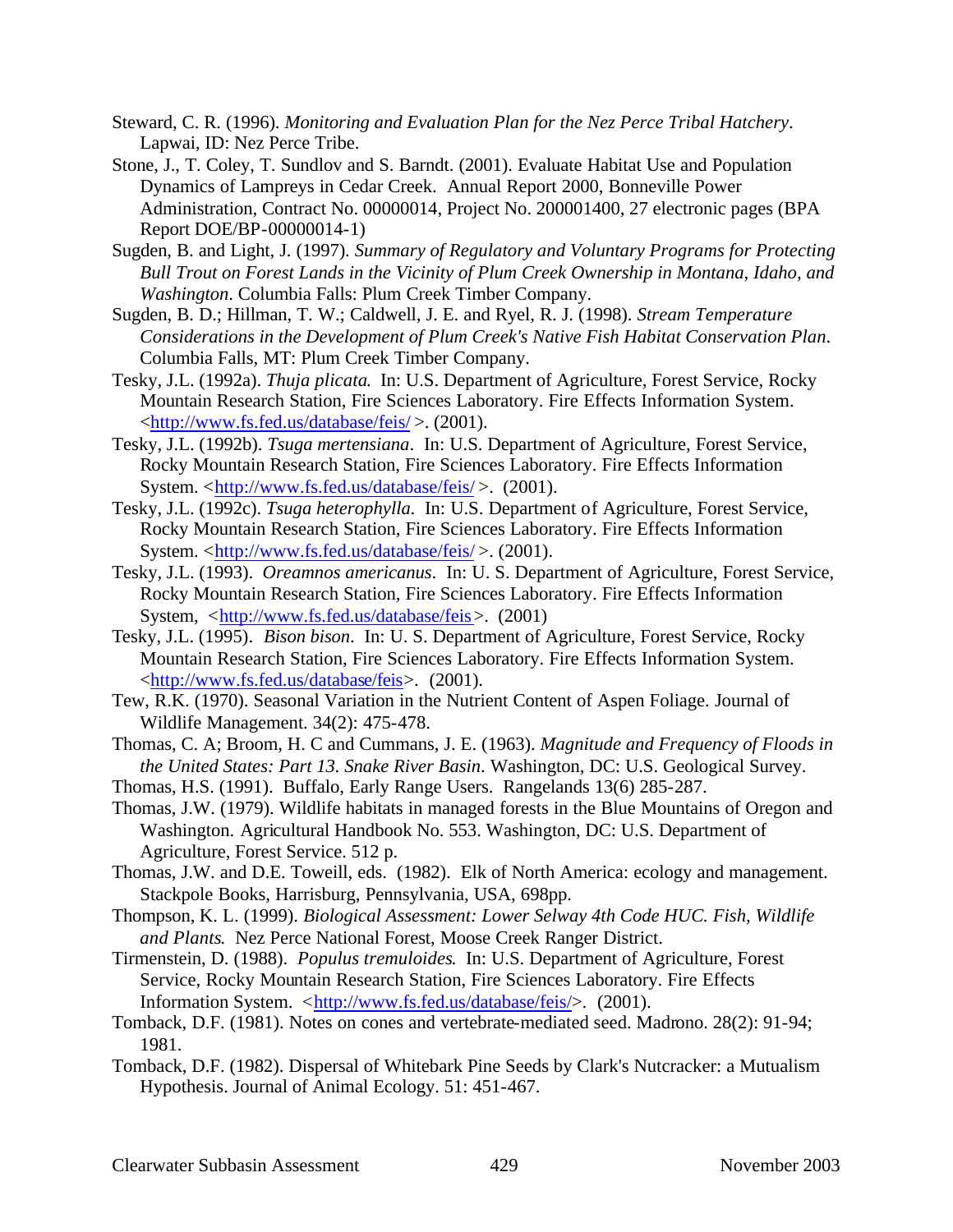- Steward, C. R. (1996). *Monitoring and Evaluation Plan for the Nez Perce Tribal Hatchery*. Lapwai, ID: Nez Perce Tribe.
- Stone, J., T. Coley, T. Sundlov and S. Barndt. (2001). Evaluate Habitat Use and Population Dynamics of Lampreys in Cedar Creek. Annual Report 2000, Bonneville Power Administration, Contract No. 00000014, Project No. 200001400, 27 electronic pages (BPA Report DOE/BP-00000014-1)
- Sugden, B. and Light, J. (1997). *Summary of Regulatory and Voluntary Programs for Protecting Bull Trout on Forest Lands in the Vicinity of Plum Creek Ownership in Montana, Idaho, and Washington*. Columbia Falls: Plum Creek Timber Company.
- Sugden, B. D.; Hillman, T. W.; Caldwell, J. E. and Ryel, R. J. (1998). *Stream Temperature Considerations in the Development of Plum Creek's Native Fish Habitat Conservation Plan*. Columbia Falls, MT: Plum Creek Timber Company.
- Tesky, J.L. (1992a). *Thuja plicata*. In: U.S. Department of Agriculture, Forest Service, Rocky Mountain Research Station, Fire Sciences Laboratory. Fire Effects Information System. <http://www.fs.fed.us/database/feis/ >. (2001).
- Tesky, J.L. (1992b). *Tsuga mertensiana*. In: U.S. Department of Agriculture, Forest Service, Rocky Mountain Research Station, Fire Sciences Laboratory. Fire Effects Information System. <http://www.fs.fed.us/database/feis/>. (2001).
- Tesky, J.L. (1992c). *Tsuga heterophylla.*In: U.S. Department of Agriculture, Forest Service, Rocky Mountain Research Station, Fire Sciences Laboratory. Fire Effects Information System. <http://www.fs.fed.us/database/feis/>. (2001).
- Tesky, J.L. (1993). *Oreamnos americanus*. In: U. S. Department of Agriculture, Forest Service, Rocky Mountain Research Station, Fire Sciences Laboratory. Fire Effects Information System, <http://www.fs.fed.us/database/feis>. (2001)
- Tesky, J.L. (1995). *Bison bison*. In: U. S. Department of Agriculture, Forest Service, Rocky Mountain Research Station, Fire Sciences Laboratory. Fire Effects Information System. <http://www.fs.fed.us/database/feis>. (2001).
- Tew, R.K. (1970). Seasonal Variation in the Nutrient Content of Aspen Foliage. Journal of Wildlife Management. 34(2): 475-478.
- Thomas, C. A; Broom, H. C and Cummans, J. E. (1963). *Magnitude and Frequency of Floods in the United States: Part 13. Snake River Basin*. Washington, DC: U.S. Geological Survey.
- Thomas, H.S. (1991). Buffalo, Early Range Users. Rangelands 13(6) 285-287.
- Thomas, J.W. (1979). Wildlife habitats in managed forests in the Blue Mountains of Oregon and Washington. Agricultural Handbook No. 553. Washington, DC: U.S. Department of Agriculture, Forest Service. 512 p.
- Thomas, J.W. and D.E. Toweill, eds. (1982). Elk of North America: ecology and management. Stackpole Books, Harrisburg, Pennsylvania, USA, 698pp.
- Thompson, K. L. (1999). *Biological Assessment: Lower Selway 4th Code HUC. Fish, Wildlife and Plants*. Nez Perce National Forest, Moose Creek Ranger District.
- Tirmenstein, D. (1988). *Populus tremuloides*. In: U.S. Department of Agriculture, Forest Service, Rocky Mountain Research Station, Fire Sciences Laboratory. Fire Effects Information System. <http://www.fs.fed.us/database/feis/>. (2001).
- Tomback, D.F. (1981). Notes on cones and vertebrate-mediated seed. Madrono. 28(2): 91-94; 1981.
- Tomback, D.F. (1982). Dispersal of Whitebark Pine Seeds by Clark's Nutcracker: a Mutualism Hypothesis. Journal of Animal Ecology. 51: 451-467.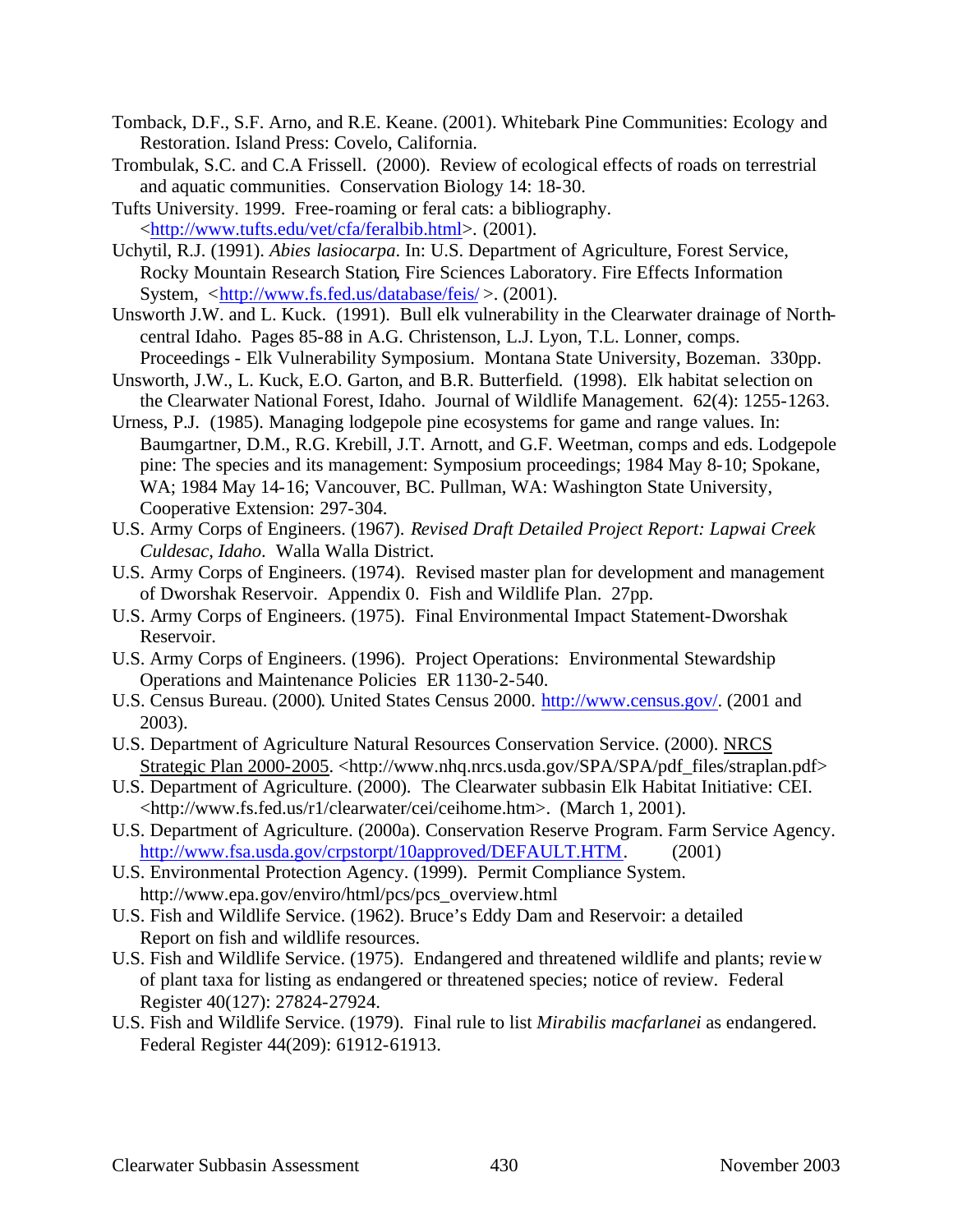- Tomback, D.F., S.F. Arno, and R.E. Keane. (2001). Whitebark Pine Communities: Ecology and Restoration. Island Press: Covelo, California.
- Trombulak, S.C. and C.A Frissell. (2000). Review of ecological effects of roads on terrestrial and aquatic communities. Conservation Biology 14: 18-30.
- Tufts University. 1999. Free-roaming or feral cats: a bibliography. <http://www.tufts.edu/vet/cfa/feralbib.html>. (2001).
- Uchytil, R.J. (1991). *Abies lasiocarpa*. In: U.S. Department of Agriculture, Forest Service, Rocky Mountain Research Station, Fire Sciences Laboratory. Fire Effects Information System, <http://www.fs.fed.us/database/feis/>. (2001).
- Unsworth J.W. and L. Kuck. (1991). Bull elk vulnerability in the Clearwater drainage of Northcentral Idaho. Pages 85-88 in A.G. Christenson, L.J. Lyon, T.L. Lonner, comps. Proceedings - Elk Vulnerability Symposium. Montana State University, Bozeman. 330pp.
- Unsworth, J.W., L. Kuck, E.O. Garton, and B.R. Butterfield. (1998). Elk habitat selection on the Clearwater National Forest, Idaho. Journal of Wildlife Management. 62(4): 1255-1263.
- Urness, P.J. (1985). Managing lodgepole pine ecosystems for game and range values. In: Baumgartner, D.M., R.G. Krebill, J.T. Arnott, and G.F. Weetman, comps and eds. Lodgepole pine: The species and its management: Symposium proceedings; 1984 May 8-10; Spokane, WA; 1984 May 14-16; Vancouver, BC. Pullman, WA: Washington State University, Cooperative Extension: 297-304.
- U.S. Army Corps of Engineers. (1967). *Revised Draft Detailed Project Report: Lapwai Creek Culdesac, Idaho*. Walla Walla District.
- U.S. Army Corps of Engineers. (1974). Revised master plan for development and management of Dworshak Reservoir. Appendix 0. Fish and Wildlife Plan. 27pp.
- U.S. Army Corps of Engineers. (1975). Final Environmental Impact Statement-Dworshak Reservoir.
- U.S. Army Corps of Engineers. (1996). Project Operations: Environmental Stewardship Operations and Maintenance Policies ER 1130-2-540.
- U.S. Census Bureau. (2000). United States Census 2000. http://www.census.gov/. (2001 and 2003).
- U.S. Department of Agriculture Natural Resources Conservation Service. (2000). NRCS Strategic Plan 2000-2005. <http://www.nhq.nrcs.usda.gov/SPA/SPA/pdf\_files/straplan.pdf>
- U.S. Department of Agriculture. (2000). The Clearwater subbasin Elk Habitat Initiative: CEI. <http://www.fs.fed.us/r1/clearwater/cei/ceihome.htm>. (March 1, 2001).
- U.S. Department of Agriculture. (2000a). Conservation Reserve Program. Farm Service Agency. http://www.fsa.usda.gov/crpstorpt/10approved/DEFAULT.HTM. (2001)
- U.S. Environmental Protection Agency. (1999). Permit Compliance System. http://www.epa.gov/enviro/html/pcs/pcs\_overview.html
- U.S. Fish and Wildlife Service. (1962). Bruce's Eddy Dam and Reservoir: a detailed Report on fish and wildlife resources.
- U.S. Fish and Wildlife Service. (1975). Endangered and threatened wildlife and plants; review of plant taxa for listing as endangered or threatened species; notice of review. Federal Register 40(127): 27824-27924.
- U.S. Fish and Wildlife Service. (1979). Final rule to list *Mirabilis macfarlanei* as endangered. Federal Register 44(209): 61912-61913.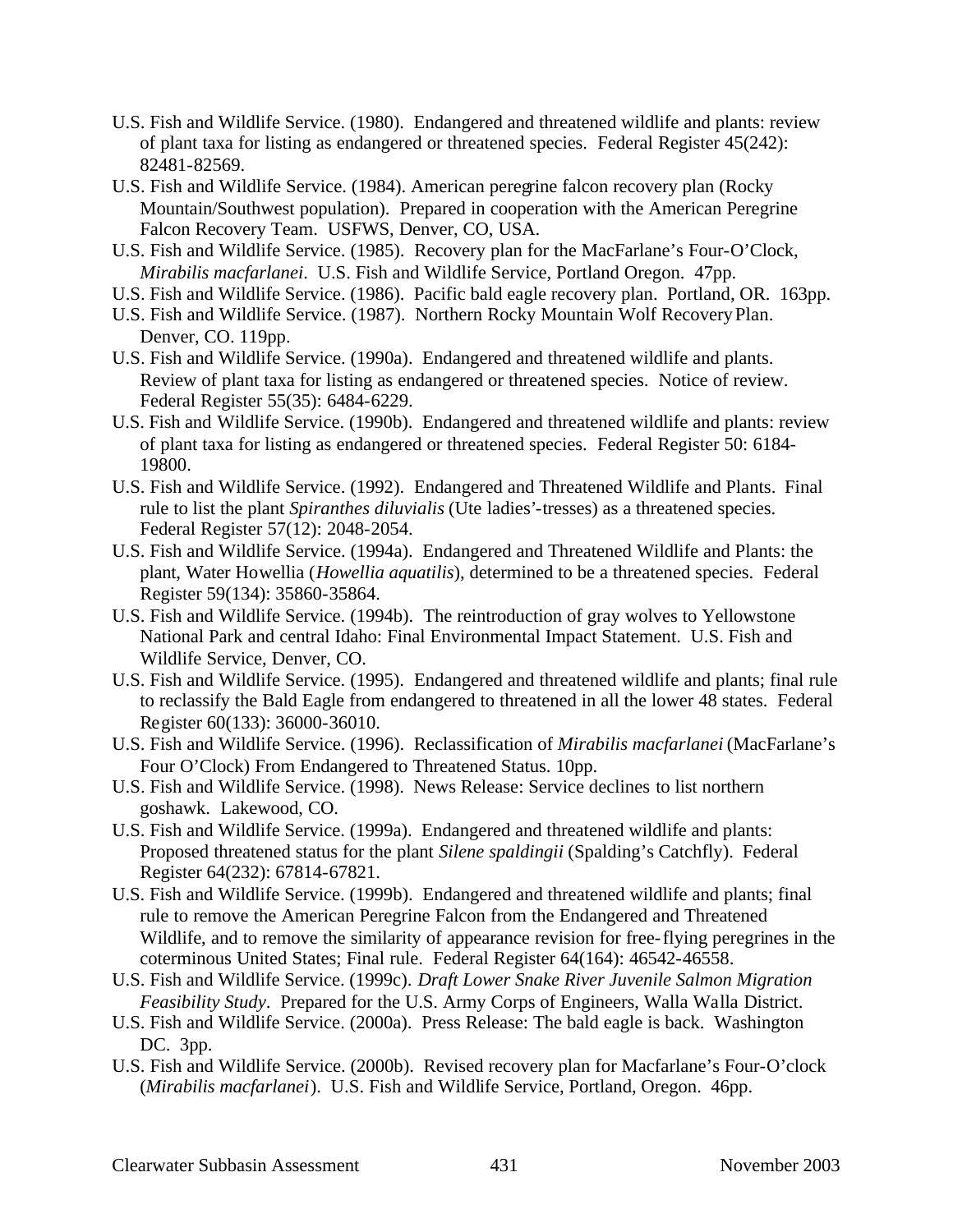- U.S. Fish and Wildlife Service. (1980). Endangered and threatened wildlife and plants: review of plant taxa for listing as endangered or threatened species. Federal Register 45(242): 82481-82569.
- U.S. Fish and Wildlife Service. (1984). American peregrine falcon recovery plan (Rocky Mountain/Southwest population). Prepared in cooperation with the American Peregrine Falcon Recovery Team. USFWS, Denver, CO, USA.
- U.S. Fish and Wildlife Service. (1985). Recovery plan for the MacFarlane's Four-O'Clock, *Mirabilis macfarlanei*. U.S. Fish and Wildlife Service, Portland Oregon. 47pp.
- U.S. Fish and Wildlife Service. (1986). Pacific bald eagle recovery plan. Portland, OR. 163pp.
- U.S. Fish and Wildlife Service. (1987). Northern Rocky Mountain Wolf Recovery Plan. Denver, CO. 119pp.
- U.S. Fish and Wildlife Service. (1990a). Endangered and threatened wildlife and plants. Review of plant taxa for listing as endangered or threatened species. Notice of review. Federal Register 55(35): 6484-6229.
- U.S. Fish and Wildlife Service. (1990b). Endangered and threatened wildlife and plants: review of plant taxa for listing as endangered or threatened species. Federal Register 50: 6184- 19800.
- U.S. Fish and Wildlife Service. (1992). Endangered and Threatened Wildlife and Plants. Final rule to list the plant *Spiranthes diluvialis* (Ute ladies'-tresses) as a threatened species. Federal Register 57(12): 2048-2054.
- U.S. Fish and Wildlife Service. (1994a). Endangered and Threatened Wildlife and Plants: the plant, Water Howellia (*Howellia aquatilis*), determined to be a threatened species. Federal Register 59(134): 35860-35864.
- U.S. Fish and Wildlife Service. (1994b). The reintroduction of gray wolves to Yellowstone National Park and central Idaho: Final Environmental Impact Statement. U.S. Fish and Wildlife Service, Denver, CO.
- U.S. Fish and Wildlife Service. (1995). Endangered and threatened wildlife and plants; final rule to reclassify the Bald Eagle from endangered to threatened in all the lower 48 states. Federal Register 60(133): 36000-36010.
- U.S. Fish and Wildlife Service. (1996). Reclassification of *Mirabilis macfarlanei* (MacFarlane's Four O'Clock) From Endangered to Threatened Status. 10pp.
- U.S. Fish and Wildlife Service. (1998). News Release: Service declines to list northern goshawk. Lakewood, CO.
- U.S. Fish and Wildlife Service. (1999a). Endangered and threatened wildlife and plants: Proposed threatened status for the plant *Silene spaldingii* (Spalding's Catchfly). Federal Register 64(232): 67814-67821.
- U.S. Fish and Wildlife Service. (1999b). Endangered and threatened wildlife and plants; final rule to remove the American Peregrine Falcon from the Endangered and Threatened Wildlife, and to remove the similarity of appearance revision for free-flying peregrines in the coterminous United States; Final rule. Federal Register 64(164): 46542-46558.
- U.S. Fish and Wildlife Service. (1999c). *Draft Lower Snake River Juvenile Salmon Migration Feasibility Study*. Prepared for the U.S. Army Corps of Engineers, Walla Walla District.
- U.S. Fish and Wildlife Service. (2000a). Press Release: The bald eagle is back. Washington DC. 3pp.
- U.S. Fish and Wildlife Service. (2000b). Revised recovery plan for Macfarlane's Four-O'clock (*Mirabilis macfarlanei*). U.S. Fish and Wildlife Service, Portland, Oregon. 46pp.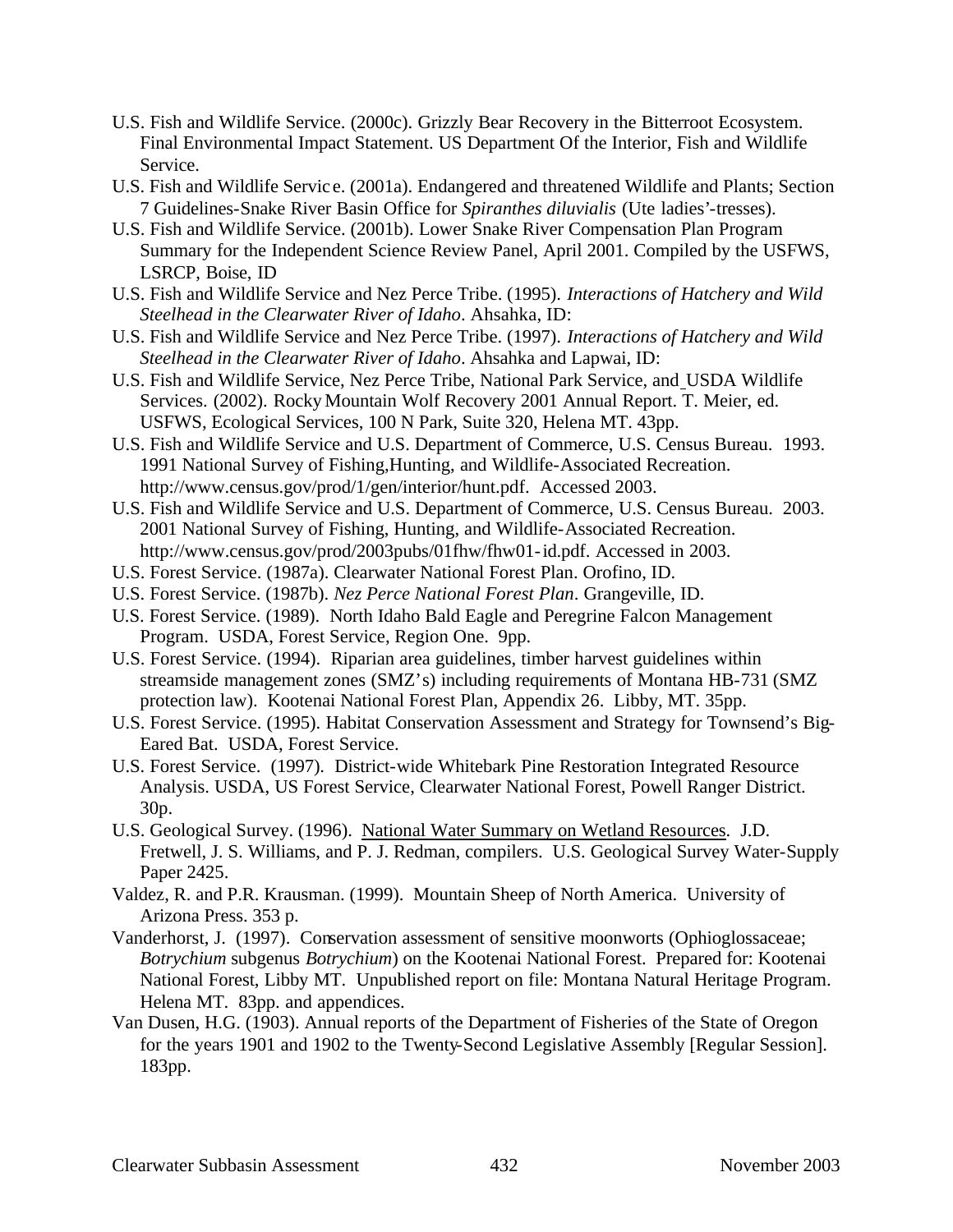- U.S. Fish and Wildlife Service. (2000c). Grizzly Bear Recovery in the Bitterroot Ecosystem. Final Environmental Impact Statement. US Department Of the Interior, Fish and Wildlife Service.
- U.S. Fish and Wildlife Servic e. (2001a). Endangered and threatened Wildlife and Plants; Section 7 Guidelines-Snake River Basin Office for *Spiranthes diluvialis* (Ute ladies'-tresses).
- U.S. Fish and Wildlife Service. (2001b). Lower Snake River Compensation Plan Program Summary for the Independent Science Review Panel, April 2001. Compiled by the USFWS, LSRCP, Boise, ID
- U.S. Fish and Wildlife Service and Nez Perce Tribe. (1995). *Interactions of Hatchery and Wild Steelhead in the Clearwater River of Idaho*. Ahsahka, ID:
- U.S. Fish and Wildlife Service and Nez Perce Tribe. (1997). *Interactions of Hatchery and Wild Steelhead in the Clearwater River of Idaho*. Ahsahka and Lapwai, ID:
- U.S. Fish and Wildlife Service, Nez Perce Tribe, National Park Service, and USDA Wildlife Services. (2002). Rocky Mountain Wolf Recovery 2001 Annual Report. T. Meier, ed. USFWS, Ecological Services, 100 N Park, Suite 320, Helena MT. 43pp.
- U.S. Fish and Wildlife Service and U.S. Department of Commerce, U.S. Census Bureau. 1993. 1991 National Survey of Fishing,Hunting, and Wildlife-Associated Recreation. http://www.census.gov/prod/1/gen/interior/hunt.pdf. Accessed 2003.
- U.S. Fish and Wildlife Service and U.S. Department of Commerce, U.S. Census Bureau. 2003. 2001 National Survey of Fishing, Hunting, and Wildlife-Associated Recreation. http://www.census.gov/prod/2003pubs/01fhw/fhw01-id.pdf. Accessed in 2003.
- U.S. Forest Service. (1987a). Clearwater National Forest Plan. Orofino, ID.
- U.S. Forest Service. (1987b). *Nez Perce National Forest Plan*. Grangeville, ID.
- U.S. Forest Service. (1989). North Idaho Bald Eagle and Peregrine Falcon Management Program. USDA, Forest Service, Region One. 9pp.
- U.S. Forest Service. (1994). Riparian area guidelines, timber harvest guidelines within streamside management zones (SMZ's) including requirements of Montana HB-731 (SMZ protection law). Kootenai National Forest Plan, Appendix 26. Libby, MT. 35pp.
- U.S. Forest Service. (1995). Habitat Conservation Assessment and Strategy for Townsend's Big-Eared Bat. USDA, Forest Service.
- U.S. Forest Service. (1997). District-wide Whitebark Pine Restoration Integrated Resource Analysis. USDA, US Forest Service, Clearwater National Forest, Powell Ranger District. 30p.
- U.S. Geological Survey. (1996). National Water Summary on Wetland Resources. J.D. Fretwell, J. S. Williams, and P. J. Redman, compilers. U.S. Geological Survey Water-Supply Paper 2425.
- Valdez, R. and P.R. Krausman. (1999). Mountain Sheep of North America. University of Arizona Press. 353 p.
- Vanderhorst, J. (1997). Conservation assessment of sensitive moonworts (Ophioglossaceae; *Botrychium* subgenus *Botrychium*) on the Kootenai National Forest. Prepared for: Kootenai National Forest, Libby MT. Unpublished report on file: Montana Natural Heritage Program. Helena MT. 83pp. and appendices.
- Van Dusen, H.G. (1903). Annual reports of the Department of Fisheries of the State of Oregon for the years 1901 and 1902 to the Twenty-Second Legislative Assembly [Regular Session]. 183pp.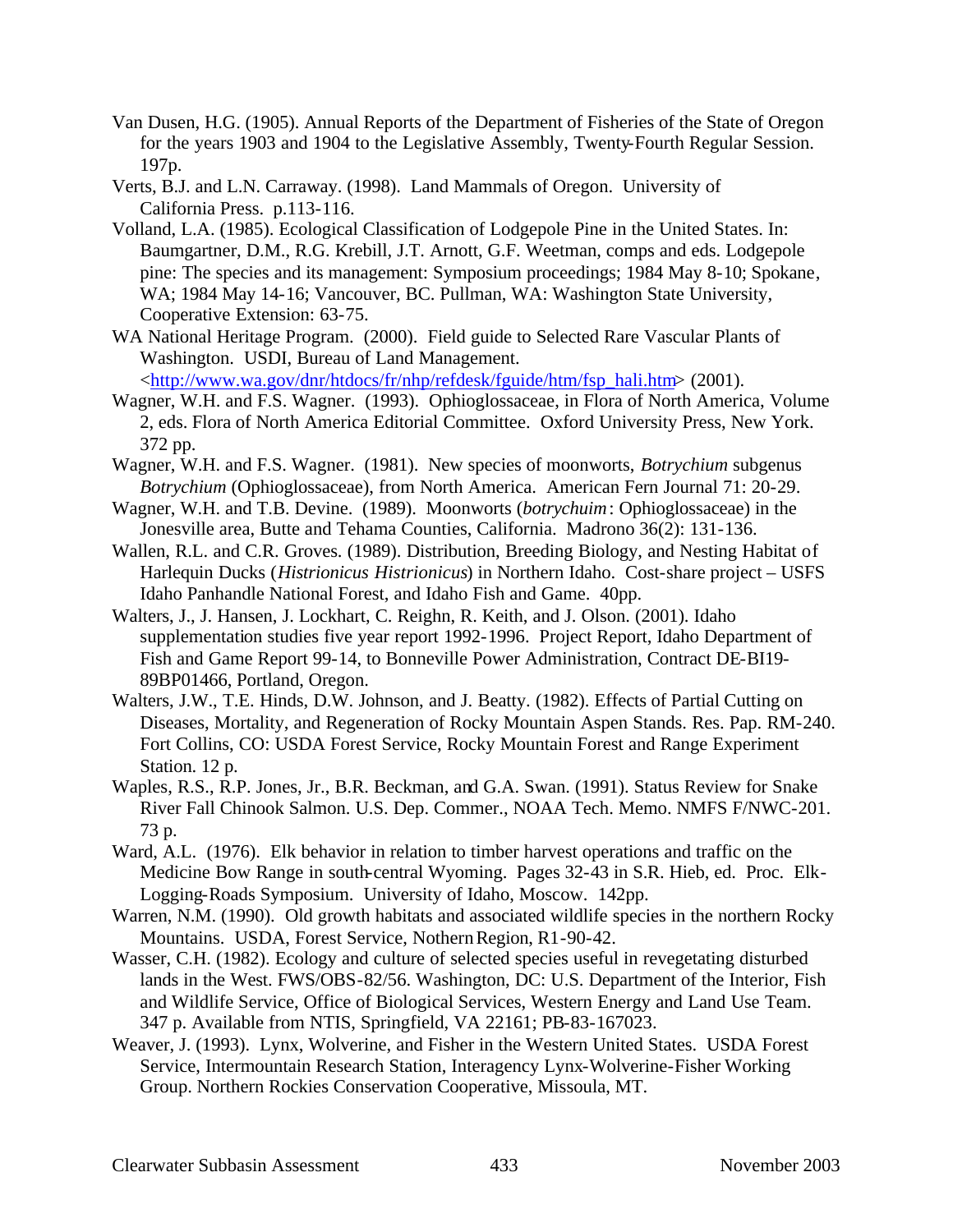- Van Dusen, H.G. (1905). Annual Reports of the Department of Fisheries of the State of Oregon for the years 1903 and 1904 to the Legislative Assembly, Twenty-Fourth Regular Session. 197p.
- Verts, B.J. and L.N. Carraway. (1998). Land Mammals of Oregon. University of California Press. p.113-116.
- Volland, L.A. (1985). Ecological Classification of Lodgepole Pine in the United States. In: Baumgartner, D.M., R.G. Krebill, J.T. Arnott, G.F. Weetman, comps and eds. Lodgepole pine: The species and its management: Symposium proceedings; 1984 May 8-10; Spokane, WA; 1984 May 14-16; Vancouver, BC. Pullman, WA: Washington State University, Cooperative Extension: 63-75.
- WA National Heritage Program. (2000). Field guide to Selected Rare Vascular Plants of Washington. USDI, Bureau of Land Management.

<http://www.wa.gov/dnr/htdocs/fr/nhp/refdesk/fguide/htm/fsp\_hali.htm> (2001).

- Wagner, W.H. and F.S. Wagner. (1993). Ophioglossaceae, in Flora of North America, Volume 2, eds. Flora of North America Editorial Committee. Oxford University Press, New York. 372 pp.
- Wagner, W.H. and F.S. Wagner. (1981). New species of moonworts, *Botrychium* subgenus *Botrychium* (Ophioglossaceae), from North America. American Fern Journal 71: 20-29.
- Wagner, W.H. and T.B. Devine. (1989). Moonworts (*botrychuim*: Ophioglossaceae) in the Jonesville area, Butte and Tehama Counties, California. Madrono 36(2): 131-136.
- Wallen, R.L. and C.R. Groves. (1989). Distribution, Breeding Biology, and Nesting Habitat of Harlequin Ducks (*Histrionicus Histrionicus*) in Northern Idaho. Cost-share project – USFS Idaho Panhandle National Forest, and Idaho Fish and Game. 40pp.
- Walters, J., J. Hansen, J. Lockhart, C. Reighn, R. Keith, and J. Olson. (2001). Idaho supplementation studies five year report 1992-1996. Project Report, Idaho Department of Fish and Game Report 99-14, to Bonneville Power Administration, Contract DE-BI19- 89BP01466, Portland, Oregon.
- Walters, J.W., T.E. Hinds, D.W. Johnson, and J. Beatty. (1982). Effects of Partial Cutting on Diseases, Mortality, and Regeneration of Rocky Mountain Aspen Stands. Res. Pap. RM-240. Fort Collins, CO: USDA Forest Service, Rocky Mountain Forest and Range Experiment Station. 12 p.
- Waples, R.S., R.P. Jones, Jr., B.R. Beckman, and G.A. Swan. (1991). Status Review for Snake River Fall Chinook Salmon. U.S. Dep. Commer., NOAA Tech. Memo. NMFS F/NWC-201. 73 p.
- Ward, A.L. (1976). Elk behavior in relation to timber harvest operations and traffic on the Medicine Bow Range in south-central Wyoming. Pages 32-43 in S.R. Hieb, ed. Proc. Elk-Logging-Roads Symposium. University of Idaho, Moscow. 142pp.
- Warren, N.M. (1990). Old growth habitats and associated wildlife species in the northern Rocky Mountains. USDA, Forest Service, Nothern Region, R1-90-42.
- Wasser, C.H. (1982). Ecology and culture of selected species useful in revegetating disturbed lands in the West. FWS/OBS-82/56. Washington, DC: U.S. Department of the Interior, Fish and Wildlife Service, Office of Biological Services, Western Energy and Land Use Team. 347 p. Available from NTIS, Springfield, VA 22161; PB-83-167023.
- Weaver, J. (1993). Lynx, Wolverine, and Fisher in the Western United States. USDA Forest Service, Intermountain Research Station, Interagency Lynx-Wolverine-Fisher Working Group. Northern Rockies Conservation Cooperative, Missoula, MT.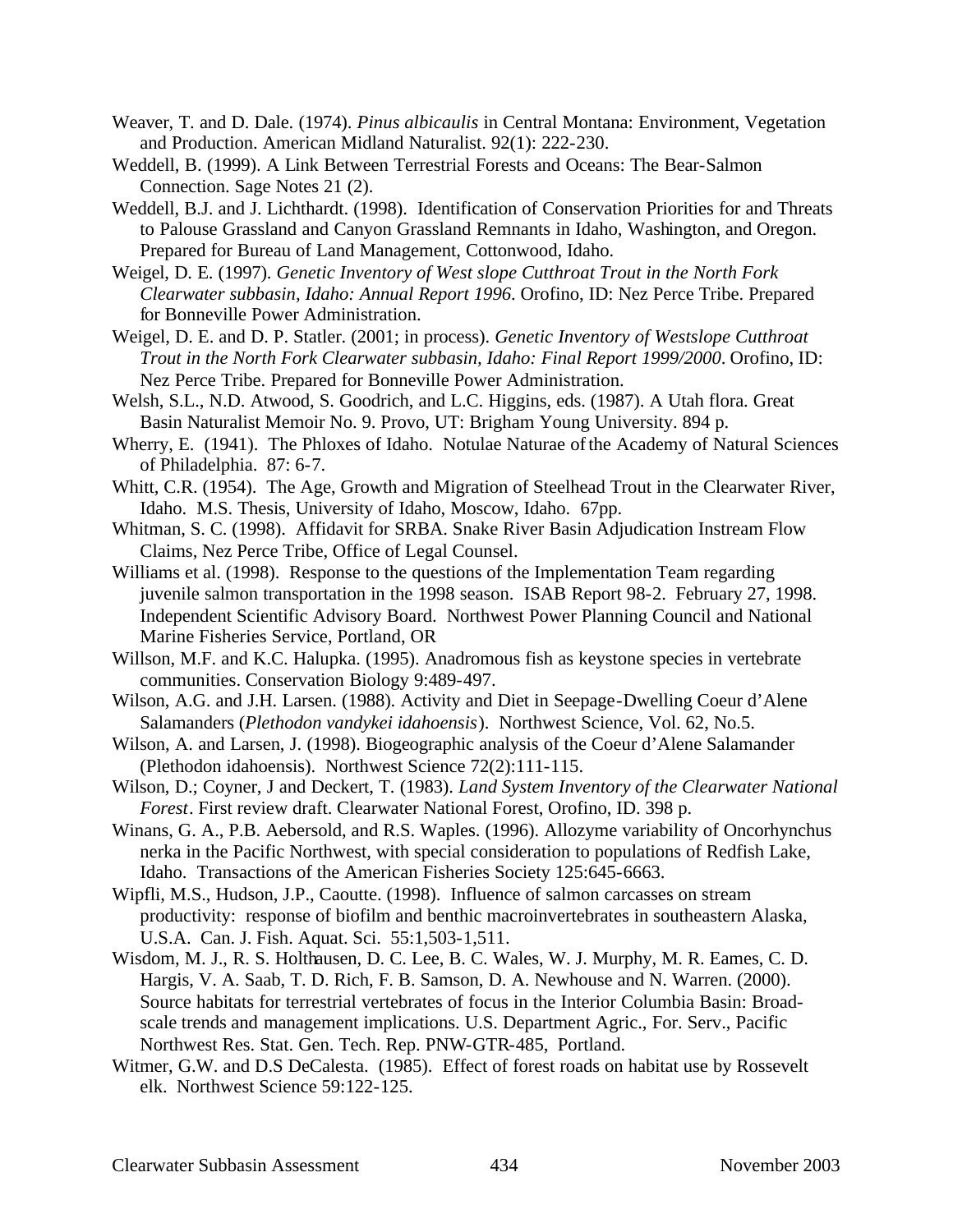- Weaver, T. and D. Dale. (1974). *Pinus albicaulis* in Central Montana: Environment, Vegetation and Production. American Midland Naturalist. 92(1): 222-230.
- Weddell, B. (1999). A Link Between Terrestrial Forests and Oceans: The Bear-Salmon Connection. Sage Notes 21 (2).
- Weddell, B.J. and J. Lichthardt. (1998). Identification of Conservation Priorities for and Threats to Palouse Grassland and Canyon Grassland Remnants in Idaho, Washington, and Oregon. Prepared for Bureau of Land Management, Cottonwood, Idaho.
- Weigel, D. E. (1997). *Genetic Inventory of West slope Cutthroat Trout in the North Fork Clearwater subbasin, Idaho: Annual Report 1996*. Orofino, ID: Nez Perce Tribe. Prepared for Bonneville Power Administration.

Weigel, D. E. and D. P. Statler. (2001; in process). *Genetic Inventory of Westslope Cutthroat Trout in the North Fork Clearwater subbasin, Idaho: Final Report 1999/2000*. Orofino, ID: Nez Perce Tribe. Prepared for Bonneville Power Administration.

- Welsh, S.L., N.D. Atwood, S. Goodrich, and L.C. Higgins, eds. (1987). A Utah flora. Great Basin Naturalist Memoir No. 9. Provo, UT: Brigham Young University. 894 p.
- Wherry, E. (1941). The Phloxes of Idaho. Notulae Naturae of the Academy of Natural Sciences of Philadelphia. 87: 6-7.
- Whitt, C.R. (1954). The Age, Growth and Migration of Steelhead Trout in the Clearwater River, Idaho. M.S. Thesis, University of Idaho, Moscow, Idaho. 67pp.
- Whitman, S. C. (1998). Affidavit for SRBA. Snake River Basin Adjudication Instream Flow Claims, Nez Perce Tribe, Office of Legal Counsel.
- Williams et al. (1998). Response to the questions of the Implementation Team regarding juvenile salmon transportation in the 1998 season. ISAB Report 98-2. February 27, 1998. Independent Scientific Advisory Board. Northwest Power Planning Council and National Marine Fisheries Service, Portland, OR
- Willson, M.F. and K.C. Halupka. (1995). Anadromous fish as keystone species in vertebrate communities. Conservation Biology 9:489-497.
- Wilson, A.G. and J.H. Larsen. (1988). Activity and Diet in Seepage-Dwelling Coeur d'Alene Salamanders (*Plethodon vandykei idahoensis*). Northwest Science, Vol. 62, No.5.
- Wilson, A. and Larsen, J. (1998). Biogeographic analysis of the Coeur d'Alene Salamander (Plethodon idahoensis). Northwest Science 72(2):111-115.
- Wilson, D.; Coyner, J and Deckert, T. (1983). *Land System Inventory of the Clearwater National Forest*. First review draft. Clearwater National Forest, Orofino, ID. 398 p.
- Winans, G. A., P.B. Aebersold, and R.S. Waples. (1996). Allozyme variability of Oncorhynchus nerka in the Pacific Northwest, with special consideration to populations of Redfish Lake, Idaho. Transactions of the American Fisheries Society 125:645-6663.
- Wipfli, M.S., Hudson, J.P., Caoutte. (1998). Influence of salmon carcasses on stream productivity: response of biofilm and benthic macroinvertebrates in southeastern Alaska, U.S.A. Can. J. Fish. Aquat. Sci. 55:1,503-1,511.
- Wisdom, M. J., R. S. Holthausen, D. C. Lee, B. C. Wales, W. J. Murphy, M. R. Eames, C. D. Hargis, V. A. Saab, T. D. Rich, F. B. Samson, D. A. Newhouse and N. Warren. (2000). Source habitats for terrestrial vertebrates of focus in the Interior Columbia Basin: Broadscale trends and management implications. U.S. Department Agric., For. Serv., Pacific Northwest Res. Stat. Gen. Tech. Rep. PNW-GTR-485, Portland.
- Witmer, G.W. and D.S DeCalesta. (1985). Effect of forest roads on habitat use by Rossevelt elk. Northwest Science 59:122-125.